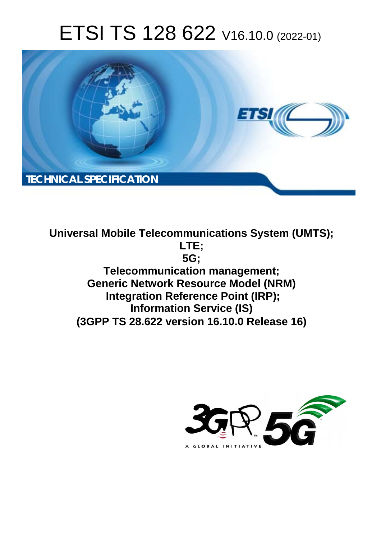# ETSI TS 128 622 V16.10.0 (2022-01)



**Universal Mobile Telecommunications System (UMTS); LTE; 5G; Telecommunication management; Generic Network Resource Model (NRM) Integration Reference Point (IRP); Information Service (IS) (3GPP TS 28.622 version 16.10.0 Release 16)** 

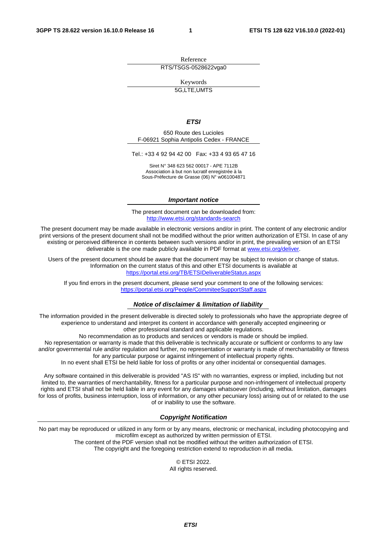Reference RTS/TSGS-0528622vga0

Keywords 5G,LTE,UMTS

#### *ETSI*

650 Route des Lucioles F-06921 Sophia Antipolis Cedex - FRANCE

Tel.: +33 4 92 94 42 00 Fax: +33 4 93 65 47 16

Siret N° 348 623 562 00017 - APE 7112B Association à but non lucratif enregistrée à la Sous-Préfecture de Grasse (06) N° w061004871

#### *Important notice*

The present document can be downloaded from: <http://www.etsi.org/standards-search>

The present document may be made available in electronic versions and/or in print. The content of any electronic and/or print versions of the present document shall not be modified without the prior written authorization of ETSI. In case of any existing or perceived difference in contents between such versions and/or in print, the prevailing version of an ETSI deliverable is the one made publicly available in PDF format at [www.etsi.org/deliver](http://www.etsi.org/deliver).

Users of the present document should be aware that the document may be subject to revision or change of status. Information on the current status of this and other ETSI documents is available at <https://portal.etsi.org/TB/ETSIDeliverableStatus.aspx>

If you find errors in the present document, please send your comment to one of the following services: <https://portal.etsi.org/People/CommiteeSupportStaff.aspx>

#### *Notice of disclaimer & limitation of liability*

The information provided in the present deliverable is directed solely to professionals who have the appropriate degree of experience to understand and interpret its content in accordance with generally accepted engineering or other professional standard and applicable regulations.

No recommendation as to products and services or vendors is made or should be implied.

No representation or warranty is made that this deliverable is technically accurate or sufficient or conforms to any law and/or governmental rule and/or regulation and further, no representation or warranty is made of merchantability or fitness for any particular purpose or against infringement of intellectual property rights.

In no event shall ETSI be held liable for loss of profits or any other incidental or consequential damages.

Any software contained in this deliverable is provided "AS IS" with no warranties, express or implied, including but not limited to, the warranties of merchantability, fitness for a particular purpose and non-infringement of intellectual property rights and ETSI shall not be held liable in any event for any damages whatsoever (including, without limitation, damages for loss of profits, business interruption, loss of information, or any other pecuniary loss) arising out of or related to the use of or inability to use the software.

#### *Copyright Notification*

No part may be reproduced or utilized in any form or by any means, electronic or mechanical, including photocopying and microfilm except as authorized by written permission of ETSI. The content of the PDF version shall not be modified without the written authorization of ETSI.

The copyright and the foregoing restriction extend to reproduction in all media.

© ETSI 2022. All rights reserved.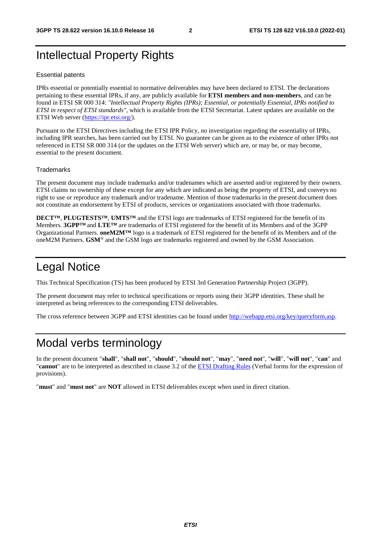## Intellectual Property Rights

#### Essential patents

IPRs essential or potentially essential to normative deliverables may have been declared to ETSI. The declarations pertaining to these essential IPRs, if any, are publicly available for **ETSI members and non-members**, and can be found in ETSI SR 000 314: *"Intellectual Property Rights (IPRs); Essential, or potentially Essential, IPRs notified to ETSI in respect of ETSI standards"*, which is available from the ETSI Secretariat. Latest updates are available on the ETSI Web server [\(https://ipr.etsi.org/](https://ipr.etsi.org/)).

Pursuant to the ETSI Directives including the ETSI IPR Policy, no investigation regarding the essentiality of IPRs, including IPR searches, has been carried out by ETSI. No guarantee can be given as to the existence of other IPRs not referenced in ETSI SR 000 314 (or the updates on the ETSI Web server) which are, or may be, or may become, essential to the present document.

#### **Trademarks**

The present document may include trademarks and/or tradenames which are asserted and/or registered by their owners. ETSI claims no ownership of these except for any which are indicated as being the property of ETSI, and conveys no right to use or reproduce any trademark and/or tradename. Mention of those trademarks in the present document does not constitute an endorsement by ETSI of products, services or organizations associated with those trademarks.

**DECT™**, **PLUGTESTS™**, **UMTS™** and the ETSI logo are trademarks of ETSI registered for the benefit of its Members. **3GPP™** and **LTE™** are trademarks of ETSI registered for the benefit of its Members and of the 3GPP Organizational Partners. **oneM2M™** logo is a trademark of ETSI registered for the benefit of its Members and of the oneM2M Partners. **GSM**® and the GSM logo are trademarks registered and owned by the GSM Association.

## Legal Notice

This Technical Specification (TS) has been produced by ETSI 3rd Generation Partnership Project (3GPP).

The present document may refer to technical specifications or reports using their 3GPP identities. These shall be interpreted as being references to the corresponding ETSI deliverables.

The cross reference between 3GPP and ETSI identities can be found under<http://webapp.etsi.org/key/queryform.asp>.

## Modal verbs terminology

In the present document "**shall**", "**shall not**", "**should**", "**should not**", "**may**", "**need not**", "**will**", "**will not**", "**can**" and "**cannot**" are to be interpreted as described in clause 3.2 of the [ETSI Drafting Rules](https://portal.etsi.org/Services/editHelp!/Howtostart/ETSIDraftingRules.aspx) (Verbal forms for the expression of provisions).

"**must**" and "**must not**" are **NOT** allowed in ETSI deliverables except when used in direct citation.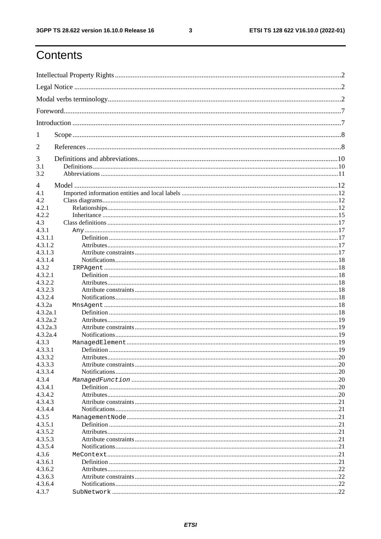$\mathbf{3}$ 

## Contents

| 1                  |  |
|--------------------|--|
| 2                  |  |
| 3                  |  |
| 3.1                |  |
| 3.2                |  |
| 4                  |  |
| 4.1                |  |
| 4.2                |  |
| 4.2.1              |  |
| 4.2.2              |  |
| 4.3                |  |
| 4.3.1              |  |
| 4.3.1.1            |  |
| 4.3.1.2            |  |
| 4.3.1.3            |  |
| 4.3.1.4            |  |
| 4.3.2              |  |
| 4.3.2.1            |  |
| 4.3.2.2<br>4.3.2.3 |  |
| 4.3.2.4            |  |
| 4.3.2a             |  |
| 4.3.2a.1           |  |
| 4.3.2a.2           |  |
| 4.3.2a.3           |  |
| 4.3.2a.4           |  |
| 4.3.3              |  |
| 4.3.3.1            |  |
| 4.3.3.2            |  |
| 4.3.3.3            |  |
| 4.3.3.4            |  |
| 4.3.4              |  |
| 4.3.4.1            |  |
| 4.3.4.2            |  |
| 4.3.4.3            |  |
| 4.3.4.4            |  |
| 4.3.5              |  |
| 4.3.5.1            |  |
| 4.3.5.2            |  |
| 4.3.5.3            |  |
| 4.3.5.4            |  |
| 4.3.6              |  |
| 4.3.6.1            |  |
| 4.3.6.2            |  |
| 4.3.6.3<br>4.3.6.4 |  |
| 4.3.7              |  |
|                    |  |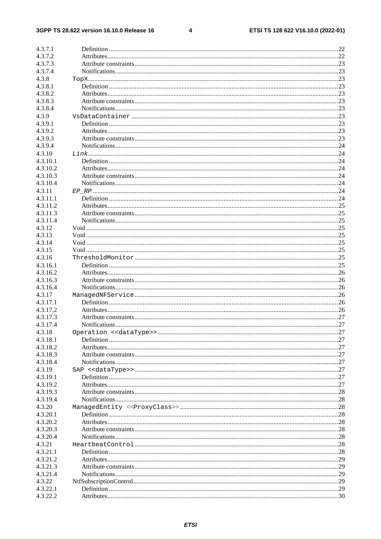#### $\overline{\mathbf{4}}$

| 4.3.7.1              |  |
|----------------------|--|
| 4.3.7.2              |  |
| 4.3.7.3              |  |
| 4.3.7.4              |  |
| 4.3.8                |  |
| 4.3.8.1              |  |
| 4.3.8.2              |  |
| 4.3.8.3              |  |
| 4.3.8.4              |  |
| 4.3.9                |  |
| 4.3.9.1              |  |
| 4.3.9.2              |  |
| 4.3.9.3              |  |
| 4.3.9.4              |  |
| 4.3.10               |  |
| 4.3.10.1             |  |
| 4.3.10.2             |  |
| 4.3.10.3             |  |
| 4.3.10.4             |  |
| 4.3.11               |  |
| 4.3.11.1             |  |
| 4.3.11.2             |  |
| 4.3.11.3             |  |
| 4.3.11.4             |  |
| 4.3.12<br>4.3.13     |  |
| 4.3.14               |  |
| 4.3.15               |  |
| 4.3.16               |  |
| 4.3.16.1             |  |
| 4.3.16.2             |  |
| 4.3.16.3             |  |
| 4.3.16.4             |  |
| 4.3.17               |  |
| 4.3.17.1             |  |
| 4.3.17.2             |  |
| 4.3.17.3             |  |
| 4.3.17.4             |  |
| 4.3.18               |  |
| 4.3.18.1             |  |
| 4.3.18.2             |  |
| 4.3.18.3             |  |
| 4.3.18.4             |  |
| 4.3.19               |  |
| 4.3.19.1             |  |
|                      |  |
| 4.3.19.2             |  |
| 4.3.19.3             |  |
| 4.3.19.4             |  |
| 4.3.20               |  |
| 4.3.20.1             |  |
| 4.3.20.2             |  |
| 4.3.20.3             |  |
| 4.3.20.4             |  |
| 4.3.21               |  |
| 4.3.21.1             |  |
| 4.3.21.2             |  |
| 4.3.21.3             |  |
| 4.3.21.4             |  |
| 4.3.22               |  |
| 4.3.22.1<br>4.3.22.2 |  |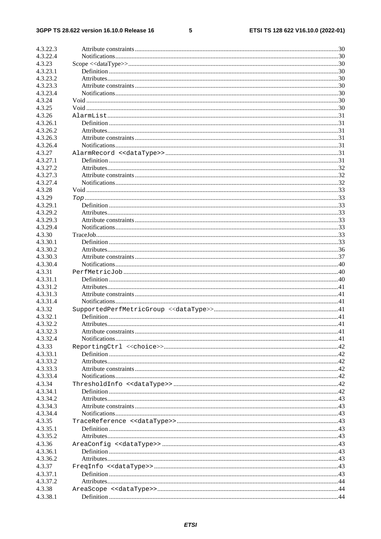#### $5\phantom{a}$

| 4.3.22.3 |                       |    |
|----------|-----------------------|----|
| 4.3.22.4 |                       |    |
| 4.3.23   |                       |    |
| 4.3.23.1 |                       |    |
| 4.3.23.2 |                       |    |
| 4.3.23.3 |                       |    |
| 4.3.23.4 |                       |    |
| 4.3.24   |                       |    |
| 4.3.25   |                       |    |
| 4.3.26   |                       |    |
| 4.3.26.1 |                       |    |
| 4.3.26.2 |                       |    |
| 4.3.26.3 |                       |    |
| 4.3.26.4 |                       |    |
| 4.3.27   |                       |    |
| 4.3.27.1 |                       |    |
| 4.3.27.2 |                       |    |
| 4.3.27.3 |                       |    |
| 4.3.27.4 |                       |    |
| 4.3.28   |                       |    |
|          |                       |    |
| 4.3.29   |                       |    |
| 4.3.29.1 |                       |    |
| 4.3.29.2 |                       |    |
| 4.3.29.3 |                       |    |
| 4.3.29.4 |                       |    |
| 4.3.30   |                       |    |
| 4.3.30.1 |                       |    |
| 4.3.30.2 |                       |    |
| 4.3.30.3 |                       |    |
| 4.3.30.4 |                       |    |
| 4.3.31   |                       |    |
| 4.3.31.1 |                       |    |
| 4.3.31.2 |                       |    |
| 4.3.31.3 |                       |    |
| 4.3.31.4 |                       |    |
| 4.3.32   |                       |    |
| 4.3.32.1 |                       |    |
| 4.3.32.2 |                       |    |
| 4.3.32.3 | Attribute constraints | 41 |
| 4.3.32.4 |                       |    |
| 4.3.33   |                       |    |
| 4.3.33.1 |                       |    |
| 4.3.33.2 |                       |    |
| 4.3.33.3 |                       |    |
| 4.3.33.4 |                       |    |
| 4.3.34   |                       |    |
| 4.3.34.1 |                       |    |
| 4.3.34.2 |                       |    |
| 4.3.34.3 |                       |    |
| 4.3.34.4 |                       |    |
| 4.3.35   |                       |    |
| 4.3.35.1 |                       |    |
| 4.3.35.2 |                       |    |
| 4.3.36   |                       |    |
| 4.3.36.1 |                       |    |
| 4.3.36.2 |                       |    |
| 4.3.37   |                       |    |
| 4.3.37.1 |                       |    |
| 4.3.37.2 |                       |    |
| 4.3.38   |                       |    |
| 4.3.38.1 |                       |    |
|          |                       |    |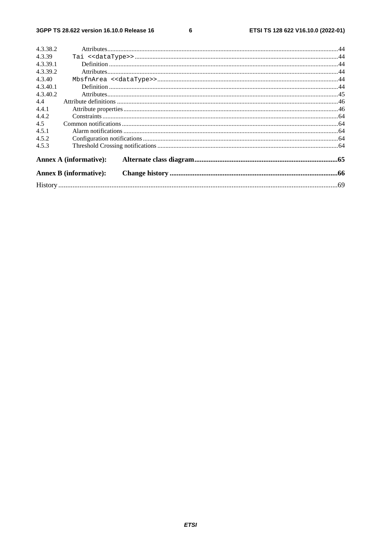$\bf 6$ 

| 4.3.38.2 |                               |  |
|----------|-------------------------------|--|
| 4.3.39   |                               |  |
| 4.3.39.1 |                               |  |
| 4.3.39.2 |                               |  |
| 4.3.40   |                               |  |
| 4.3.40.1 |                               |  |
| 4.3.40.2 |                               |  |
| 4.4      |                               |  |
| 4.4.1    |                               |  |
| 4.4.2    |                               |  |
| 4.5      |                               |  |
| 4.5.1    |                               |  |
| 4.5.2    |                               |  |
| 4.5.3    |                               |  |
|          | <b>Annex A (informative):</b> |  |
|          | <b>Annex B</b> (informative): |  |
|          |                               |  |
|          |                               |  |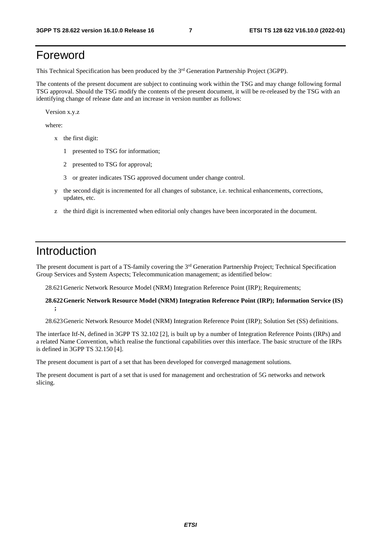## Foreword

This Technical Specification has been produced by the 3rd Generation Partnership Project (3GPP).

The contents of the present document are subject to continuing work within the TSG and may change following formal TSG approval. Should the TSG modify the contents of the present document, it will be re-released by the TSG with an identifying change of release date and an increase in version number as follows:

Version x.y.z

where:

- x the first digit:
	- 1 presented to TSG for information;
	- 2 presented to TSG for approval;
	- 3 or greater indicates TSG approved document under change control.
- y the second digit is incremented for all changes of substance, i.e. technical enhancements, corrections, updates, etc.
- z the third digit is incremented when editorial only changes have been incorporated in the document.

## Introduction

The present document is part of a TS-family covering the 3<sup>rd</sup> Generation Partnership Project; Technical Specification Group Services and System Aspects; Telecommunication management; as identified below:

28.621 Generic Network Resource Model (NRM) Integration Reference Point (IRP); Requirements;

#### **28.622 Generic Network Resource Model (NRM) Integration Reference Point (IRP); Information Service (IS) ;**

28.623 Generic Network Resource Model (NRM) Integration Reference Point (IRP); Solution Set (SS) definitions.

The interface Itf-N, defined in 3GPP TS 32.102 [2], is built up by a number of Integration Reference Points (IRPs) and a related Name Convention, which realise the functional capabilities over this interface. The basic structure of the IRPs is defined in 3GPP TS 32.150 [4].

The present document is part of a set that has been developed for converged management solutions.

The present document is part of a set that is used for management and orchestration of 5G networks and network slicing.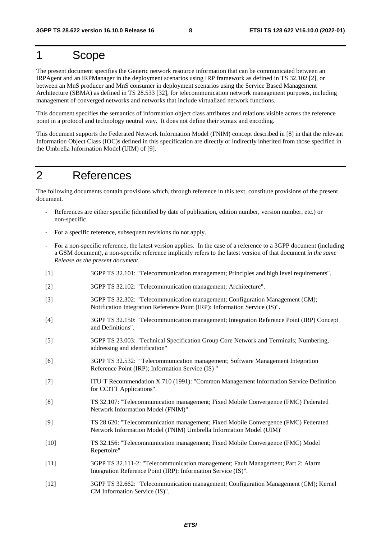## 1 Scope

The present document specifies the Generic network resource information that can be communicated between an IRPAgent and an IRPManager in the deployment scenarios using IRP framework as defined in TS 32.102 [2], or between an MnS producer and MnS consumer in deployment scenarios using the Service Based Management Architecture (SBMA) as defined in TS 28.533 [32], for telecommunication network management purposes, including management of converged networks and networks that include virtualized network functions.

This document specifies the semantics of information object class attributes and relations visible across the reference point in a protocol and technology neutral way. It does not define their syntax and encoding.

This document supports the Federated Network Information Model (FNIM) concept described in [8] in that the relevant Information Object Class (IOC)s defined in this specification are directly or indirectly inherited from those specified in the Umbrella Information Model (UIM) of [9].

## 2 References

The following documents contain provisions which, through reference in this text, constitute provisions of the present document.

- References are either specific (identified by date of publication, edition number, version number, etc.) or non-specific.
- For a specific reference, subsequent revisions do not apply.
- For a non-specific reference, the latest version applies. In the case of a reference to a 3GPP document (including a GSM document), a non-specific reference implicitly refers to the latest version of that document *in the same Release as the present document*.
- [1] 3GPP TS 32.101: "Telecommunication management; Principles and high level requirements".
- [2] 3GPP TS 32.102: "Telecommunication management; Architecture".
- [3] 3GPP TS 32.302: "Telecommunication management; Configuration Management (CM); Notification Integration Reference Point (IRP): Information Service (IS)".
- [4] 3GPP TS 32.150: "Telecommunication management; Integration Reference Point (IRP) Concept and Definitions".
- [5] 3GPP TS 23.003: "Technical Specification Group Core Network and Terminals; Numbering, addressing and identification"
- [6] 3GPP TS 32.532: " Telecommunication management; Software Management Integration Reference Point (IRP); Information Service (IS) "
- [7] ITU-T Recommendation X.710 (1991): "Common Management Information Service Definition for CCITT Applications".
- [8] TS 32.107: "Telecommunication management; Fixed Mobile Convergence (FMC) Federated Network Information Model (FNIM)"
- [9] TS 28.620: "Telecommunication management; Fixed Mobile Convergence (FMC) Federated Network Information Model (FNIM) Umbrella Information Model (UIM)"
- [10] TS 32.156: "Telecommunication management; Fixed Mobile Convergence (FMC) Model Repertoire"
- [11] 3GPP TS 32.111-2: "Telecommunication management; Fault Management; Part 2: Alarm Integration Reference Point (IRP): Information Service (IS)".
- [12] 3GPP TS 32.662: "Telecommunication management; Configuration Management (CM); Kernel CM Information Service (IS)".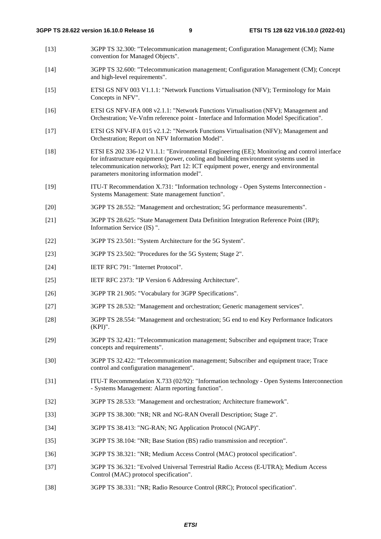- [13] 3GPP TS 32.300: "Telecommunication management; Configuration Management (CM); Name convention for Managed Objects".
- [14] 3GPP TS 32.600: "Telecommunication management; Configuration Management (CM); Concept and high-level requirements".
- [15] ETSI GS NFV 003 V1.1.1: "Network Functions Virtualisation (NFV); Terminology for Main Concepts in NFV".
- [16] ETSI GS NFV-IFA 008 v2.1.1: "Network Functions Virtualisation (NFV); Management and Orchestration; Ve-Vnfm reference point - Interface and Information Model Specification".
- [17] ETSI GS NFV-IFA 015 v2.1.2: "Network Functions Virtualisation (NFV); Management and Orchestration; Report on NFV Information Model".
- [18] ETSI ES 202 336-12 V1.1.1: "Environmental Engineering (EE); Monitoring and control interface for infrastructure equipment (power, cooling and building environment systems used in telecommunication networks); Part 12: ICT equipment power, energy and environmental parameters monitoring information model".
- [19] ITU-T Recommendation X.731: "Information technology Open Systems Interconnection Systems Management: State management function".
- [20] 3GPP TS 28.552: "Management and orchestration; 5G performance measurements".
- [21] 3GPP TS 28.625: "State Management Data Definition Integration Reference Point (IRP); Information Service (IS) ".
- [22] 3GPP TS 23.501: "System Architecture for the 5G System".
- [23] 3GPP TS 23.502: "Procedures for the 5G System; Stage 2".
- [24] **IETF RFC 791: "Internet Protocol".**
- [25] IETF RFC 2373: "IP Version 6 Addressing Architecture".
- [26] 3GPP TR 21.905: "Vocabulary for 3GPP Specifications".
- [27] 3GPP TS 28.532: "Management and orchestration; Generic management services".
- [28] 3GPP TS 28.554: "Management and orchestration; 5G end to end Key Performance Indicators (KPI)".
- [29] 3GPP TS 32.421: "Telecommunication management; Subscriber and equipment trace; Trace concepts and requirements".
- [30] 3GPP TS 32.422: "Telecommunication management; Subscriber and equipment trace; Trace control and configuration management".
- [31] ITU-T Recommendation X.733 (02/92): "Information technology Open Systems Interconnection - Systems Management: Alarm reporting function".
- [32] 3GPP TS 28.533: "Management and orchestration; Architecture framework".
- [33] 3GPP TS 38.300: "NR; NR and NG-RAN Overall Description; Stage 2".
- [34] 3GPP TS 38.413: "NG-RAN; NG Application Protocol (NGAP)".
- [35] 3GPP TS 38.104: "NR; Base Station (BS) radio transmission and reception".
- [36] 3GPP TS 38.321: "NR; Medium Access Control (MAC) protocol specification".
- [37] 3GPP TS 36.321: "Evolved Universal Terrestrial Radio Access (E-UTRA); Medium Access Control (MAC) protocol specification".
- [38] 3GPP TS 38.331: "NR; Radio Resource Control (RRC); Protocol specification".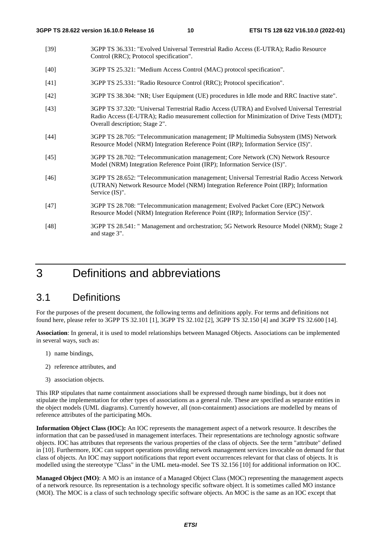- [39] 3GPP TS 36.331: "Evolved Universal Terrestrial Radio Access (E-UTRA); Radio Resource Control (RRC); Protocol specification".
- [40] 3GPP TS 25.321: "Medium Access Control (MAC) protocol specification".
- [41] 3GPP TS 25.331: "Radio Resource Control (RRC); Protocol specification".
- [42] 3GPP TS 38.304: "NR; User Equipment (UE) procedures in Idle mode and RRC Inactive state".
- [43] 3GPP TS 37.320: "Universal Terrestrial Radio Access (UTRA) and Evolved Universal Terrestrial Radio Access (E-UTRA); Radio measurement collection for Minimization of Drive Tests (MDT); Overall description; Stage 2".
- [44] 3GPP TS 28.705: "Telecommunication management; IP Multimedia Subsystem (IMS) Network Resource Model (NRM) Integration Reference Point (IRP); Information Service (IS)".
- [45] 3GPP TS 28.702: "Telecommunication management; Core Network (CN) Network Resource Model (NRM) Integration Reference Point (IRP); Information Service (IS)".
- [46] 3GPP TS 28.652: "Telecommunication management; Universal Terrestrial Radio Access Network (UTRAN) Network Resource Model (NRM) Integration Reference Point (IRP); Information Service (IS)".
- [47] 3GPP TS 28.708: "Telecommunication management; Evolved Packet Core (EPC) Network Resource Model (NRM) Integration Reference Point (IRP); Information Service (IS)".
- [48] 3GPP TS 28.541: " Management and orchestration; 5G Network Resource Model (NRM); Stage 2 and stage 3".

## 3 Definitions and abbreviations

## 3.1 Definitions

For the purposes of the present document, the following terms and definitions apply. For terms and definitions not found here, please refer to 3GPP TS 32.101 [1], 3GPP TS 32.102 [2], 3GPP TS 32.150 [4] and 3GPP TS 32.600 [14].

**Association**: In general, it is used to model relationships between Managed Objects. Associations can be implemented in several ways, such as:

- 1) name bindings,
- 2) reference attributes, and
- 3) association objects.

This IRP stipulates that name containment associations shall be expressed through name bindings, but it does not stipulate the implementation for other types of associations as a general rule. These are specified as separate entities in the object models (UML diagrams). Currently however, all (non-containment) associations are modelled by means of reference attributes of the participating MOs.

**Information Object Class (IOC):** An IOC represents the management aspect of a network resource. It describes the information that can be passed/used in management interfaces. Their representations are technology agnostic software objects. IOC has attributes that represents the various properties of the class of objects. See the term "attribute" defined in [10]. Furthermore, IOC can support operations providing network management services invocable on demand for that class of objects. An IOC may support notifications that report event occurrences relevant for that class of objects. It is modelled using the stereotype "Class" in the UML meta-model. See TS 32.156 [10] for additional information on IOC.

**Managed Object (MO)**: A MO is an instance of a Managed Object Class (MOC) representing the management aspects of a network resource. Its representation is a technology specific software object. It is sometimes called MO instance (MOI). The MOC is a class of such technology specific software objects. An MOC is the same as an IOC except that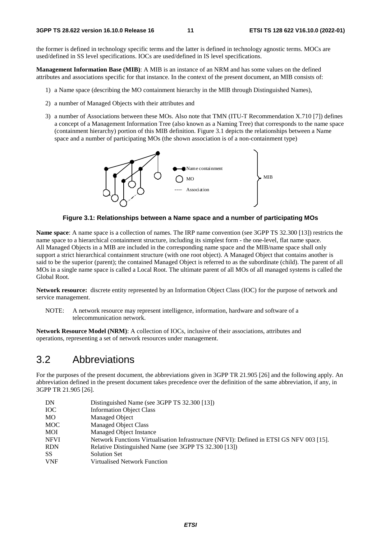the former is defined in technology specific terms and the latter is defined in technology agnostic terms. MOCs are used/defined in SS level specifications. IOCs are used/defined in IS level specifications.

**Management Information Base (MIB)**: A MIB is an instance of an NRM and has some values on the defined attributes and associations specific for that instance. In the context of the present document, an MIB consists of:

- 1) a Name space (describing the MO containment hierarchy in the MIB through Distinguished Names),
- 2) a number of Managed Objects with their attributes and
- 3) a number of Associations between these MOs. Also note that TMN (ITU-T Recommendation X.710 [7]) defines a concept of a Management Information Tree (also known as a Naming Tree) that corresponds to the name space (containment hierarchy) portion of this MIB definition. Figure 3.1 depicts the relationships between a Name space and a number of participating MOs (the shown association is of a non-containment type)



**Figure 3.1: Relationships between a Name space and a number of participating MOs** 

**Name space**: A name space is a collection of names. The IRP name convention (see 3GPP TS 32.300 [13]) restricts the name space to a hierarchical containment structure, including its simplest form - the one-level, flat name space. All Managed Objects in a MIB are included in the corresponding name space and the MIB/name space shall only support a strict hierarchical containment structure (with one root object). A Managed Object that contains another is said to be the superior (parent); the contained Managed Object is referred to as the subordinate (child). The parent of all MOs in a single name space is called a Local Root. The ultimate parent of all MOs of all managed systems is called the Global Root.

**Network resource:** discrete entity represented by an Information Object Class (IOC) for the purpose of network and service management.

NOTE: A network resource may represent intelligence, information, hardware and software of a telecommunication network.

**Network Resource Model (NRM)**: A collection of IOCs, inclusive of their associations, attributes and operations, representing a set of network resources under management.

## 3.2 Abbreviations

For the purposes of the present document, the abbreviations given in 3GPP TR 21.905 [26] and the following apply. An abbreviation defined in the present document takes precedence over the definition of the same abbreviation, if any, in 3GPP TR 21.905 [26].

| DN          | Distinguished Name (see 3GPP TS 32.300 [13])                                             |
|-------------|------------------------------------------------------------------------------------------|
| <b>IOC</b>  | <b>Information Object Class</b>                                                          |
| MO          | Managed Object                                                                           |
| <b>MOC</b>  | <b>Managed Object Class</b>                                                              |
| MOI         | Managed Object Instance                                                                  |
| <b>NFVI</b> | Network Functions Virtualisation Infrastructure (NFVI): Defined in ETSI GS NFV 003 [15]. |
| <b>RDN</b>  | Relative Distinguished Name (see 3GPP TS 32.300 [13])                                    |
| <b>SS</b>   | <b>Solution Set</b>                                                                      |
| <b>VNF</b>  | <b>Virtualised Network Function</b>                                                      |
|             |                                                                                          |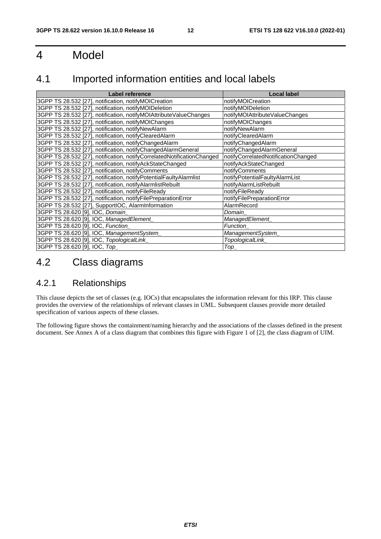## 4 Model

## 4.1 Imported information entities and local labels

| <b>Label reference</b>                                                 | <b>Local label</b>                  |
|------------------------------------------------------------------------|-------------------------------------|
| 3GPP TS 28.532 [27], notification, notifyMOICreation                   | notifyMOICreation                   |
| 3GPP TS 28.532 [27], notification, notifyMOIDeletion                   | notifyMOIDeletion                   |
| 3GPP TS 28.532 [27], notification, notifyMOIAttributeValueChanges      | notifyMOIAttributeValueChanges      |
| 3GPP TS 28.532 [27], notification, notifyMOIChanges                    | notifyMOIChanges                    |
| 3GPP TS 28.532 [27], notification, notifyNewAlarm                      | notifyNewAlarm                      |
| 3GPP TS 28.532 [27], notification, notifyClearedAlarm                  | notifyClearedAlarm                  |
| 3GPP TS 28.532 [27], notification, notifyChangedAlarm                  | notifyChangedAlarm                  |
| 3GPP TS 28.532 [27], notification, notifyChangedAlarmGeneral           | notifyChangedAlarmGeneral           |
| 3GPP TS 28.532 [27], notification, notifyCorrelatedNotificationChanged | notifyCorrelatedNotificationChanged |
| 3GPP TS 28.532 [27], notification, notifyAckStateChanged               | notifyAckStateChanged               |
| 3GPP TS 28.532 [27], notification, notifyComments                      | notifyComments                      |
| 3GPP TS 28.532 [27], notification, notifyPotentialFaultyAlarmlist      | notifyPotentialFaultyAlarmList      |
| 3GPP TS 28.532 [27], notification, notifyAlarmlistRebuilt              | notifyAlarmListRebuilt              |
| 3GPP TS 28.532 [27], notification, notifyFileReady                     | notifyFileReady                     |
| 3GPP TS 28.532 [27], notification, notifyFilePreparationError          | notifyFilePreparationError          |
| 3GPP TS 28.532 [27], SupportIOC, AlarmInformation                      | AlarmRecord                         |
| 3GPP TS 28.620 [9], IOC, Domain_                                       | Domain                              |
| 3GPP TS 28.620 [9], IOC, ManagedElement                                | ManagedElement_                     |
| 3GPP TS 28.620 [9], IOC, Function                                      | <b>Function</b>                     |
| 3GPP TS 28.620 [9], IOC, ManagementSystem                              | ManagementSystem_                   |
| 3GPP TS 28.620 [9], IOC, TopologicalLink_                              | TopologicalLink                     |
| 3GPP TS 28.620 [9], IOC, Top                                           | $Top_$                              |

## 4.2 Class diagrams

## 4.2.1 Relationships

This clause depicts the set of classes (e.g. IOCs) that encapsulates the information relevant for this IRP. This clause provides the overview of the relationships of relevant classes in UML. Subsequent clauses provide more detailed specification of various aspects of these classes.

The following figure shows the containment/naming hierarchy and the associations of the classes defined in the present document. See Annex A of a class diagram that combines this figure with Figure 1 of [2], the class diagram of UIM.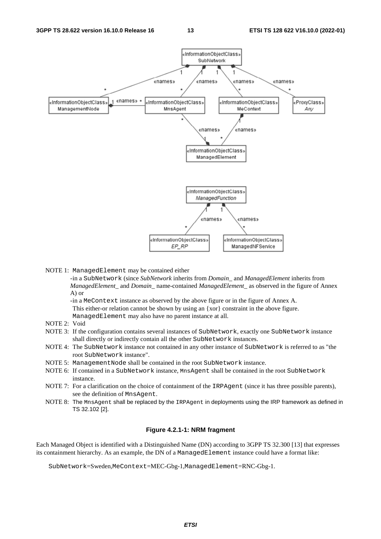

NOTE 1: ManagedElement may be contained either

- in a SubNetwork (since *SubNetwork* inherits from *Domain*\_ and *ManagedElement* inherits from *ManagedElement*\_ and *Domain*\_ name-contained *ManagedElement\_* as observed in the figure of Annex A) or

- in a MeContext instance as observed by the above figure or in the figure of Annex A. This either-or relation cannot be shown by using an {xor} constraint in the above figure.

ManagedElement may also have no parent instance at all.

- NOTE 2: Void
- NOTE 3: If the configuration contains several instances of SubNetwork, exactly one SubNetwork instance shall directly or indirectly contain all the other SubNetwork instances.
- NOTE 4: The SubNetwork instance not contained in any other instance of SubNetwork is referred to as "the root SubNetwork instance".
- NOTE 5: ManagementNode shall be contained in the root SubNetwork instance.
- NOTE 6: If contained in a SubNetwork instance, MnsAgent shall be contained in the root SubNetwork instance.
- NOTE 7: For a clarification on the choice of containment of the IRPAgent (since it has three possible parents), see the definition of MnsAgent.
- NOTE 8: The MnsAgent shall be replaced by the IRPAgent in deployments using the IRP framework as defined in TS 32.102 [2].

#### **Figure 4.2.1-1: NRM fragment**

Each Managed Object is identified with a Distinguished Name (DN) according to 3GPP TS 32.300 [13] that expresses its containment hierarchy. As an example, the DN of a ManagedElement instance could have a format like:

SubNetwork=Sweden,MeContext=MEC-Gbg-1,ManagedElement=RNC-Gbg-1.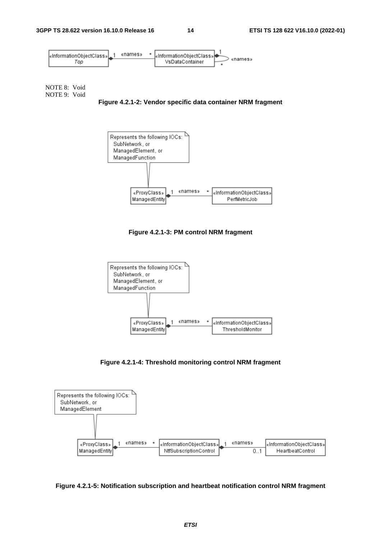

NOTE 8: Void NOTE 9: Void

**Figure 4.2.1-2: Vendor specific data container NRM fragment** 



**Figure 4.2.1-3: PM control NRM fragment** 



**Figure 4.2.1-4: Threshold monitoring control NRM fragment** 



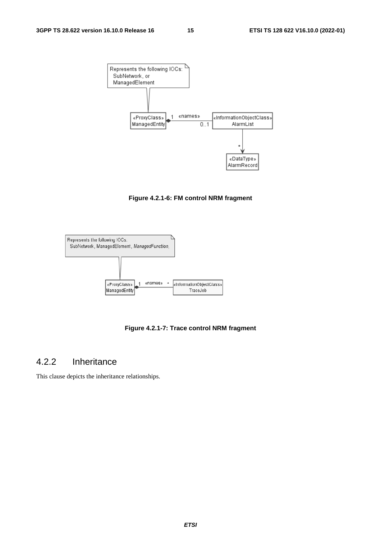

**Figure 4.2.1-6: FM control NRM fragment** 



**Figure 4.2.1-7: Trace control NRM fragment** 

## 4.2.2 Inheritance

This clause depicts the inheritance relationships.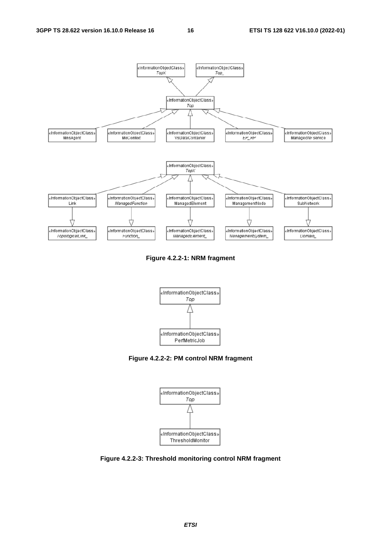

**Figure 4.2.2-1: NRM fragment** 



**Figure 4.2.2-2: PM control NRM fragment** 



**Figure 4.2.2-3: Threshold monitoring control NRM fragment**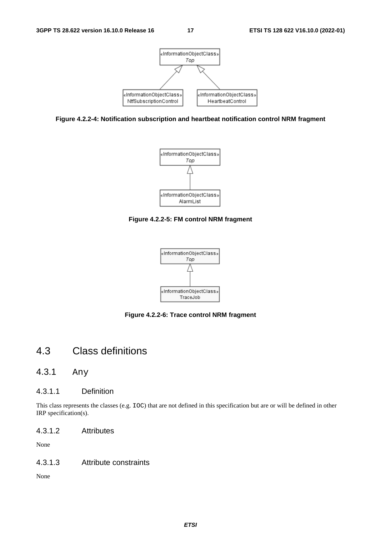





**Figure 4.2.2-5: FM control NRM fragment** 



**Figure 4.2.2-6: Trace control NRM fragment** 

## 4.3 Class definitions

4.3.1 Any

#### 4.3.1.1 Definition

This class represents the classes (e.g. IOC) that are not defined in this specification but are or will be defined in other IRP specification(s).

4.3.1.2 Attributes

None

#### 4.3.1.3 Attribute constraints

None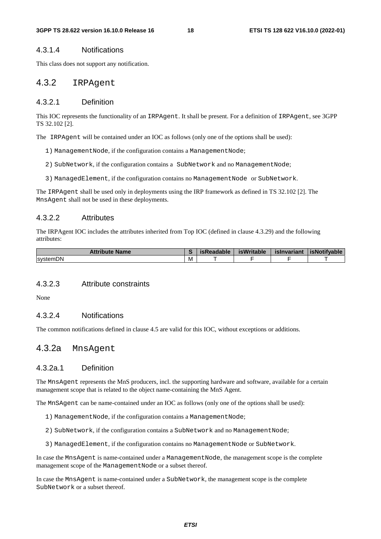#### 4.3.1.4 Notifications

This class does not support any notification.

## 4.3.2 IRPAgent

#### 4.3.2.1 Definition

This IOC represents the functionality of an IRPAgent. It shall be present. For a definition of IRPAgent, see 3GPP TS 32.102 [2].

The IRPAgent will be contained under an IOC as follows (only one of the options shall be used):

- 1) ManagementNode, if the configuration contains a ManagementNode;
- 2) SubNetwork, if the configuration contains a SubNetwork and no ManagementNode;
- 3) ManagedElement, if the configuration contains no ManagementNode or SubNetwork.

The IRPAgent shall be used only in deployments using the IRP framework as defined in TS 32.102 [2]. The MnsAgent shall not be used in these deployments.

#### 4.3.2.2 Attributes

The IRPAgent IOC includes the attributes inherited from Top IOC (defined in clause 4.3.29) and the following attributes:

| <b>Attribute Name</b> |   | isReadable | <b>isWritable</b> | islnvariant | <b>isNotifvable</b> |
|-----------------------|---|------------|-------------------|-------------|---------------------|
| <b>IsystemDN</b>      | M |            |                   |             |                     |

#### 4.3.2.3 Attribute constraints

None

#### 4.3.2.4 Notifications

The common notifications defined in clause 4.5 are valid for this IOC, without exceptions or additions.

## 4.3.2a MnsAgent

#### 4.3.2a.1 Definition

The MnsAgent represents the MnS producers, incl. the supporting hardware and software, available for a certain management scope that is related to the object name-containing the MnS Agent.

The MnSAgent can be name-contained under an IOC as follows (only one of the options shall be used):

- 1) ManagementNode, if the configuration contains a ManagementNode;
- 2) SubNetwork, if the configuration contains a SubNetwork and no ManagementNode;
- 3) ManagedElement, if the configuration contains no ManagementNode or SubNetwork.

In case the MnsAgent is name-contained under a ManagementNode, the management scope is the complete management scope of the ManagementNode or a subset thereof.

In case the MnsAgent is name-contained under a SubNetwork, the management scope is the complete SubNetwork or a subset thereof.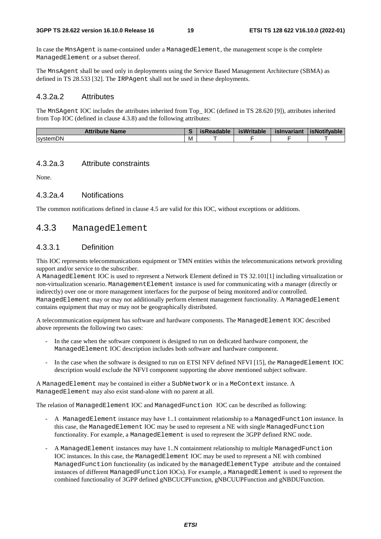In case the MnsAgent is name-contained under a ManagedElement, the management scope is the complete ManagedElement or a subset thereof.

The MnsAgent shall be used only in deployments using the Service Based Management Architecture (SBMA) as defined in TS 28.533 [32]. The IRPAgent shall not be used in these deployments.

#### 4.3.2a.2 Attributes

The MnSAgent IOC includes the attributes inherited from Top\_ IOC (defined in TS 28.620 [9]), attributes inherited from Top IOC (defined in clause 4.3.8) and the following attributes:

| <b>Attribute Name</b> |   | रेeadable<br>40 F | isWritable | islnvariant | <b>isNotifvable</b> |
|-----------------------|---|-------------------|------------|-------------|---------------------|
| <b>systemDN</b>       | M |                   |            |             |                     |

#### 4.3.2a.3 Attribute constraints

None.

#### 4.3.2a.4 Notifications

The common notifications defined in clause 4.5 are valid for this IOC, without exceptions or additions.

## 4.3.3 ManagedElement

#### 4.3.3.1 Definition

This IOC represents telecommunications equipment or TMN entities within the telecommunications network providing support and/or service to the subscriber.

A ManagedElement IOC is used to represent a Network Element defined in TS 32.101[1] including virtualization or non-virtualization scenario. ManagementElement instance is used for communicating with a manager (directly or indirectly) over one or more management interfaces for the purpose of being monitored and/or controlled. ManagedElement may or may not additionally perform element management functionality. A ManagedElement contains equipment that may or may not be geographically distributed.

A telecommunication equipment has software and hardware components. The ManagedElement IOC described above represents the following two cases:

- In the case when the software component is designed to run on dedicated hardware component, the ManagedElement IOC description includes both software and hardware component.
- In the case when the software is designed to run on ETSI NFV defined NFVI [15], the ManagedElement IOC description would exclude the NFVI component supporting the above mentioned subject software.

A ManagedElement may be contained in either a SubNetwork or in a MeContext instance. A ManagedElement may also exist stand-alone with no parent at all.

The relation of ManagedElement IOC and ManagedFunction IOC can be described as following:

- A ManagedElement instance may have 1..1 containment relationship to a ManagedFunction instance. In this case, the ManagedElement IOC may be used to represent a NE with single ManagedFunction functionality. For example, a ManagedElement is used to represent the 3GPP defined RNC node.
- A ManagedElement instances may have 1..N containment relationship to multiple ManagedFunction IOC instances. In this case, the ManagedElement IOC may be used to represent a NE with combined ManagedFunction functionality (as indicated by the managedElementType attribute and the contained instances of different ManagedFunction IOCs). For example, a ManagedElement is used to represent the combined functionality of 3GPP defined gNBCUCPFunction, gNBCUUPFunction and gNBDUFunction.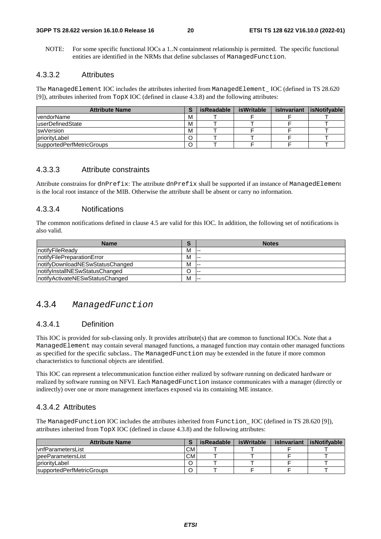NOTE: For some specific functional IOCs a 1..N containment relationship is permitted. The specific functional entities are identified in the NRMs that define subclasses of ManagedFunction.

#### 4.3.3.2 Attributes

The ManagedElement IOC includes the attributes inherited from ManagedElement\_ IOC (defined in TS 28.620 [9]), attributes inherited from TopX IOC (defined in clause 4.3.8) and the following attributes:

| <b>Attribute Name</b>     |   | isReadable | isWritable | islnvariant | <b>lisNotifyable</b> |
|---------------------------|---|------------|------------|-------------|----------------------|
| <b>vendorName</b>         | м |            |            |             |                      |
| <b>luserDefinedState</b>  | M |            |            |             |                      |
| <b>swVersion</b>          | M |            |            |             |                      |
| priorityLabel             |   |            |            |             |                      |
| supportedPerfMetricGroups |   |            |            |             |                      |

### 4.3.3.3 Attribute constraints

Attribute constrains for dnPrefix: The attribute dnPrefix shall be supported if an instance of ManagedElement is the local root instance of the MIB. Otherwise the attribute shall be absent or carry no information.

#### 4.3.3.4 Notifications

The common notifications defined in clause 4.5 are valid for this IOC. In addition, the following set of notifications is also valid.

| <b>Name</b>                      | - | <b>Notes</b> |
|----------------------------------|---|--------------|
| InotifyFileReady                 | м | $- - -$      |
| InotifyFilePreparationError      | м | ---          |
| InotifyDownloadNESwStatusChanged | м |              |
| notifyInstallNESwStatusChanged   |   | $- -$        |
| InotifyActivateNESwStatusChanged | M | $- -$        |

## 4.3.4 *ManagedFunction*

#### 4.3.4.1 Definition

This IOC is provided for sub-classing only. It provides attribute(s) that are common to functional IOCs. Note that a ManagedElement may contain several managed functions, a managed function may contain other managed functions as specified for the specific subclass.. The ManagedFunction may be extended in the future if more common characteristics to functional objects are identified.

This IOC can represent a telecommunication function either realized by software running on dedicated hardware or realized by software running on NFVI. Each ManagedFunction instance communicates with a manager (directly or indirectly) over one or more management interfaces exposed via its containing ME instance.

#### 4.3.4.2 Attributes

The ManagedFunction IOC includes the attributes inherited from Function\_ IOC (defined in TS 28.620 [9]), attributes inherited from TopX IOC (defined in clause 4.3.8) and the following attributes:

| <b>Attribute Name</b>     |                 | isReadable | isWritable | islnvariant | <b>lisNotifvable</b> |
|---------------------------|-----------------|------------|------------|-------------|----------------------|
| <b>IvnfParametersList</b> | CM <sup>-</sup> |            |            |             |                      |
| peeParametersList         | CМ              |            |            |             |                      |
| <b>IpriorityLabel</b>     |                 |            |            |             |                      |
| supportedPerfMetricGroups |                 |            |            |             |                      |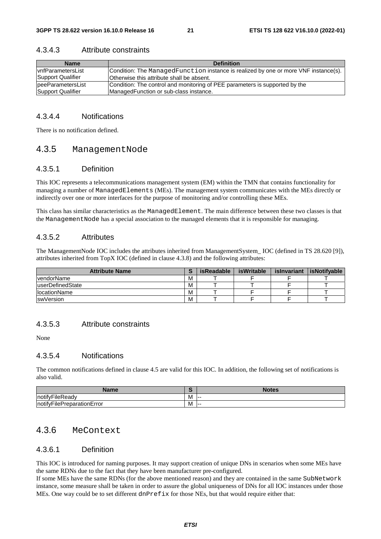| <b>Name</b>        | <b>Definition</b>                                                                    |
|--------------------|--------------------------------------------------------------------------------------|
| IvnfParametersList | Condition: The Managed Function instance is realized by one or more VNF instance(s). |
| Support Qualifier  | Otherwise this attribute shall be absent.                                            |
| peeParametersList  | Condition: The control and monitoring of PEE parameters is supported by the          |
| Support Qualifier  | ManagedFunction or sub-class instance.                                               |

#### 4.3.4.3 Attribute constraints

#### 4.3.4.4 Notifications

There is no notification defined.

## 4.3.5 ManagementNode

#### 4.3.5.1 Definition

This IOC represents a telecommunications management system (EM) within the TMN that contains functionality for managing a number of ManagedElements (MEs). The management system communicates with the MEs directly or indirectly over one or more interfaces for the purpose of monitoring and/or controlling these MEs.

This class has similar characteristics as the ManagedElement. The main difference between these two classes is that the ManagementNode has a special association to the managed elements that it is responsible for managing.

#### 4.3.5.2 Attributes

The ManagementNode IOC includes the attributes inherited from ManagementSystem\_ IOC (defined in TS 28.620 [9]), attributes inherited from TopX IOC (defined in clause 4.3.8) and the following attributes:

| <b>Attribute Name</b> |   | isReadable | isWritable | islnvariant | isNotifvable |
|-----------------------|---|------------|------------|-------------|--------------|
| vendorName            | M |            |            |             |              |
| luserDefinedState     | M |            |            |             |              |
| <b>IlocationName</b>  | M |            |            |             |              |
| <b>IswVersion</b>     | M |            |            |             |              |

#### 4.3.5.3 Attribute constraints

None

#### 4.3.5.4 Notifications

The common notifications defined in clause 4.5 are valid for this IOC. In addition, the following set of notifications is also valid.

| Name                                                |   | Notes |
|-----------------------------------------------------|---|-------|
| vFileReadv<br>$\cdot \cdot \cdot$<br><b>Inotify</b> | M | .     |
| notifyFilePreparationError                          | M | .     |

## 4.3.6 MeContext

#### 4.3.6.1 Definition

This IOC is introduced for naming purposes. It may support creation of unique DNs in scenarios when some MEs have the same RDNs due to the fact that they have been manufacturer pre-configured.

If some MEs have the same RDNs (for the above mentioned reason) and they are contained in the same SubNetwork instance, some measure shall be taken in order to assure the global uniqueness of DNs for all IOC instances under those MEs. One way could be to set different dnPrefix for those NEs, but that would require either that: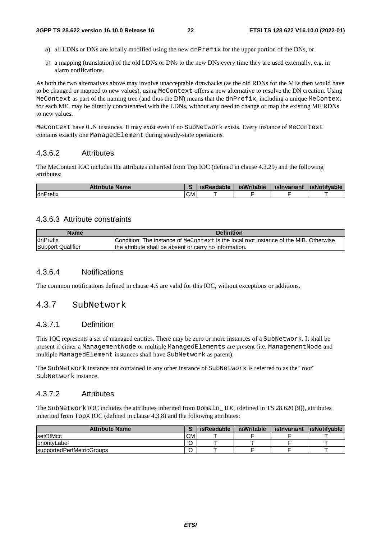- a) all LDNs or DNs are locally modified using the new dnPrefix for the upper portion of the DNs, or
- b) a mapping (translation) of the old LDNs or DNs to the new DNs every time they are used externally, e.g. in alarm notifications.

As both the two alternatives above may involve unacceptable drawbacks (as the old RDNs for the MEs then would have to be changed or mapped to new values), using MeContext offers a new alternative to resolve the DN creation. Using MeContext as part of the naming tree (and thus the DN) means that the dnPre $fix$ , including a unique MeContext for each ME, may be directly concatenated with the LDNs, without any need to change or map the existing ME RDNs to new values.

MeContext have 0..N instances. It may exist even if no SubNetwork exists. Every instance of MeContext contains exactly one ManagedElement during steady-state operations.

#### 4.3.6.2 Attributes

The MeContext IOC includes the attributes inherited from Top IOC (defined in clause 4.3.29) and the following attributes:

| <b>Attribute Name</b> |     | <i>isReadable</i> | <b>isWritable</b> | islnvariant | <b>SNotifvable</b> |
|-----------------------|-----|-------------------|-------------------|-------------|--------------------|
| dnPrefix              | CM. |                   |                   |             |                    |

#### 4.3.6.3 Attribute constraints

| Name              | <b>Definition</b>                                                                             |
|-------------------|-----------------------------------------------------------------------------------------------|
| <b>IdnPrefix</b>  | <b>ICondition: The instance of MeContext is the local root instance of the MIB. Otherwise</b> |
| Support Qualifier | the attribute shall be absent or carry no information.                                        |

#### 4.3.6.4 Notifications

The common notifications defined in clause 4.5 are valid for this IOC, without exceptions or additions.

## 4.3.7 SubNetwork

#### 4.3.7.1 Definition

This IOC represents a set of managed entities. There may be zero or more instances of a SubNetwork. It shall be present if either a ManagementNode or multiple ManagedElements are present (i.e. ManagementNode and multiple ManagedElement instances shall have SubNetwork as parent).

The SubNetwork instance not contained in any other instance of SubNetwork is referred to as the "root" SubNetwork instance.

#### 4.3.7.2 Attributes

The SubNetwork IOC includes the attributes inherited from Domain\_ IOC (defined in TS 28.620 [9]), attributes inherited from TopX IOC (defined in clause 4.3.8) and the following attributes:

| <b>Attribute Name</b>     |     | <b>isReadable</b> | isWritable | islnvariant | <i>isNotifvable</i> |
|---------------------------|-----|-------------------|------------|-------------|---------------------|
| <b>setOfMcc</b>           | CM. |                   |            |             |                     |
| <b>IpriorityLabel</b>     |     |                   |            |             |                     |
| supportedPerfMetricGroups |     |                   |            |             |                     |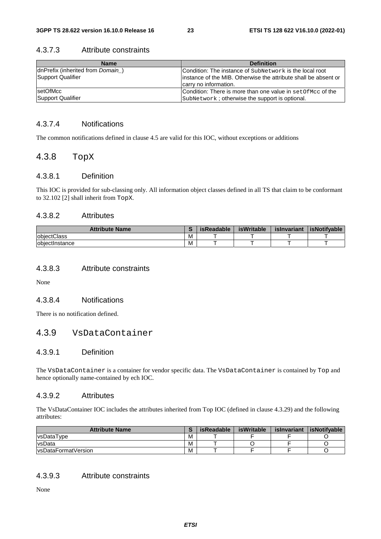#### 4.3.7.3 Attribute constraints

| <b>Name</b>                      | <b>Definition</b>                                                                         |
|----------------------------------|-------------------------------------------------------------------------------------------|
| dnPrefix (inherited from Domain) | Condition: The instance of SubNetwork is the local root                                   |
| Support Qualifier                | linstance of the MIB. Otherwise the attribute shall be absent or<br>carry no information. |
| setOfMcc                         | Condition: There is more than one value in set Of Mcc of the                              |
| <b>Support Qualifier</b>         | SubNetwork; otherwise the support is optional.                                            |

### 4.3.7.4 Notifications

The common notifications defined in clause 4.5 are valid for this IOC, without exceptions or additions

## 4.3.8 TopX

#### 4.3.8.1 Definition

This IOC is provided for sub-classing only. All information object classes defined in all TS that claim to be conformant to 32.102 [2] shall inherit from TopX.

#### 4.3.8.2 Attributes

| <b>Attribute Name</b> |          | <b>isReadable</b> | isWritable | islnvariant | <b>isNotifvable</b> |
|-----------------------|----------|-------------------|------------|-------------|---------------------|
| <b>lobiectClass</b>   | <b>M</b> |                   |            |             |                     |
| lobiectInstance       | M        |                   |            |             |                     |

#### 4.3.8.3 Attribute constraints

None

### 4.3.8.4 Notifications

There is no notification defined.

## 4.3.9 VsDataContainer

#### 4.3.9.1 Definition

The VsDataContainer is a container for vendor specific data. The VsDataContainer is contained by Top and hence optionally name-contained by ech IOC.

#### 4.3.9.2 Attributes

The VsDataContainer IOC includes the attributes inherited from Top IOC (defined in clause 4.3.29) and the following attributes:

| <b>Attribute Name</b> |   | <b>isReadable</b> | isWritable | islnvariant | <b>isNotifvable</b> |
|-----------------------|---|-------------------|------------|-------------|---------------------|
| <b>vsDataType</b>     | M |                   |            |             |                     |
| <b>vsData</b>         | M |                   |            |             |                     |
| lysDataFormatVersion  | M |                   |            |             |                     |

### 4.3.9.3 Attribute constraints

None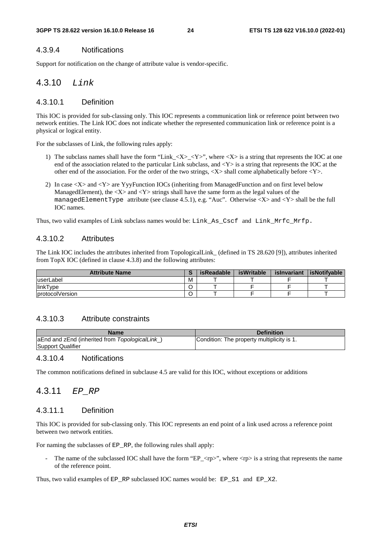## 4.3.9.4 Notifications

Support for notification on the change of attribute value is vendor-specific.

## 4.3.10 *Link*

### 4.3.10.1 Definition

This IOC is provided for sub-classing only. This IOC represents a communication link or reference point between two network entities. The Link IOC does not indicate whether the represented communication link or reference point is a physical or logical entity.

For the subclasses of Link, the following rules apply:

- 1) The subclass names shall have the form "Link\_<X>\_<Y>", where <X> is a string that represents the IOC at one end of the association related to the particular Link subclass, and  $\langle Y \rangle$  is a string that represents the IOC at the other end of the association. For the order of the two strings,  $\langle X \rangle$  shall come alphabetically before  $\langle Y \rangle$ .
- 2) In case <X> and <Y> are YyyFunction IOCs (inheriting from ManagedFunction and on first level below ManagedElement), the  $<\math>X$  and  $<\math>Y$  strings shall have the same form as the legal values of the managedElementType attribute (see clause 4.5.1), e.g. "Auc". Otherwise  $\langle X \rangle$  and  $\langle Y \rangle$  shall be the full IOC names.

Thus, two valid examples of Link subclass names would be: Link\_As\_Cscf and Link\_Mrfc\_Mrfp.

## 4.3.10.2 Attributes

The Link IOC includes the attributes inherited from TopologicalLink\_ (defined in TS 28.620 [9]), attributes inherited from TopX IOC (defined in clause 4.3.8) and the following attributes:

| <b>Attribute Name</b>   |   | isReadable | isWritable | <b>islnvariant</b> | <b>isNotifvable</b> |
|-------------------------|---|------------|------------|--------------------|---------------------|
| luserLabel              | M |            |            |                    |                     |
| linkType                |   |            |            |                    |                     |
| <b>IprotocolVersion</b> |   |            |            |                    |                     |

## 4.3.10.3 Attribute constraints

| Name                                                               | <b>Definition</b>                          |
|--------------------------------------------------------------------|--------------------------------------------|
| aEnd and zEnd (inherited from TopologicalLink<br>Support Qualifier | Condition: The property multiplicity is 1. |

#### 4.3.10.4 Notifications

The common notifications defined in subclause 4.5 are valid for this IOC, without exceptions or additions

## 4.3.11 *EP\_RP*

## 4.3.11.1 Definition

This IOC is provided for sub-classing only. This IOC represents an end point of a link used across a reference point between two network entities.

For naming the subclasses of EP\_RP, the following rules shall apply:

The name of the subclassed IOC shall have the form "EP\_<rp>", where  $\langle rp \rangle$  is a string that represents the name of the reference point.

Thus, two valid examples of EP\_RP subclassed IOC names would be: EP\_S1 and EP\_X2.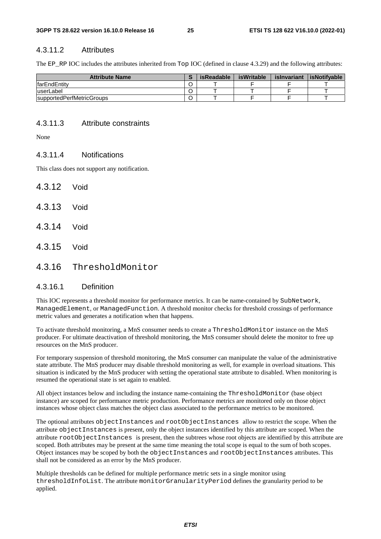#### 4.3.11.2 Attributes

The EP\_RP IOC includes the attributes inherited from Top IOC (defined in clause 4.3.29) and the following attributes:

| <b>Attribute Name</b>     | isReadable | isWritable | islnvariant | isNotifvable |
|---------------------------|------------|------------|-------------|--------------|
| <b>IfarEndEntity</b>      |            |            |             |              |
| luserLabel                |            |            |             |              |
| supportedPerfMetricGroups |            |            |             |              |

#### 4.3.11.3 Attribute constraints

None

#### 4.3.11.4 Notifications

This class does not support any notification.

4.3.12 Void 4.3.13 Void 4.3.14 Void 4.3.15 Void 4.3.16 ThresholdMonitor

## 4.3.16.1 Definition

This IOC represents a threshold monitor for performance metrics. It can be name-contained by SubNetwork, ManagedElement, or ManagedFunction. A threshold monitor checks for threshold crossings of performance metric values and generates a notification when that happens.

To activate threshold monitoring, a MnS consumer needs to create a ThresholdMonitor instance on the MnS producer. For ultimate deactivation of threshold monitoring, the MnS consumer should delete the monitor to free up resources on the MnS producer.

For temporary suspension of threshold monitoring, the MnS consumer can manipulate the value of the administrative state attribute. The MnS producer may disable threshold monitoring as well, for example in overload situations. This situation is indicated by the MnS producer with setting the operational state attribute to disabled. When monitoring is resumed the operational state is set again to enabled.

All object instances below and including the instance name-containing the ThresholdMonitor (base object instance) are scoped for performance metric production. Performance metrics are monitored only on those object instances whose object class matches the object class associated to the performance metrics to be monitored.

The optional attributes objectInstances and rootObjectInstances allow to restrict the scope. When the attribute objectInstances is present, only the object instances identified by this attribute are scoped. When the attribute rootObjectInstances is present, then the subtrees whose root objects are identified by this attribute are scoped. Both attributes may be present at the same time meaning the total scope is equal to the sum of both scopes. Object instances may be scoped by both the objectInstances and rootObjectInstances attributes. This shall not be considered as an error by the MnS producer.

Multiple thresholds can be defined for multiple performance metric sets in a single monitor using thresholdInfoList. The attribute monitorGranularityPeriod defines the granularity period to be applied.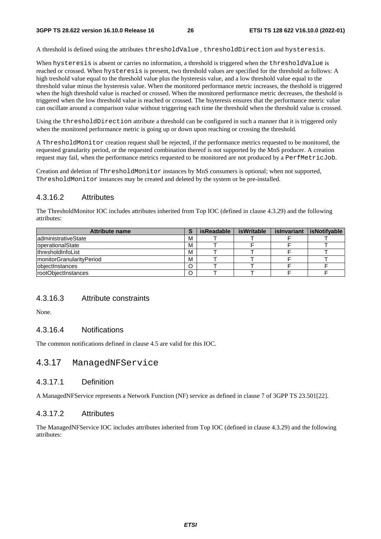A threshold is defined using the attributes thresholdValue , thresholdDirection and hysteresis.

When hysteresis is absent or carries no information, a threshold is triggered when the thresholdValue is reached or crossed. When hysteresis is present, two threshold values are specified for the threshold as follows: A high treshold value equal to the threshold value plus the hysteresis value, and a low threshold value equal to the threshold value minus the hysteresis value. When the monitored performance metric increases, the theshold is triggered when the high threshold value is reached or crossed. When the monitored performance metric decreases, the theshold is triggered when the low threshold value is reached or crossed. The hsyteresis ensures that the performance metric value can oscillate around a comparison value without triggering each time the threshold when the threshold value is crossed.

Using the thresholdDirection attribute a threshold can be configured in such a manner that it is triggered only when the monitored performance metric is going up or down upon reaching or crossing the threshold.

A ThresholdMonitor creation request shall be rejected, if the performance metrics requested to be monitored, the requested granularity period, or the requested combination thereof is not supported by the MnS producer. A creation request may fail, when the performance metrics requested to be monitored are not produced by a PerfMetricJob.

Creation and deletion of ThresholdMonitor instances by MnS consumers is optional; when not supported, ThresholdMonitor instances may be created and deleted by the system or be pre-installed.

## 4.3.16.2 Attributes

The ThresholdMonitor IOC includes attributes inherited from Top IOC (defined in clause 4.3.29) and the following attributes:

| <b>Attribute name</b>            |   | <b>isReadable</b> | isWritable | islnvariant | isNotifyable |
|----------------------------------|---|-------------------|------------|-------------|--------------|
| ladministrativeState             | M |                   |            |             |              |
| <b>loperationalState</b>         | M |                   |            |             |              |
| <b>IthresholdInfoList</b>        | M |                   |            |             |              |
| <b>ImonitorGranularityPeriod</b> | M |                   |            |             |              |
| <b>lobiectInstances</b>          |   |                   |            |             |              |
| rootObjectInstances              |   |                   |            |             |              |

#### 4.3.16.3 Attribute constraints

None.

#### 4.3.16.4 Notifications

The common notifications defined in clause 4.5 are valid for this IOC.

## 4.3.17 ManagedNFService

#### 4.3.17.1 Definition

A ManagedNFService represents a Network Function (NF) service as defined in clause 7 of 3GPP TS 23.501[22].

#### 4.3.17.2 Attributes

The ManagedNFService IOC includes attributes inherited from Top IOC (defined in clause 4.3.29) and the following attributes: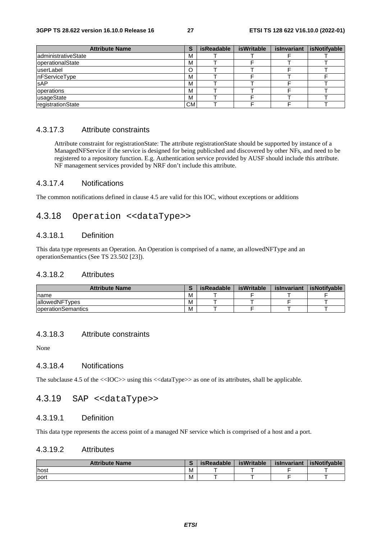| <b>Attribute Name</b> |           | <b>isReadable</b> | isWritable | islnvariant | isNotifyable |
|-----------------------|-----------|-------------------|------------|-------------|--------------|
| administrativeState   | M         |                   |            |             |              |
| operationalState      | M         |                   |            |             |              |
| userLabel             |           |                   |            |             |              |
| nFServiceType         | M         |                   |            |             |              |
| <b>SAP</b>            | M         |                   |            |             |              |
| operations            | M         |                   |            |             |              |
| usageState            | M         |                   |            |             |              |
| registrationState     | <b>CM</b> |                   |            |             |              |

### 4.3.17.3 Attribute constraints

Attribute constraint for registrationState: The attribute registrationState should be supported by instance of a ManagedNFService if the service is designed for being publicshed and discovered by other NFs, and need to be registered to a repository function. E.g. Authentication service provided by AUSF should include this attribute. NF management services provided by NRF don't include this attribute.

#### 4.3.17.4 Notifications

The common notifications defined in clause 4.5 are valid for this IOC, without exceptions or additions

## 4.3.18 Operation <<dataType>>

#### 4.3.18.1 Definition

This data type represents an Operation. An Operation is comprised of a name, an allowedNFType and an operationSemantics (See TS 23.502 [23]).

#### 4.3.18.2 Attributes

| <b>Attribute Name</b>      |   | isReadable | isWritable | islnvariant | <b>isNotifvable</b> |
|----------------------------|---|------------|------------|-------------|---------------------|
| Iname                      | M |            |            |             |                     |
| lallowedNFTvpes            | M |            |            |             |                     |
| <b>loperationSemantics</b> | M |            | -          |             |                     |

### 4.3.18.3 Attribute constraints

None

#### 4.3.18.4 Notifications

The subclause 4.5 of the <<IOC>> using this <<dataType>> as one of its attributes, shall be applicable.

### 4.3.19 SAP <<dataType>>

#### 4.3.19.1 Definition

This data type represents the access point of a managed NF service which is comprised of a host and a port.

#### 4.3.19.2 Attributes

| <b>Attribute Name</b> |     | isReadable | <b>isWritable</b> | islnvariant | <b>isNotifvable</b> |
|-----------------------|-----|------------|-------------------|-------------|---------------------|
| <b>lhost</b>          | ΙVΙ |            |                   |             |                     |
| port                  | M   |            |                   |             |                     |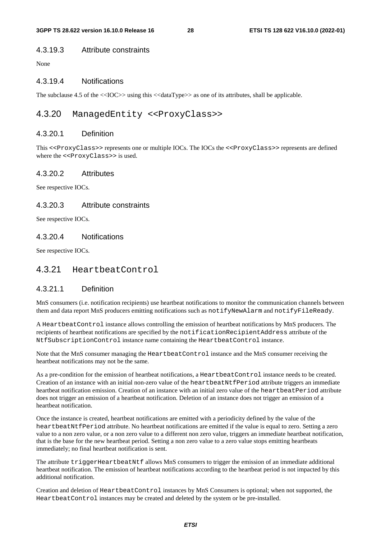#### 4.3.19.3 Attribute constraints

None

#### 4.3.19.4 Notifications

The subclause 4.5 of the  $\langle$ IOC $\rangle$  using this  $\langle$   $\langle$ dataType $\rangle$  as one of its attributes, shall be applicable.

## 4.3.20 ManagedEntity <<ProxyClass>>

#### 4.3.20.1 Definition

This <<ProxyClass>> represents one or multiple IOCs. The IOCs the <<ProxyClass>> represents are defined where the  $\langle$ -ProxyClass>> is used.

#### 4.3.20.2 Attributes

See respective IOCs.

#### 4.3.20.3 Attribute constraints

See respective IOCs.

### 4.3.20.4 Notifications

See respective IOCs.

### 4.3.21 HeartbeatControl

#### 4.3.21.1 Definition

MnS consumers (i.e. notification recipients) use heartbeat notifications to monitor the communication channels between them and data report MnS producers emitting notifications such as notifyNewAlarm and notifyFileReady.

A HeartbeatControl instance allows controlling the emission of heartbeat notifications by MnS producers. The recipients of heartbeat notifications are specified by the notificationRecipientAddress attribute of the NtfSubscriptionControl instance name containing the HeartbeatControl instance.

Note that the MnS consumer managing the HeartbeatControl instance and the MnS consumer receiving the heartbeat notifications may not be the same.

As a pre-condition for the emission of heartbeat notifications, a HeartbeatControl instance needs to be created. Creation of an instance with an initial non-zero value of the heartbeatNtfPeriod attribute triggers an immediate heartbeat notification emission. Creation of an instance with an initial zero value of the heartbeatPeriod attribute does not trigger an emission of a heartbeat notification. Deletion of an instance does not trigger an emission of a heartbeat notification.

Once the instance is created, heartbeat notifications are emitted with a periodicity defined by the value of the heartbeatNtfPeriod attribute. No heartbeat notifications are emitted if the value is equal to zero. Setting a zero value to a non zero value, or a non zero value to a different non zero value, triggers an immediate heartbeat notification, that is the base for the new heartbeat period. Setting a non zero value to a zero value stops emitting heartbeats immediately; no final heartbeat notification is sent.

The attribute triggerHeartbeatNtf allows MnS consumers to trigger the emission of an immediate additional heartbeat notification. The emission of heartbeat notifications according to the heartbeat period is not impacted by this additional notification.

Creation and deletion of HeartbeatControl instances by MnS Consumers is optional; when not supported, the HeartbeatControl instances may be created and deleted by the system or be pre-installed.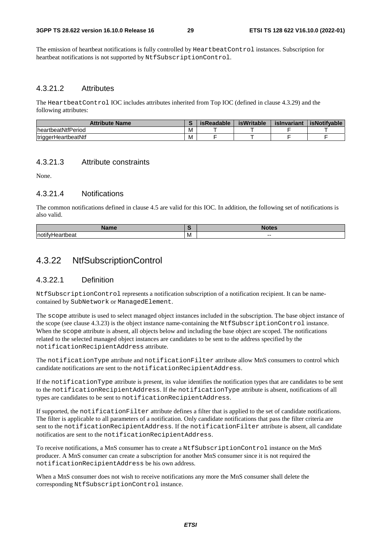The emission of heartbeat notifications is fully controlled by HeartbeatControl instances. Subscription for heartbeat notifications is not supported by NtfSubscriptionControl.

#### 4.3.21.2 Attributes

The HeartbeatControl IOC includes attributes inherited from Top IOC (defined in clause 4.3.29) and the following attributes:

| <b>Attribute Name</b>      |   | <b>isReadable</b> | <b>isWritable</b> | islnvariant | <b>isNotifvable</b> |
|----------------------------|---|-------------------|-------------------|-------------|---------------------|
| <b>IneartbeatNtfPeriod</b> | M |                   |                   |             |                     |
| <b>triggerHeartbeatNtf</b> | M |                   |                   |             |                     |

#### 4.3.21.3 Attribute constraints

None.

### 4.3.21.4 Notifications

The common notifications defined in clause 4.5 are valid for this IOC. In addition, the following set of notifications is also valid.

|     |   | í     |
|-----|---|-------|
| Inc | M | $- -$ |

## 4.3.22 NtfSubscriptionControl

#### 4.3.22.1 Definition

NtfSubscriptionControl represents a notification subscription of a notification recipient. It can be namecontained by SubNetwork or ManagedElement.

The scope attribute is used to select managed object instances included in the subscription. The base object instance of the scope (see clause 4.3.23) is the object instance name-containing the NtfSubscriptionControl instance. When the scope attribute is absent, all objects below and including the base object are scoped. The notifications related to the selected managed object instances are candidates to be sent to the address specified by the notificationRecipientAddress attribute.

The notificationType attribute and notificationFilter attribute allow MnS consumers to control which candidate notifications are sent to the notificationRecipientAddress.

If the notificationType attribute is present, its value identifies the notification types that are candidates to be sent to the notificationRecipientAddress. If the notificationType attribute is absent, notifications of all types are candidates to be sent to notificationRecipientAddress.

If supported, the notificationFilter attribute defines a filter that is applied to the set of candidate notifications. The filter is applicable to all parameters of a notification. Only candidate notifications that pass the filter criteria are sent to the notificationRecipientAddress. If the notificationFilter attribute is absent, all candidate notificatios are sent to the notificationRecipientAddress.

To receive notifications, a MnS consumer has to create a NtfSubscriptionControl instance on the MnS producer. A MnS consumer can create a subscription for another MnS consumer since it is not required the notificationRecipientAddress be his own address.

When a MnS consumer does not wish to receive notifications any more the MnS consumer shall delete the corresponding NtfSubscriptionControl instance.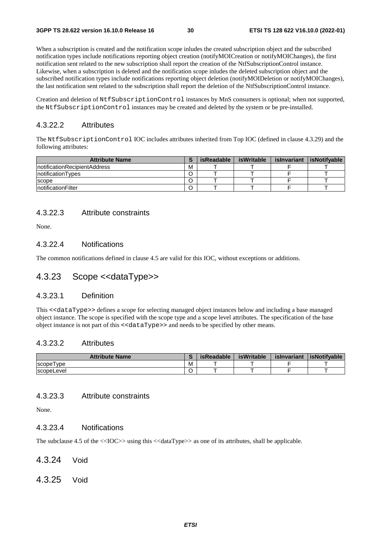When a subscription is created and the notification scope inludes the created subscription object and the subscribed notification types include notifications reporting object creation (notifyMOICreation or notifyMOIChanges), the first notification sent related to the new subscription shall report the creation of the NtfSubscriptionControl instance. Likewise, when a subscription is deleted and the notification scope inludes the deleted subscription object and the subscribed notification types include notifications reporting object deletion (notifyMOIDeletion or notifyMOIChanges), the last notification sent related to the subscription shall report the deletion of the NtfSubscriptionControl instance.

Creation and deletion of NtfSubscriptionControl instances by MnS consumers is optional; when not supported, the NtfSubscriptionControl instances may be created and deleted by the system or be pre-installed.

#### 4.3.22.2 Attributes

The NtfSubscriptionControl IOC includes attributes inherited from Top IOC (defined in clause 4.3.29) and the following attributes:

| <b>Attribute Name</b>         |   | isReadable | isWritable | islnvariant | isNotifvable |
|-------------------------------|---|------------|------------|-------------|--------------|
| InotificationRecipientAddress | м |            |            |             |              |
| InotificationTypes            |   |            |            |             |              |
| <b>SCODE</b>                  |   |            |            |             |              |
| InotificationFilter           |   |            |            |             |              |

#### 4.3.22.3 Attribute constraints

None.

#### 4.3.22.4 Notifications

The common notifications defined in clause 4.5 are valid for this IOC, without exceptions or additions.

## 4.3.23 Scope <<dataType>>

#### 4.3.23.1 Definition

This <<dataType>> defines a scope for selecting managed object instances below and including a base managed object instance. The scope is specified with the scope type and a scope level attributes. The specification of the base object instance is not part of this <<dataType>> and needs to be specified by other means.

#### 4.3.23.2 Attributes

| <b>Attribute Name</b> |   | isReadable | <b>isWritable</b> | islnvariant | <b>isNotifvable</b> |
|-----------------------|---|------------|-------------------|-------------|---------------------|
| ' vpe<br>scope l      | M |            |                   |             |                     |
| scopeLevel            |   |            |                   |             |                     |

#### 4.3.23.3 Attribute constraints

None.

### 4.3.23.4 Notifications

The subclause 4.5 of the <<IOC>> using this <<dataType>> as one of its attributes, shall be applicable.

- 4.3.24 Void
- 4.3.25 Void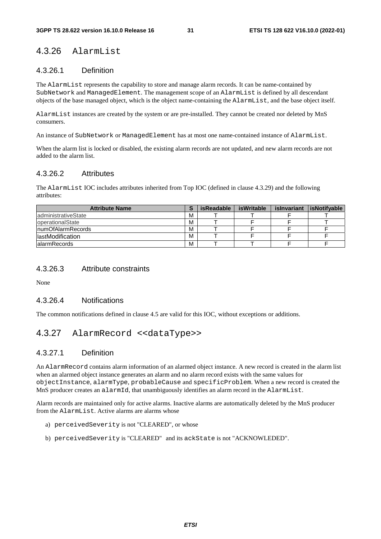## 4.3.26 AlarmList

#### 4.3.26.1 Definition

The AlarmList represents the capability to store and manage alarm records. It can be name-contained by SubNetwork and ManagedElement. The management scope of an AlarmList is defined by all descendant objects of the base managed object, which is the object name-containing the AlarmList, and the base object itself.

AlarmList instances are created by the system or are pre-installed. They cannot be created nor deleted by MnS consumers.

An instance of SubNetwork or ManagedElement has at most one name-contained instance of AlarmList.

When the alarm list is locked or disabled, the existing alarm records are not updated, and new alarm records are not added to the alarm list.

#### 4.3.26.2 Attributes

The AlarmList IOC includes attributes inherited from Top IOC (defined in clause 4.3.29) and the following attributes:

| <b>Attribute Name</b>     |   | isReadable | isWritable | islnvariant | <b>isNotifvable</b> |
|---------------------------|---|------------|------------|-------------|---------------------|
| ladministrativeState      | M |            |            |             |                     |
| <b>loperationalState</b>  | M |            |            |             |                     |
| <b>InumOfAlarmRecords</b> | M |            |            |             |                     |
| <b>IlastModification</b>  | M |            |            |             |                     |
| lalarmRecords             | M |            |            |             |                     |

#### 4.3.26.3 Attribute constraints

None

#### 4.3.26.4 Notifications

The common notifications defined in clause 4.5 are valid for this IOC, without exceptions or additions.

## 4.3.27 AlarmRecord <<dataType>>

#### 4.3.27.1 Definition

An AlarmRecord contains alarm information of an alarmed object instance. A new record is created in the alarm list when an alarmed object instance generates an alarm and no alarm record exists with the same values for objectInstance, alarmType, probableCause and specificProblem. When a new record is created the MnS producer creates an alarmId, that unambiguously identifies an alarm record in the AlarmList.

Alarm records are maintained only for active alarms. Inactive alarms are automatically deleted by the MnS producer from the AlarmList. Active alarms are alarms whose

- a) perceivedSeverity is not "CLEARED", or whose
- b) perceivedSeverity is "CLEARED" and its ackState is not "ACKNOWLEDED".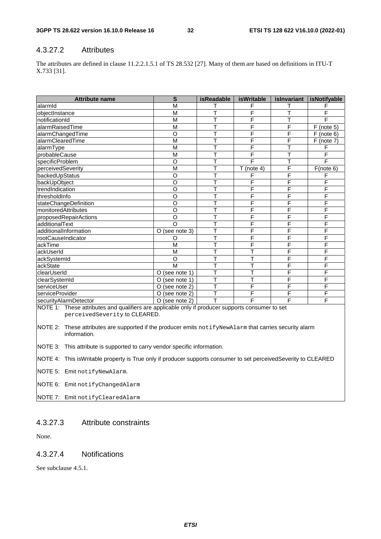## 4.3.27.2 Attributes

The attributes are defined in clause 11.2.2.1.5.1 of TS 28.532 [27]. Many of them are based on definitions in ITU-T X.733 [31].

| <b>Attribute name</b>                                                                               | S                 | <b>isReadable</b> | <b>isWritable</b>       | islnvariant | isNotifyable  |
|-----------------------------------------------------------------------------------------------------|-------------------|-------------------|-------------------------|-------------|---------------|
| alarmid                                                                                             | M                 |                   | F                       |             | F             |
| objectInstance                                                                                      | M                 | T                 | F                       | т           | F             |
| notificationId                                                                                      | M                 |                   | F                       |             | F             |
| alarmRaisedTime                                                                                     | M                 | T                 | F                       | F           | $F$ (note 5)  |
| alarmChangedTime                                                                                    | $\circ$           | т                 | F                       | F           | F<br>(note 6) |
| alarmClearedTime                                                                                    | M                 |                   | F                       | F           | $F$ (note 7)  |
| lalarmType                                                                                          | M                 |                   | F                       | т           | F             |
| probableCause                                                                                       | M                 |                   | F                       |             | F             |
| specificProblem                                                                                     | O                 | T                 | F                       |             | F             |
| perceivedSeverity                                                                                   | M                 | ┯                 | $T$ (note 4)            | F           | F(note 6)     |
| backedUpStatus                                                                                      | O                 | т                 | F                       | F           | F             |
| backUpObject                                                                                        | O                 | T                 | F                       | F           | F             |
| trendIndication                                                                                     | O                 |                   | F                       | F           | F             |
| IthresholdInfo                                                                                      | O                 | т                 | F                       | F           | F             |
| stateChangeDefinition                                                                               | O                 |                   | F                       | F           | F             |
| <b>monitoredAttributes</b>                                                                          | O                 | T                 | F                       | F           | F             |
| proposedRepairActions                                                                               | O                 | т                 | Ē                       | F           | F             |
| ladditionalText                                                                                     | $\Omega$          |                   | F                       | F           | F             |
| additionalInformation                                                                               | O (see note 3)    | T                 | F                       | F           | F             |
| rootCauseIndicator                                                                                  | Ω                 | т                 | F                       | F           | F             |
| ackTime                                                                                             | M                 | T                 | F                       | F           | F             |
| ackUserId                                                                                           | M                 | T                 | $\overline{\mathsf{T}}$ | F           | F             |
| ackSystemId                                                                                         | O                 | т                 | т                       | F           | F             |
| ackState                                                                                            | M                 | т                 | T                       | F           | F             |
| clearUserId                                                                                         | $O$ (see note 1)  | т                 | T                       | F           | F             |
| clearSystemId                                                                                       | (see note 1)<br>O | T                 | T                       | F           | F             |
| <b>IserviceUser</b>                                                                                 | (see note 2)<br>O | т                 | F                       | F           | F             |
| serviceProvider                                                                                     | (see note 2)<br>O | ┯                 | F                       | F           | F             |
| securityAlarmDetector                                                                               | (see note 2)<br>O |                   | F                       | F           | F             |
| $M$ OTE 1: These attributes and qualifiers are applicable only if producer supports consumer to set |                   |                   |                         |             |               |

pplicable only if producer supports consumer to set perceivedSeverity to CLEARED.

NOTE 2: These attributes are supported if the producer emits notifyNewAlarm that carries security alarm information.

NOTE 3: This attribute is supported to carry vendor specific information.

NOTE 4: This isWritable property is True only if producer supports consumer to set perceivedSeverity to CLEARED

NOTE 5: Emit notifyNewAlarm.

NOTE 6: Emit notifyChangedAlarm

NOTE 7: Emit notifyClearedAlarm

## 4.3.27.3 Attribute constraints

None.

#### 4.3.27.4 Notifications

See subclause 4.5.1.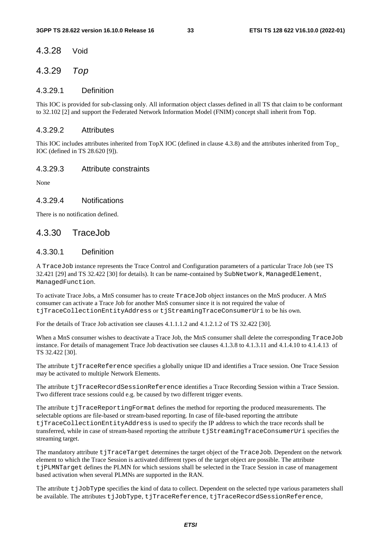#### 4.3.28 Void

### 4.3.29 *Top*

#### 4.3.29.1 Definition

This IOC is provided for sub-classing only. All information object classes defined in all TS that claim to be conformant to 32.102 [2] and support the Federated Network Information Model (FNIM) concept shall inherit from Top.

#### 4.3.29.2 Attributes

This IOC includes attributes inherited from TopX IOC (defined in clause 4.3.8) and the attributes inherited from Top\_ IOC (defined in TS 28.620 [9]).

#### 4.3.29.3 Attribute constraints

None

#### 4.3.29.4 Notifications

There is no notification defined.

### 4.3.30 TraceJob

#### 4.3.30.1 Definition

A TraceJob instance represents the Trace Control and Configuration parameters of a particular Trace Job (see TS 32.421 [29] and TS 32.422 [30] for details). It can be name-contained by SubNetwork, ManagedElement, ManagedFunction.

To activate Trace Jobs, a MnS consumer has to create TraceJob object instances on the MnS producer. A MnS consumer can activate a Trace Job for another MnS consumer since it is not required the value of tjTraceCollectionEntityAddress or tjStreamingTraceConsumerUri to be his own.

For the details of Trace Job activation see clauses 4.1.1.1.2 and 4.1.2.1.2 of TS 32.422 [30].

When a MnS consumer wishes to deactivate a Trace Job, the MnS consumer shall delete the corresponding TraceJob instance. For details of management Trace Job deactivation see clauses 4.1.3.8 to 4.1.3.11 and 4.1.4.10 to 4.1.4.13 of TS 32.422 [30].

The attribute tjTraceReference specifies a globally unique ID and identifies a Trace session. One Trace Session may be activated to multiple Network Elements.

The attribute tjTraceRecordSessionReference identifies a Trace Recording Session within a Trace Session. Two different trace sessions could e.g. be caused by two different trigger events.

The attribute tjTraceReportingFormat defines the method for reporting the produced measurements. The selectable options are file-based or stream-based reporting. In case of file-based reporting the attribute tjTraceCollectionEntityAddress is used to specify the IP address to which the trace records shall be transferred, while in case of stream-based reporting the attribute tjStreamingTraceConsumerUri specifies the streaming target.

The mandatory attribute tjTraceTarget determines the target object of the TraceJob. Dependent on the network element to which the Trace Session is activated different types of the target object are possible. The attribute tjPLMNTarget defines the PLMN for which sessions shall be selected in the Trace Session in case of management based activation when several PLMNs are supported in the RAN.

The attribute  $t$   $\bar{j}$   $\bar{j}$  $\bar{j}$  $\bar{k}$   $\bar{j}$   $\bar{k}$  pecifies the kind of data to collect. Dependent on the selected type various parameters shall be available. The attributes tjJobType, tjTraceReference, tjTraceRecordSessionReference,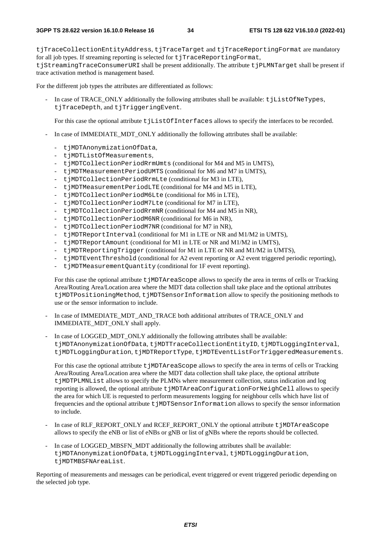tjTraceCollectionEntityAddress, tjTraceTarget and tjTraceReportingFormat are mandatory for all job types. If streaming reporting is selected for  $t$  iTraceReportingFormat,

tjStreamingTraceConsumerURI shall be present additionally. The attribute tjPLMNTarget shall be present if trace activation method is management based.

For the different job types the attributes are differentiated as follows:

In case of TRACE\_ONLY additionally the following attributes shall be available:  $t$  jListOfNeTypes, tjTraceDepth, and tjTriggeringEvent.

For this case the optional attribute t jListOfInterfaces allows to specify the interfaces to be recorded.

- In case of IMMEDIATE\_MDT\_ONLY additionally the following attributes shall be available:
	- tjMDTAnonymizationOfData,
	- tjMDTListOfMeasurements,
	- tjMDTCollectionPeriodRrmUmts (conditional for M4 and M5 in UMTS),
	- tjMDTMeasurementPeriodUMTS (conditional for M6 and M7 in UMTS),
	- tjMDTCollectionPeriodRrmLte (conditional for M3 in LTE),
	- tjMDTMeasurementPeriodLTE (conditional for M4 and M5 in LTE),
	- tjMDTCollectionPeriodM6Lte (conditional for M6 in LTE),
	- tjMDTCollectionPeriodM7Lte (conditional for M7 in LTE),
	- tjMDTCollectionPeriodRrmNR (conditional for M4 and M5 in NR),
	- tjMDTCollectionPeriodM6NR (conditional for M6 in NR),
	- tjMDTCollectionPeriodM7NR (conditional for M7 in NR),
	- tjMDTReportInterval (conditional for M1 in LTE or NR and M1/M2 in UMTS),
	- tjMDTReportAmount (conditional for M1 in LTE or NR and M1/M2 in UMTS),
	- tjMDTReportingTrigger (conditional for M1 in LTE or NR and M1/M2 in UMTS),
	- t jMDTEventThreshold (conditional for A2 event reporting or A2 event triggered periodic reporting),
	- tjMDTMeasurementQuantity (conditional for 1F event reporting).

For this case the optional attribute t  $\text{jMDTAreaScope}$  allows to specify the area in terms of cells or Tracking Area/Routing Area/Location area where the MDT data collection shall take place and the optional attributes tjMDTPositioningMethod, tjMDTSensorInformation allow to specify the positioning methods to use or the sensor information to include.

- In case of IMMEDIATE\_MDT\_AND\_TRACE both additional attributes of TRACE\_ONLY and IMMEDIATE\_MDT\_ONLY shall apply.
- In case of LOGGED\_MDT\_ONLY additionally the following attributes shall be available: tjMDTAnonymizationOfData, tjMDTTraceCollectionEntityID, tjMDTLoggingInterval, tjMDTLoggingDuration, tjMDTReportType, tjMDTEventListForTriggeredMeasurements.

For this case the optional attribute t jMDTAreaScope allows to specify the area in terms of cells or Tracking Area/Routing Area/Location area where the MDT data collection shall take place, the optional attribute tjMDTPLMNList allows to specify the PLMNs where measurement collection, status indication and log reporting is allowed, the optional attribute t jMDTAreaConfigurationForNeighCell allows to specify the area for which UE is requested to perform measurements logging for neighbour cells which have list of frequencies and the optional attribute tjMDTSensorInformation allows to specify the sensor information to include.

- In case of RLF\_REPORT\_ONLY and RCEF\_REPORT\_ONLY the optional attribute t  $\eta$ MDTAreaScope allows to specify the eNB or list of eNBs or gNB or list of gNBs where the reports should be collected.
- In case of LOGGED MBSFN MDT additionally the following attributes shall be available: tjMDTAnonymizationOfData, tjMDTLoggingInterval, tjMDTLoggingDuration, tjMDTMBSFNAreaList.

Reporting of measurements and messages can be periodical, event triggered or event triggered periodic depending on the selected job type.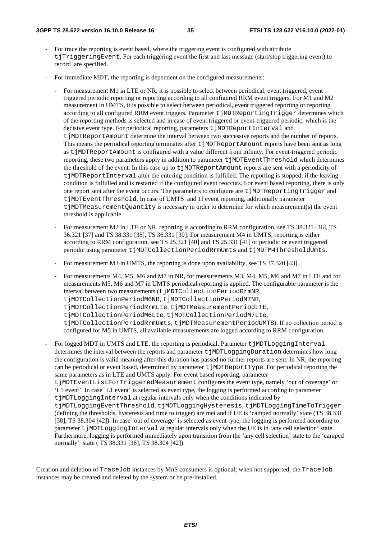- For trace the reporting is event based, where the triggering event is configured with attribute tjTriggeringEvent. For each triggering event the first and last message (start/stop triggering event) to record are specified.
- For immediate MDT, the reporting is dependent on the configured measurements:
	- For measurement M1 in LTE or NR, it is possible to select between periodical, event triggered, event triggered periodic reporting or reporting according to all configured RRM event triggers. For M1 and M2 measurement in UMTS, it is possible to select between periodical, event triggered reporting or reporting according to all configured RRM event triggers. Parameter t jMDTReportingTrigger determines which of the reporting methods is selected and in case of event triggered or event-triggered periodic, which is the decisive event type. For periodical reporting, parameters tjMDTReportInterval and tjMDTReportAmount determine the interval between two successive reports and the number of reports. This means the periodical reporting terminates after  $t$   $\gamma$ MDTReportAmount reports have been sent as long as t jMDTReportAmount is configured with a value different from infinity. For event-triggered periodic reporting, these two parameters apply in addition to parameter t  $\text{MDTEventThreshold}$  which determines the threshold of the event. In this case up to tjMDTReportAmount reports are sent with a periodicity of tjMDTReportInterval after the entering condition is fulfilled. The reporting is stopped, if the leaving condition is fulfulled and is restarted if the configured event reoccurs. For event based reporting, there is only one report sent after the event occurs. The parameters to configure are tjMDTReportingTrigger and tjMDTEventThreshold. In case of UMTS and 1f event reporting, additionally parameter tjMDTMeasurementQuantity is necessary in order to determine for which measurement(s) the event threshold is applicable.
	- For measurement M2 in LTE or NR, reporting is according to RRM configuration, see TS 38.321 [36], TS 36.321 [37] and TS 38.331 [38], TS 36.331 [39]. For measurement M4 in UMTS, reporting is either according to RRM configuration, see TS 25.321 [40] and TS 25.331 [41] or periodic or event triggered periodic using parameter tjMDTCollectionPeriodRrmUmts and tjMDTM4ThresholdUmts.
	- For measurement M3 in UMTS, the reporting is done upon availability, see TS 37.320 [43].
	- For measurements M4, M5, M6 and M7 in NR, for measurements M3, M4, M5, M6 and M7 in LTE and for measurements M5, M6 and M7 in UMTS periodical reporting is applied. The configurable parameter is the interval between two measurements (tiMDTCollectionPeriodRrmNR, tjMDTCollectionPeriodM6NR, tjMDTCollectionPeriodM7NR, tjMDTCollectionPeriodRrmLte, tjMDTMeasurementPeriodLTE, tjMDTCollectionPeriodM6Lte, tjMDTCollectionPeriodM7Lte, tjMDTCollectionPeriodRrmUmts, tjMDTMeasurementPeriodUMTS). If no collection period is configured for M5 in UMTS, all available measurements are logged according to RRM configuration.
- For logged MDT in UMTS and LTE, the reporting is periodical. Parameter t jMDTLoggingInterval determines the interval between the reports and parameter  $t$  jMDTLoggingDuration determines how long the configuration is valid meaning after this duration has passed no further reports are sent. In NR, the reporting can be periodical or event based, determined by parameter  $t$  jMDTReportType. For periodical reporting the same parameters as in LTE and UMTS apply. For event based reporting, parameter tjMDTEventListForTriggeredMeasurement configures the event type, namely 'out of coverage' or 'L1 event'. In case 'L1 event' is selected as event type, the logging is performed according to parameter tjMDTLoggingInterval at regular intervals only when the conditions indicated by tjMDTLoggingEventThreshold, tjMDTLoggingHysteresis, tjMDTLoggingTimeToTrigger (defining the thresholds, hysteresis and time to trigger) are met and if UE is 'camped normally' state (TS 38.331 [38], TS 38.304 [42]). In case 'out of coverage' is selected as event type, the logging is performed according to parameter tjMDTLoggingInterval at regular intervals only when the UE is in 'any cell selection' state. Furthermore, logging is performed immediately upon transition from the 'any cell selection' state to the 'camped normally' state ( TS 38.331 [38], TS 38.304 [42]).

Creation and deletion of TraceJob instances by MnS consumers is optional; when not supported, the TraceJob instances may be created and deleted by the system or be pre-installed.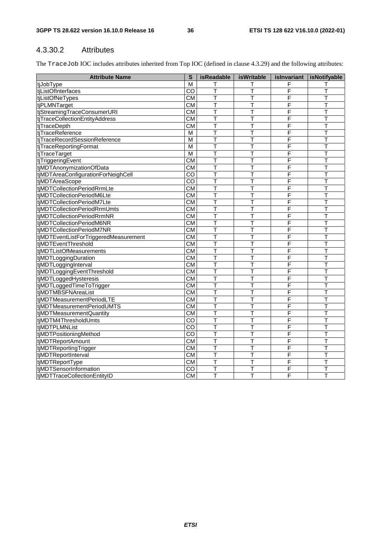### 4.3.30.2 Attributes

The TraceJob IOC includes attributes inherited from Top IOC (defined in clause 4.3.29) and the following attributes:

| <b>Attribute Name</b>                 | S                       | isReadable              | <b>isWritable</b> | islnvariant | <i>s</i> Notifyable     |
|---------------------------------------|-------------------------|-------------------------|-------------------|-------------|-------------------------|
| tjJobType                             | М                       |                         | Т                 | F           |                         |
| tjListOfInterfaces                    | $\overline{c}$          | T                       | T                 | F           | T                       |
| tiListOfNeTypes                       | $\overline{\text{CM}}$  | T                       | T                 | F           | T                       |
| tjPLMNTarget                          | $\overline{\text{CM}}$  | т                       | T                 | F           | т                       |
| tjStreamingTraceConsumerURI           | $\overline{\text{CM}}$  | т                       | T                 | F           | т                       |
| tjTraceCollectionEntityAddress        | $\overline{\text{CM}}$  | T                       | T                 | F           | T                       |
| tjTraceDepth                          | $\overline{\text{CM}}$  | Т                       | Т                 | F           | т                       |
| tjTraceReference                      | M                       | T                       | T                 | F           | T                       |
| tjTraceRecordSessionReference         | $\overline{M}$          | Ŧ                       | Т                 | F           | T                       |
| tjTraceReportingFormat                | $\overline{\mathsf{M}}$ | T                       | T                 | F           | T                       |
| tjTraceTarget                         | $\overline{\mathsf{M}}$ | T                       | T                 | F           | T                       |
| tjTriggeringEvent                     | $\overline{\text{CM}}$  | T                       | T                 | F           | T                       |
| tjMDTAnonymizationOfData              | $\overline{\text{CM}}$  | T                       | т                 | F           | т                       |
| tjMDTAreaConfigurationForNeighCell    | $\overline{c}$          | T                       | T                 | F           | т                       |
| tjMDTAreaScope                        | CO                      | T                       | T                 | F           | T                       |
| tjMDTCollectionPeriodRrmLte           | $\overline{\text{CM}}$  | т                       | т                 | F           | Т                       |
| tjMDTCollectionPeriodM6Lte            | $\overline{\text{CM}}$  | т                       | Т                 | F           | т                       |
| tjMDTCollectionPeriodM7Lte            | $\overline{\text{CM}}$  | T                       | T                 | F           | T                       |
| tjMDTCollectionPeriodRrmUmts          | CM                      | T                       | T                 | F           | T                       |
| tjMDTCollectionPeriodRrmNR            | $\overline{\text{CM}}$  | T                       | T                 | F           | T                       |
| tjMDTCollectionPeriodM6NR             | CM                      | $\overline{\mathsf{T}}$ | T                 | F           | $\overline{\mathsf{T}}$ |
| tjMDTCollectionPeriodM7NR             | CM                      | T                       | T                 | F           | T                       |
| tjMDTEventListForTriggeredMeasurement | $\overline{\text{CM}}$  | T                       | T                 | F           | T                       |
| tjMDTEventThreshold                   | CM                      | T                       | T                 | F           | T                       |
| tjMDTListOfMeasurements               | CM                      | T                       | T                 | F           | T                       |
| tjMDTLoggingDuration                  | $\overline{\text{CM}}$  | т                       | т                 | F           | т                       |
| tjMDTLoggingInterval                  | CM                      | T                       | T                 | F           | T                       |
| tjMDTLoggingEventThreshold            | CM                      | T                       | T                 | F           | T                       |
| tjMDTLoggedHysteresis                 | CM                      | T                       | T                 | F           | T                       |
| tjMDTLoggedTimeToTrigger              | CM                      | T                       | Τ                 | F           | T                       |
| tjMDTMBSFNAreaList                    | CM                      | $\overline{\mathsf{T}}$ | T                 | F           | $\overline{\mathsf{T}}$ |
| tiMDTMeasurementPeriodLTE             | $\overline{\text{CM}}$  | T                       | т                 | F           | т                       |
| tiMDTMeasurementPeriodUMTS            | $\overline{\text{CM}}$  | T                       | Т                 | F           | т                       |
| tjMDTMeasurementQuantity              | $\overline{\text{CM}}$  | т                       | T                 | F           | T                       |
| tjMDTM4ThresholdUmts                  | $\overline{CO}$         | T                       | Τ                 | F           | T                       |
| tjMDTPLMNList                         | $\overline{C}$          | Т                       | Т                 | F           | T                       |
| tjMDTPositioningMethod                | $\overline{c}$          | $\overline{\mathsf{T}}$ | T                 | F           | $\overline{\mathsf{T}}$ |
| tjMDTReportAmount                     | CM                      | T                       | Τ                 | F           | T                       |
| tjMDTReportingTrigger                 | CM                      | T                       | T                 | F           | T                       |
| tjMDTReportInterval                   | CM                      | T                       | T                 | F           | T                       |
| tjMDTReportType                       | CM                      | T                       | T                 | F           | T                       |
| tjMDTSensorInformation                | $\overline{C}$          | т                       | T                 | F           | т                       |
| tiMDTTraceCollectionEntityID          | CM                      | Т                       | T                 | F           | T                       |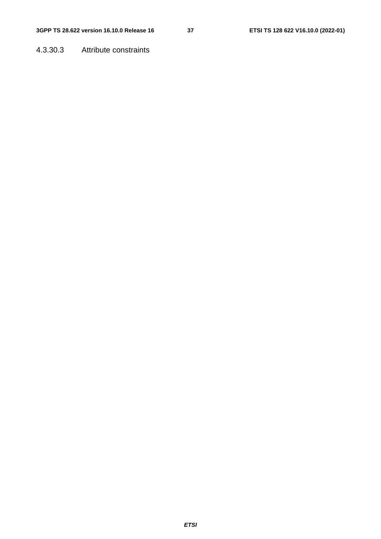4.3.30.3 Attribute constraints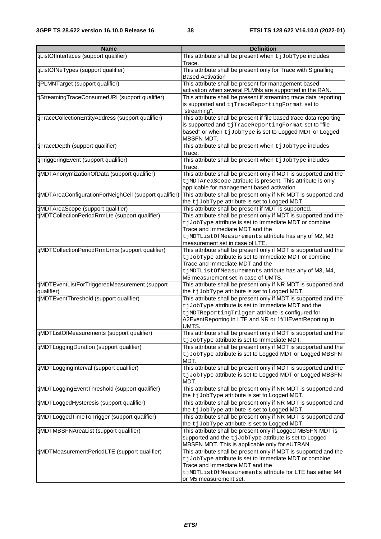| <b>Name</b>                                                  | <b>Definition</b>                                                                                                                                                                                                                                             |
|--------------------------------------------------------------|---------------------------------------------------------------------------------------------------------------------------------------------------------------------------------------------------------------------------------------------------------------|
| tjListOfInterfaces (support qualifier)                       | This attribute shall be present when tjJobType includes<br>Trace.                                                                                                                                                                                             |
| tjListOfNeTypes (support qualifier)                          | This attribute shall be present only for Trace with Signalling<br><b>Based Activation</b>                                                                                                                                                                     |
| tjPLMNTarget (support qualifier)                             | This attribute shall be present for management based<br>activation when several PLMNs are supported in the RAN.                                                                                                                                               |
| tjStreamingTraceConsumerURI (support qualifier)              | This attribute shall be present if streaming trace data reporting<br>is supported and tjTraceReportingFormat set to<br>"streaming".                                                                                                                           |
| tjTraceCollectionEntityAddress (support qualifier)           | This attribute shall be present if file based trace data reporting<br>is supported and tjTraceReportingFormat set to "file<br>based" or when tjJobType is set to Logged MDT or Logged<br><b>MBSFN MDT.</b>                                                    |
| tjTraceDepth (support qualifier)                             | This attribute shall be present when tjJobType includes<br>Trace.                                                                                                                                                                                             |
| tjTriggeringEvent (support qualifier)                        | This attribute shall be present when tjJobType includes<br>Trace.                                                                                                                                                                                             |
| tjMDTAnonymizationOfData (support qualifier)                 | This attribute shall be present only if MDT is supported and the<br>t jMDTAreaScope attribute is present. This attribute is only<br>applicable for management based activation.                                                                               |
| tjMDTAreaConfigurationForNeighCell (support qualifier)       | This attribute shall be present only if NR MDT is supported and<br>the tjJobType attribute is set to Logged MDT.                                                                                                                                              |
| tjMDTAreaScope (support qualifier)                           | This attribute shall be present if MDT is supported.                                                                                                                                                                                                          |
| tjMDTCollectionPeriodRrmLte (support qualifier)              | This attribute shall be present only if MDT is supported and the<br>t jJobType attribute is set to Immediate MDT or combine<br>Trace and Immediate MDT and the<br>tjMDTListOfMeasurements attribute has any of M2, M3<br>measurement set in case of LTE.      |
| tjMDTCollectionPeriodRrmUmts (support qualifier)             | This attribute shall be present only if MDT is supported and the<br>t jJobType attribute is set to Immediate MDT or combine<br>Trace and Immediate MDT and the<br>tjMDTListOfMeasurements attribute has any of M3, M4,<br>M5 measurement set in case of UMTS. |
| tjMDTEventListForTriggeredMeasurement (support<br>qualifier) | This attribute shall be present only if NR MDT is supported and<br>the tjJobType attribute is set to Logged MDT.                                                                                                                                              |
| tjMDTEventThreshold (support qualifier)                      | This attribute shall be present only if MDT is supported and the<br>tjJobType attribute is set to Immediate MDT and the<br>tjMDTReportingTrigger attribute is configured for<br>A2EventReporting in LTE and NR or 1f/1IEventReporting in<br>UMTS.             |
| tjMDTListOfMeasurements (support qualifier)                  | This attribute shall be present only if MDT is supported and the<br>t jJobType attribute is set to Immediate MDT.                                                                                                                                             |
| tjMDTLoggingDuration (support qualifier)                     | This attribute shall be present only if MDT is supported and the<br>t jJobType attribute is set to Logged MDT or Logged MBSFN<br>MDT.                                                                                                                         |
| tjMDTLoggingInterval (support qualifier)                     | This attribute shall be present only if MDT is supported and the<br>t jJobType attribute is set to Logged MDT or Logged MBSFN<br>MDT.                                                                                                                         |
| tjMDTLoggingEventThreshold (support qualifier)               | This attribute shall be present only if NR MDT is supported and<br>the tjJobType attribute is set to Logged MDT.                                                                                                                                              |
| tjMDTLoggedHysteresis (support qualifier)                    | This attribute shall be present only if NR MDT is supported and<br>the tjJobType attribute is set to Logged MDT.                                                                                                                                              |
| tjMDTLoggedTimeToTrigger (support qualifier)                 | This attribute shall be present only if NR MDT is supported and<br>the tjJobType attribute is set to Logged MDT.                                                                                                                                              |
| tjMDTMBSFNAreaList (support qualifier)                       | This attribute shall be present only if Logged MBSFN MDT is<br>supported and the tjJobType attribute is set to Logged<br>MBSFN MDT. This is applicable only for eUTRAN.                                                                                       |
| tjMDTMeasurementPeriodLTE (support qualifier)                | This attribute shall be present only if MDT is supported and the<br>t jJobType attribute is set to Immediate MDT or combine<br>Trace and Immediate MDT and the<br>tjMDTListOfMeasurements attribute for LTE has either M4<br>or M5 measurement set.           |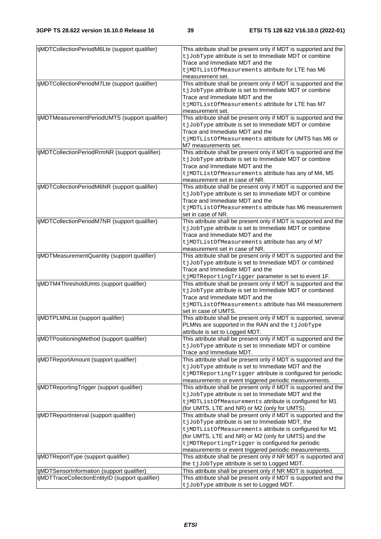| tjMDTCollectionPeriodM6Lte (support qualifier)   | This attribute shall be present only if MDT is supported and the<br>t jJobType attribute is set to Immediate MDT or combine |
|--------------------------------------------------|-----------------------------------------------------------------------------------------------------------------------------|
|                                                  | Trace and Immediate MDT and the                                                                                             |
|                                                  | tjMDTListOfMeasurements attribute for LTE has M6                                                                            |
|                                                  | measurement set.                                                                                                            |
| tjMDTCollectionPeriodM7Lte (support qualifier)   | This attribute shall be present only if MDT is supported and the                                                            |
|                                                  | t jJobType attribute is set to Immediate MDT or combine                                                                     |
|                                                  | Trace and Immediate MDT and the                                                                                             |
|                                                  |                                                                                                                             |
|                                                  | tjMDTListOfMeasurements attribute for LTE has M7                                                                            |
|                                                  | measurement set.                                                                                                            |
| tjMDTMeasurementPeriodUMTS (support qualifier)   | This attribute shall be present only if MDT is supported and the                                                            |
|                                                  | t jJobType attribute is set to Immediate MDT or combine                                                                     |
|                                                  | Trace and Immediate MDT and the                                                                                             |
|                                                  | tjMDTListOfMeasurements attribute for UMTS has M6 or                                                                        |
|                                                  | M7 measurements set.                                                                                                        |
| tjMDTCollectionPeriodRrmNR (support qualifier)   | This attribute shall be present only if MDT is supported and the                                                            |
|                                                  | t jJobType attribute is set to Immediate MDT or combine                                                                     |
|                                                  | Trace and Immediate MDT and the                                                                                             |
|                                                  |                                                                                                                             |
|                                                  | tjMDTListOfMeasurements attribute has any of M4, M5                                                                         |
|                                                  | measurement set in case of NR.                                                                                              |
| tjMDTCollectionPeriodM6NR (support qualifier)    | This attribute shall be present only if MDT is supported and the                                                            |
|                                                  | t jJobType attribute is set to Immediate MDT or combine                                                                     |
|                                                  | Trace and Immediate MDT and the                                                                                             |
|                                                  | tjMDTListOfMeasurements attribute has M6 measurement                                                                        |
|                                                  | set in case of NR.                                                                                                          |
| tjMDTCollectionPeriodM7NR (support qualifier)    | This attribute shall be present only if MDT is supported and the                                                            |
|                                                  | t jJobType attribute is set to Immediate MDT or combine                                                                     |
|                                                  | Trace and Immediate MDT and the                                                                                             |
|                                                  | tjMDTListOfMeasurements attribute has any of M7                                                                             |
|                                                  | measurement set in case of NR.                                                                                              |
|                                                  |                                                                                                                             |
| tjMDTMeasurementQuantity (support qualifier)     | This attribute shall be present only if MDT is supported and the                                                            |
|                                                  | t jJobType attribute is set to Immediate MDT or combined                                                                    |
|                                                  | Trace and Immediate MDT and the                                                                                             |
|                                                  | tjMDTReportingTrigger parameter is set to event 1F.                                                                         |
| tjMDTM4ThresholdUmts (support qualifier)         | This attribute shall be present only if MDT is supported and the                                                            |
|                                                  | t jJobType attribute is set to Immediate MDT or combined                                                                    |
|                                                  | Trace and Immediate MDT and the                                                                                             |
|                                                  | tjMDTListOfMeasurements attribute has M4 measurement                                                                        |
|                                                  | set in case of UMTS.                                                                                                        |
| tjMDTPLMNList (support qualifier)                | This attribute shall be present only if MDT is supported, several                                                           |
|                                                  | PLMNs are supported in the RAN and the tjJobType                                                                            |
|                                                  | attribute is set to Logged MDT.                                                                                             |
| tjMDTPositioningMethod (support qualifier)       | This attribute shall be present only if MDT is supported and the                                                            |
|                                                  |                                                                                                                             |
|                                                  | t jJobType attribute is set to Immediate MDT or combine                                                                     |
|                                                  | Trace and Immediate MDT.                                                                                                    |
| tjMDTReportAmount (support qualifier)            | This attribute shall be present only if MDT is supported and the                                                            |
|                                                  | tjJobType attribute is set to Immediate MDT and the                                                                         |
|                                                  | tjMDTReportingTrigger attribute is configured for periodic                                                                  |
|                                                  | measurements or event triggered periodic measurements.                                                                      |
| tjMDTReportingTrigger (support qualifier)        | This attribute shall be present only if MDT is supported and the                                                            |
|                                                  | tjJobType attribute is set to Immediate MDT and the                                                                         |
|                                                  | tjMDTListOfMeasurements attribute is configured for M1                                                                      |
|                                                  | (for UMTS, LTE and NR) or M2 (only for UMTS).                                                                               |
| tjMDTReportInterval (support qualifier)          | This attribute shall be present only if MDT is supported and the                                                            |
|                                                  |                                                                                                                             |
|                                                  | t jJobType attribute is set to Immediate MDT, the                                                                           |
|                                                  | tjMDTListOfMeasurements attribute is configured for M1                                                                      |
|                                                  | (for UMTS, LTE and NR) or M2 (only for UMTS) and the                                                                        |
|                                                  | tjMDTReportingTrigger is configured for periodic                                                                            |
|                                                  | measurements or event triggered periodic measurements.                                                                      |
| tjMDTReportType (support qualifier)              | This attribute shall be present only if NR MDT is supported and                                                             |
|                                                  | the tjJobType attribute is set to Logged MDT.                                                                               |
| tjMDTSensorInformation (support qualifier)       | This attribute shall be present only if NR MDT is supported.                                                                |
| tjMDTTraceCollectionEntityID (support qualifier) | This attribute shall be present only if MDT is supported and the                                                            |
|                                                  | t jJobType attribute is set to Logged MDT.                                                                                  |
|                                                  |                                                                                                                             |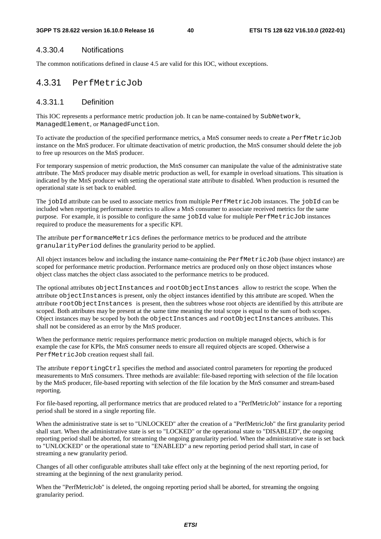#### 4.3.30.4 Notifications

The common notifications defined in clause 4.5 are valid for this IOC, without exceptions.

## 4.3.31 PerfMetricJob

#### 4.3.31.1 Definition

This IOC represents a performance metric production job. It can be name-contained by SubNetwork, ManagedElement, or ManagedFunction.

To activate the production of the specified performance metrics, a MnS consumer needs to create a PerfMetricJob instance on the MnS producer. For ultimate deactivation of metric production, the MnS consumer should delete the job to free up resources on the MnS producer.

For temporary suspension of metric production, the MnS consumer can manipulate the value of the administrative state attribute. The MnS producer may disable metric production as well, for example in overload situations. This situation is indicated by the MnS producer with setting the operational state attribute to disabled. When production is resumed the operational state is set back to enabled.

The jobId attribute can be used to associate metrics from multiple PerfMetricJob instances. The jobId can be included when reporting performance metrics to allow a MnS consumer to associate received metrics for the same purpose. For example, it is possible to configure the same jobId value for multiple PerfMetricJob instances required to produce the measurements for a specific KPI.

The attribute performanceMetrics defines the performance metrics to be produced and the attribute granularityPeriod defines the granularity period to be applied.

All object instances below and including the instance name-containing the PerfMetricJob (base object instance) are scoped for performance metric production. Performance metrics are produced only on those object instances whose object class matches the object class associated to the performance metrics to be produced.

The optional attributes objectInstances and rootObjectInstances allow to restrict the scope. When the attribute objectInstances is present, only the object instances identified by this attribute are scoped. When the attribute rootObjectInstances is present, then the subtrees whose root objects are identified by this attribute are scoped. Both attributes may be present at the same time meaning the total scope is equal to the sum of both scopes. Object instances may be scoped by both the objectInstances and rootObjectInstances attributes. This shall not be considered as an error by the MnS producer.

When the performance metric requires performance metric production on multiple managed objects, which is for example the case for KPIs, the MnS consumer needs to ensure all required objects are scoped. Otherwise a PerfMetricJob creation request shall fail.

The attribute reportingCtrl specifies the method and associated control parameters for reporting the produced measurements to MnS consumers. Three methods are available: file-based reporting with selection of the file location by the MnS producer, file-based reporting with selection of the file location by the MnS consumer and stream-based reporting.

For file-based reporting, all performance metrics that are produced related to a "PerfMetricJob" instance for a reporting period shall be stored in a single reporting file.

When the administrative state is set to "UNLOCKED" after the creation of a "PerfMetricJob" the first granularity period shall start. When the administrative state is set to "LOCKED" or the operational state to "DISABLED", the ongoing reporting period shall be aborted, for streaming the ongoing granularity period. When the administrative state is set back to "UNLOCKED" or the operational state to "ENABLED" a new reporting period period shall start, in case of streaming a new granularity period.

Changes of all other configurable attributes shall take effect only at the beginning of the next reporting period, for streaming at the beginning of the next granularity period.

When the "PerfMetricJob" is deleted, the ongoing reporting period shall be aborted, for streaming the ongoing granularity period.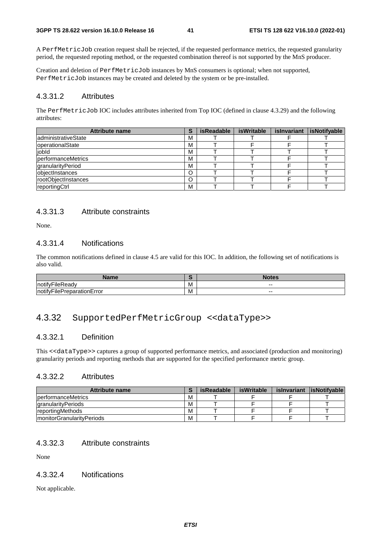A PerfMetricJob creation request shall be rejected, if the requested performance metrics, the requested granularity period, the requested repoting method, or the requested combination thereof is not supported by the MnS producer.

Creation and deletion of PerfMetricJob instances by MnS consumers is optional; when not supported, PerfMetricJob instances may be created and deleted by the system or be pre-installed.

#### 4.3.31.2 Attributes

The PerfMetricJob IOC includes attributes inherited from Top IOC (defined in clause 4.3.29) and the following attributes:

| <b>Attribute name</b>      | S | <b>isReadable</b> | isWritable | islnvariant | isNotifyable |
|----------------------------|---|-------------------|------------|-------------|--------------|
| administrativeState        | M |                   |            |             |              |
| operationalState           | М |                   |            |             |              |
| jobld                      | M |                   |            |             |              |
| performanceMetrics         | M |                   |            |             |              |
| granularityPeriod          | М |                   |            |             |              |
| objectInstances            |   |                   |            |             |              |
| <b>rootObiectInstances</b> |   |                   |            |             |              |
| reportingCtrl              | M |                   |            |             |              |

### 4.3.31.3 Attribute constraints

None.

#### 4.3.31.4 Notifications

The common notifications defined in clause 4.5 are valid for this IOC. In addition, the following set of notifications is also valid.

| <b>CONTRACTOR</b>                                         |   | $\sim$ $\sim$ $\sim$<br>. . |
|-----------------------------------------------------------|---|-----------------------------|
| $\cdot$<br>$-$<br>·ilek<br>Inotity<br>≺eadv               | M | $- -$                       |
| ivFileP∵<br>:rror<br>Inoti <sup>1</sup><br>⊤rationE.<br>v | M | $- -$                       |

## 4.3.32 SupportedPerfMetricGroup <<dataType>>

#### 4.3.32.1 Definition

This <<dataType>> captures a group of supported performance metrics, and associated (production and monitoring) granularity periods and reporting methods that are supported for the specified performance metric group.

#### 4.3.32.2 Attributes

| <b>Attribute name</b>      |   | isReadable | isWritable | is Invariant lis Notifuable |
|----------------------------|---|------------|------------|-----------------------------|
| performanceMetrics         | м |            |            |                             |
| granularityPeriods         | M |            |            |                             |
| <b>IreportingMethods</b>   | м |            |            |                             |
| ImonitorGranularityPeriods | M |            |            |                             |

#### 4.3.32.3 Attribute constraints

None

### 4.3.32.4 Notifications

Not applicable.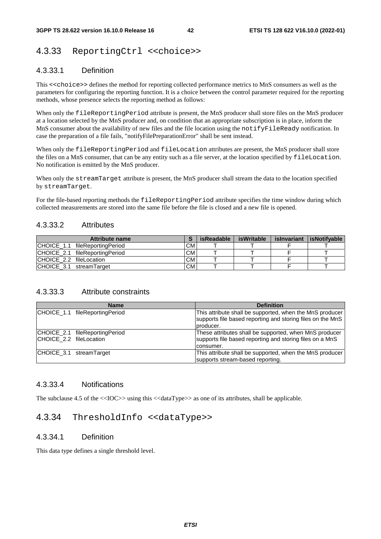## 4.3.33 ReportingCtrl <<choice>>

### 4.3.33.1 Definition

This <<choice>> defines the method for reporting collected performance metrics to MnS consumers as well as the parameters for configuring the reporting function. It is a choice between the control parameter required for the reporting methods, whose presence selects the reporting method as follows:

When only the fileReportingPeriod attribute is present, the MnS producer shall store files on the MnS producer at a location selected by the MnS producer and, on condition that an appropriate subscription is in place, inform the MnS consumer about the availability of new files and the file location using the notifyFileReady notification. In case the preparation of a file fails, "notifyFilePreparationError" shall be sent instead.

When only the fileReportingPeriod and fileLocation attributes are present, the MnS producer shall store the files on a MnS consumer, that can be any entity such as a file server, at the location specified by fileLocation. No notification is emitted by the MnS producer.

When only the streamTarget attribute is present, the MnS producer shall stream the data to the location specified by streamTarget.

For the file-based reporting methods the fileReportingPeriod attribute specifies the time window during which collected measurements are stored into the same file before the file is closed and a new file is opened.

#### 4.3.33.2 Attributes

| Attribute name                 |           | isReadable | isWritable | islnvariant | <b>lisNotifvable</b> |
|--------------------------------|-----------|------------|------------|-------------|----------------------|
| CHOICE_1.1 fileReportingPeriod | <b>CM</b> |            |            |             |                      |
| CHOICE 2.1 fileReportingPeriod | <b>CM</b> |            |            |             |                      |
| ICHOICE 2.2 fileLocation       | <b>CM</b> |            |            |             |                      |
| ICHOICE 3.1 streamTarget       | <b>CM</b> |            |            |             |                      |

#### 4.3.33.3 Attribute constraints

| <b>Name</b>                                               | <b>Definition</b>                                                                                                                    |
|-----------------------------------------------------------|--------------------------------------------------------------------------------------------------------------------------------------|
| CHOICE 1.1 fileReportingPeriod                            | This attribute shall be supported, when the MnS producer<br>supports file based reporting and storing files on the MnS<br>Iproducer. |
| CHOICE 2.1 fileReportingPeriod<br>CHOICE_2.2 fileLocation | These attributes shall be supported, when MnS producer<br>supports file based reporting and storing files on a MnS<br>consumer.      |
| CHOICE 3.1 streamTarget                                   | This attribute shall be supported, when the MnS producer<br>supports stream-based reporting.                                         |

#### 4.3.33.4 Notifications

The subclause 4.5 of the  $\langle$ IOC>> using this  $\langle$ dataType>> as one of its attributes, shall be applicable.

## 4.3.34 ThresholdInfo <<dataType>>

#### 4.3.34.1 Definition

This data type defines a single threshold level.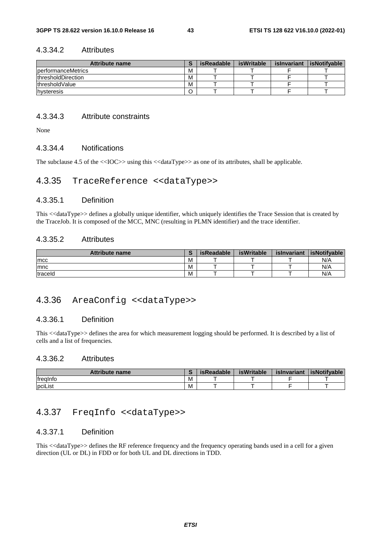#### 4.3.34.2 Attributes

| <b>Attribute name</b>       |   | isReadable | isWritable | islnvariant | <b>isNotifvable</b> |
|-----------------------------|---|------------|------------|-------------|---------------------|
| <b>I</b> berformanceMetrics | м |            |            |             |                     |
| <b>IthresholdDirection</b>  | M |            |            |             |                     |
| <b>IthresholdValue</b>      | M |            |            |             |                     |
| hysteresis                  |   |            |            |             |                     |

#### 4.3.34.3 Attribute constraints

None

#### 4.3.34.4 Notifications

The subclause 4.5 of the  $\langle$ IOC>> using this  $\langle$ dataType>> as one of its attributes, shall be applicable.

### 4.3.35 TraceReference <<dataType>>

#### 4.3.35.1 Definition

This <<dataType>> defines a globally unique identifier, which uniquely identifies the Trace Session that is created by the TraceJob. It is composed of the MCC, MNC (resulting in PLMN identifier) and the trace identifier.

#### 4.3.35.2 Attributes

| <b>Attribute name</b> |   | isReadable | isWritable | islnvariant | lisNotifvable |
|-----------------------|---|------------|------------|-------------|---------------|
| <b>Imcc</b>           | M |            |            |             | N/A           |
| Imnc                  | M |            |            |             | N/A           |
| traceld               | M |            |            |             | N/A           |

## 4.3.36 AreaConfig <<dataType>>

### 4.3.36.1 Definition

This <<dataType>> defines the area for which measurement logging should be performed. It is described by a list of cells and a list of frequencies.

#### 4.3.36.2 Attributes

| <b>Attribute name</b> | - | isReadable | <b>isWritable</b> | islnvariant | <b>IsNotifvable</b> |
|-----------------------|---|------------|-------------------|-------------|---------------------|
| <b>Ifrealnfo</b>      | M |            |                   |             |                     |
| pciList               | M |            |                   |             |                     |

## 4.3.37 FreqInfo <<dataType>>

#### 4.3.37.1 Definition

This <<dataType>> defines the RF reference frequency and the frequency operating bands used in a cell for a given direction (UL or DL) in FDD or for both UL and DL directions in TDD.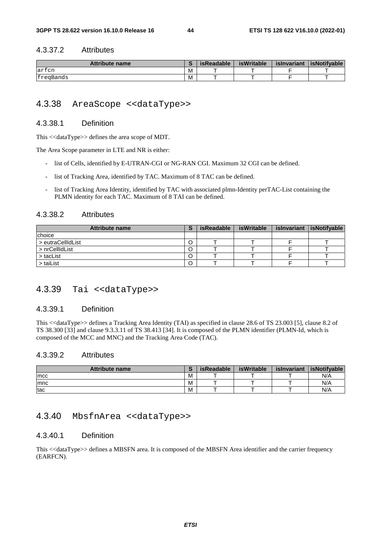#### 4.3.37.2 Attributes

| <b>Attribute name</b> |   | isReadable | isWritable | islnvariant | <b>lisNotifvable</b> |
|-----------------------|---|------------|------------|-------------|----------------------|
| $\sim$<br>lartcn      | M |            |            |             |                      |
| freqBands             | M |            |            |             |                      |

## 4.3.38 AreaScope <<dataType>>

#### 4.3.38.1 Definition

This <<dataType>> defines the area scope of MDT.

The Area Scope parameter in LTE and NR is either:

- list of Cells, identified by E-UTRAN-CGI or NG-RAN CGI. Maximum 32 CGI can be defined.
- list of Tracking Area, identified by TAC. Maximum of 8 TAC can be defined.
- list of Tracking Area Identity, identified by TAC with associated plmn-Identity perTAC-List containing the PLMN identity for each TAC. Maximum of 8 TAI can be defined.

#### 4.3.38.2 Attributes

| <b>Attribute name</b> | c | isReadable | isWritable | islnvariant | isNotifyable |
|-----------------------|---|------------|------------|-------------|--------------|
| choice                |   |            |            |             |              |
| > eutraCellIdList     |   |            |            |             |              |
| > nrCellIdList        |   |            |            |             |              |
| > tacList             |   |            |            |             |              |
| > taiList             |   |            |            |             |              |

## 4.3.39 Tai <<dataType>>

#### 4.3.39.1 Definition

This <<dataType>> defines a Tracking Area Identity (TAI) as specified in clause 28.6 of TS 23.003 [5], clause 8.2 of TS 38.300 [33] and clause 9.3.3.11 of TS 38.413 [34]. It is composed of the PLMN identifier (PLMN-Id, which is composed of the MCC and MNC) and the Tracking Area Code (TAC).

#### 4.3.39.2 Attributes

| <b>Attribute name</b> |   | isReadable | isWritable | islnvariant | <b>lisNotifvable</b> |
|-----------------------|---|------------|------------|-------------|----------------------|
| <b>Imcc</b>           | M |            |            |             | N/A                  |
| Imnc                  | M |            |            |             | N/A                  |
| tac                   | M |            |            |             | N/A                  |

#### 4.3.40 MbsfnArea <<dataType>>

#### 4.3.40.1 Definition

This <<dataType>> defines a MBSFN area. It is composed of the MBSFN Area identifier and the carrier frequency (EARFCN).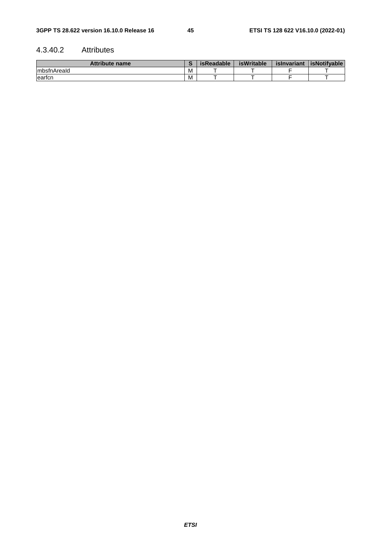### 4.3.40.2 Attributes

| Attribute name |   | <b>isReadable</b> | <b>isWritable</b> | islnvariant | <b>isNotifvable</b> |
|----------------|---|-------------------|-------------------|-------------|---------------------|
| ImbstnAreald   | M |                   |                   |             |                     |
| leartcn        | M |                   |                   |             |                     |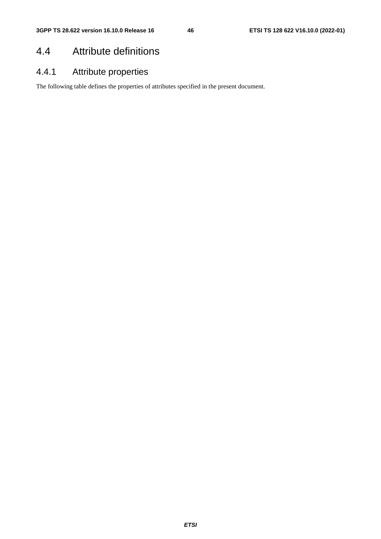## 4.4 Attribute definitions

## 4.4.1 Attribute properties

The following table defines the properties of attributes specified in the present document.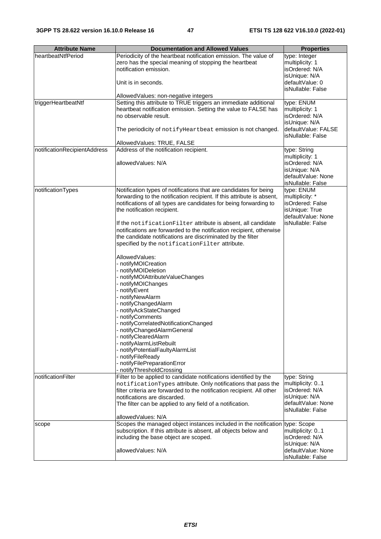| <b>Attribute Name</b>        | <b>Documentation and Allowed Values</b>                                                      | <b>Properties</b>                    |
|------------------------------|----------------------------------------------------------------------------------------------|--------------------------------------|
| heartbeatNtfPeriod           | Periodicity of the heartbeat notification emission. The value of                             | type: Integer                        |
|                              | zero has the special meaning of stopping the heartbeat                                       | multiplicity: 1                      |
|                              | notification emission.                                                                       | isOrdered: N/A                       |
|                              |                                                                                              | isUnique: N/A                        |
|                              | Unit is in seconds.                                                                          | defaultValue: 0                      |
|                              |                                                                                              | isNullable: False                    |
|                              | AllowedValues: non-negative integers                                                         |                                      |
| triggerHeartbeatNtf          | Setting this attribute to TRUE triggers an immediate additional                              | type: ENUM                           |
|                              | heartbeat notification emission. Setting the value to FALSE has                              | multiplicity: 1                      |
|                              | no observable result.                                                                        | isOrdered: N/A                       |
|                              |                                                                                              | isUnique: N/A<br>defaultValue: FALSE |
|                              | The periodicity of notifyHeartbeat emission is not changed.                                  | isNullable: False                    |
|                              | AllowedValues: TRUE, FALSE                                                                   |                                      |
| notificationRecipientAddress | Address of the notification recipient.                                                       | type: String                         |
|                              |                                                                                              | multiplicity: 1                      |
|                              | allowedValues: N/A                                                                           | isOrdered: N/A                       |
|                              |                                                                                              | isUnique: N/A                        |
|                              |                                                                                              | defaultValue: None                   |
|                              |                                                                                              | isNullable: False                    |
| notificationTypes            | Notification types of notifications that are candidates for being                            | type: ENUM                           |
|                              | forwarding to the notification recipient. If this attribute is absent,                       | multiplicity: *                      |
|                              | notifications of all types are candidates for being forwarding to                            | isOrdered: False                     |
|                              | the notification recipient.                                                                  | isUnique: True                       |
|                              |                                                                                              | defaultValue: None                   |
|                              | If the notification Filter attribute is absent, all candidate                                | isNullable: False                    |
|                              | notifications are forwarded to the notification recipient, otherwise                         |                                      |
|                              | the candidate notifications are discriminated by the filter                                  |                                      |
|                              | specified by the notificationFilter attribute.                                               |                                      |
|                              |                                                                                              |                                      |
|                              | AllowedValues:                                                                               |                                      |
|                              | - notifyMOICreation<br>- notifyMOIDeletion                                                   |                                      |
|                              | notifyMOIAttributeValueChanges                                                               |                                      |
|                              | notifyMOIChanges                                                                             |                                      |
|                              | notifyEvent                                                                                  |                                      |
|                              | notifyNewAlarm                                                                               |                                      |
|                              | notifyChangedAlarm                                                                           |                                      |
|                              | notifyAckStateChanged                                                                        |                                      |
|                              | notifyComments                                                                               |                                      |
|                              | notifyCorrelatedNotificationChanged                                                          |                                      |
|                              | notifyChangedAlarmGeneral                                                                    |                                      |
|                              | notifyClearedAlarm                                                                           |                                      |
|                              | notifyAlarmListRebuilt                                                                       |                                      |
|                              | notifyPotentialFaultyAlarmList                                                               |                                      |
|                              | notifyFileReady                                                                              |                                      |
|                              | notifyFilePreparationError                                                                   |                                      |
| notificationFilter           | notifyThresholdCrossing<br>Filter to be applied to candidate notifications identified by the | type: String                         |
|                              | notificationTypes attribute. Only notifications that pass the                                | multiplicity: 01                     |
|                              | filter criteria are forwarded to the notification recipient. All other                       | isOrdered: N/A                       |
|                              | notifications are discarded.                                                                 | isUnique: N/A                        |
|                              | The filter can be applied to any field of a notification.                                    | defaultValue: None                   |
|                              |                                                                                              | isNullable: False                    |
|                              | allowedValues: N/A                                                                           |                                      |
| scope                        | Scopes the managed object instances included in the notification type: Scope                 |                                      |
|                              | subscription. If this attribute is absent, all objects below and                             | multiplicity: 01                     |
|                              | including the base object are scoped.                                                        | isOrdered: N/A                       |
|                              |                                                                                              | isUnique: N/A                        |
|                              | allowedValues: N/A                                                                           | defaultValue: None                   |
|                              |                                                                                              | isNullable: False                    |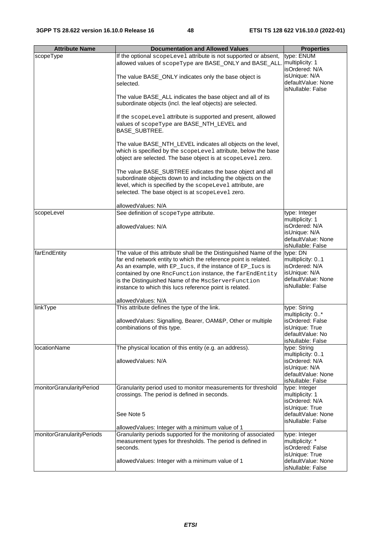| <b>Attribute Name</b>     | <b>Documentation and Allowed Values</b>                                                                                  | <b>Properties</b>                  |
|---------------------------|--------------------------------------------------------------------------------------------------------------------------|------------------------------------|
| scopeType                 | If the optional scopeLevel attribute is not supported or absent,                                                         | type: ENUM                         |
|                           | allowed values of scopeType are BASE_ONLY and BASE_ALL                                                                   | multiplicity: 1                    |
|                           |                                                                                                                          | isOrdered: N/A                     |
|                           | The value BASE_ONLY indicates only the base object is                                                                    | isUnique: N/A                      |
|                           | selected.                                                                                                                | defaultValue: None                 |
|                           |                                                                                                                          | isNullable: False                  |
|                           | The value BASE_ALL indicates the base object and all of its                                                              |                                    |
|                           | subordinate objects (incl. the leaf objects) are selected.                                                               |                                    |
|                           |                                                                                                                          |                                    |
|                           | If the scopeLevel attribute is supported and present, allowed                                                            |                                    |
|                           | values of scopeType are BASE_NTH_LEVEL and                                                                               |                                    |
|                           | BASE_SUBTREE.                                                                                                            |                                    |
|                           |                                                                                                                          |                                    |
|                           | The value BASE_NTH_LEVEL indicates all objects on the level,                                                             |                                    |
|                           | which is specified by the scopeLevel attribute, below the base                                                           |                                    |
|                           | object are selected. The base object is at scopeLevel zero.                                                              |                                    |
|                           |                                                                                                                          |                                    |
|                           | The value BASE_SUBTREE indicates the base object and all<br>subordinate objects down to and including the objects on the |                                    |
|                           | level, which is specified by the scopeLevel attribute, are                                                               |                                    |
|                           | selected. The base object is at scopeLevel zero.                                                                         |                                    |
|                           |                                                                                                                          |                                    |
|                           | allowedValues: N/A                                                                                                       |                                    |
| scopeLevel                | See definition of scopeType attribute.                                                                                   | type: Integer                      |
|                           |                                                                                                                          | multiplicity: 1                    |
|                           | allowedValues: N/A                                                                                                       | isOrdered: N/A                     |
|                           |                                                                                                                          | isUnique: N/A                      |
|                           |                                                                                                                          | defaultValue: None                 |
|                           |                                                                                                                          | isNullable: False                  |
| farEndEntity              | The value of this attribute shall be the Distinguished Name of the                                                       | type: DN                           |
|                           | far end network entity to which the reference point is related.                                                          | multiplicity: 01                   |
|                           | As an example, with EP_Iucs, if the instance of EP_Iucs is                                                               | isOrdered: N/A                     |
|                           | contained by one RncFunction instance, the farEndEntity                                                                  | isUnique: N/A                      |
|                           | is the Distinguished Name of the MscServerFunction                                                                       | defaultValue: None                 |
|                           | instance to which this lucs reference point is related.                                                                  | isNullable: False                  |
|                           |                                                                                                                          |                                    |
|                           | allowedValues: N/A                                                                                                       |                                    |
| linkType                  | This attribute defines the type of the link.                                                                             | type: String                       |
|                           |                                                                                                                          | multiplicity: 0*                   |
|                           | allowedValues: Signalling, Bearer, OAM&P, Other or multiple                                                              | isOrdered: False                   |
|                           | combinations of this type.                                                                                               | isUnique: True<br>defaultValue: No |
|                           |                                                                                                                          | isNullable: False                  |
| <b>locationName</b>       | The physical location of this entity (e.g. an address).                                                                  | type: String                       |
|                           |                                                                                                                          | multiplicity: 01                   |
|                           | allowedValues: N/A                                                                                                       | isOrdered: N/A                     |
|                           |                                                                                                                          | isUnique: N/A                      |
|                           |                                                                                                                          | defaultValue: None                 |
|                           |                                                                                                                          | isNullable: False                  |
| monitorGranularityPeriod  | Granularity period used to monitor measurements for threshold                                                            | type: Integer                      |
|                           | crossings. The period is defined in seconds.                                                                             | multiplicity: 1                    |
|                           |                                                                                                                          | isOrdered: N/A                     |
|                           |                                                                                                                          | isUnique: True                     |
|                           | See Note 5                                                                                                               | defaultValue: None                 |
|                           |                                                                                                                          | isNullable: False                  |
|                           | allowedValues: Integer with a minimum value of 1<br>Granularity periods supported for the monitoring of associated       |                                    |
| monitorGranularityPeriods | measurement types for thresholds. The period is defined in                                                               | type: Integer<br>multiplicity: *   |
|                           | seconds.                                                                                                                 | isOrdered: False                   |
|                           |                                                                                                                          | isUnique: True                     |
|                           | allowedValues: Integer with a minimum value of 1                                                                         | defaultValue: None                 |
|                           |                                                                                                                          | isNullable: False                  |
|                           |                                                                                                                          |                                    |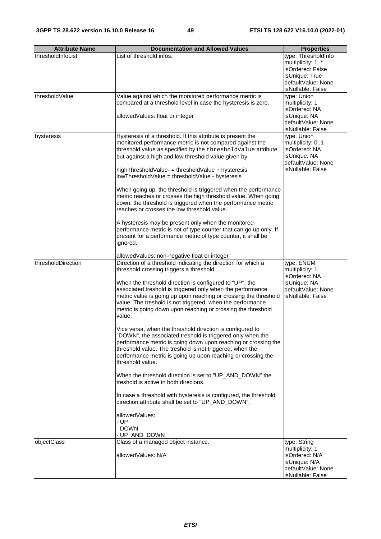| <b>Attribute Name</b> | <b>Documentation and Allowed Values</b>                                                                                                                                                                                                                                                                                                                                                                                                                                                                                                                                                                                                                                                                                                                                                                                                                                                                                                                                                                                                                                            | <b>Properties</b>                                                                                                        |
|-----------------------|------------------------------------------------------------------------------------------------------------------------------------------------------------------------------------------------------------------------------------------------------------------------------------------------------------------------------------------------------------------------------------------------------------------------------------------------------------------------------------------------------------------------------------------------------------------------------------------------------------------------------------------------------------------------------------------------------------------------------------------------------------------------------------------------------------------------------------------------------------------------------------------------------------------------------------------------------------------------------------------------------------------------------------------------------------------------------------|--------------------------------------------------------------------------------------------------------------------------|
| thresholdInfoList     | List of threshold infos.                                                                                                                                                                                                                                                                                                                                                                                                                                                                                                                                                                                                                                                                                                                                                                                                                                                                                                                                                                                                                                                           | type: ThresholdInfo<br>multiplicity: 1*<br>isOrdered: False<br>isUnique: True<br>defaultValue: None<br>isNullable: False |
| thresholdValue        | Value against which the monitored performance metric is<br>compared at a threshold level in case the hysteresis is zero.<br>allowedValues: float or integer                                                                                                                                                                                                                                                                                                                                                                                                                                                                                                                                                                                                                                                                                                                                                                                                                                                                                                                        | type: Union<br>multiplicity: 1<br>isOrdered: NA<br>isUnique: NA<br>defaultValue: None<br>isNullable: False               |
| hysteresis            | Hysteresis of a threshold. If this attribute is present the<br>monitored performance metric is not compared against the<br>threshold value as specified by the thresholdValue attribute<br>but against a high and low threshold value given by<br>highThresholdValue- = thresholdValue + hysteresis<br>lowThresholdValue = thresholdValue - hysteresis<br>When going up, the threshold is triggered when the performance<br>metric reaches or crosses the high threshold value. When going<br>down, the threshold is triggered when the performance metric<br>reaches or crosses the low threshold value.<br>A hysteresis may be present only when the monitored<br>performance metric is not of type counter that can go up only. If<br>present for a performance metric of type counter, it shall be<br>ignored.                                                                                                                                                                                                                                                                 | type: Union<br>multiplicity: 01<br>isOrdered: NA<br>isUnique: NA<br>defaultValue: None<br>isNullable: False              |
|                       | allowedValues: non-negative float or integer                                                                                                                                                                                                                                                                                                                                                                                                                                                                                                                                                                                                                                                                                                                                                                                                                                                                                                                                                                                                                                       |                                                                                                                          |
| thresholdDirection    | Direction of a threshold indicating the direction for which a<br>threshold crossing triggers a threshold.<br>When the threshold direction is configured to "UP", the<br>associated treshold is triggered only when the performance<br>metric value is going up upon reaching or crossing the threshold<br>value. The treshold is not triggered, when the performance<br>metric is going down upon reaching or crossing the threshold<br>value.<br>Vice versa, when the threshold direction is configured to<br>"DOWN", the associated treshold is triggered only when the<br>performance metric is going down upon reaching or crossing the<br>threshold value. The treshold is not triggered, when the<br>performance metric is going up upon reaching or crossing the<br>threshold value.<br>When the threshold direction is set to "UP_AND_DOWN" the<br>treshold is active in both direcions.<br>In case a threshold with hysteresis is configured, the threshold<br>direction attribute shall be set to "UP_AND_DOWN".<br>allowedValues:<br>- UP<br><b>DOWN</b><br>UP_AND_DOWN | type: ENUM<br>multiplicity: 1<br>isOrdered: NA<br>isUnique: NA<br>defaultValue: None<br>isNullable: False                |
| objectClass           | Class of a managed object instance.<br>allowedValues: N/A                                                                                                                                                                                                                                                                                                                                                                                                                                                                                                                                                                                                                                                                                                                                                                                                                                                                                                                                                                                                                          | type: String<br>multiplicity: 1<br>isOrdered: N/A<br>isUnique: N/A<br>defaultValue: None<br>isNullable: False            |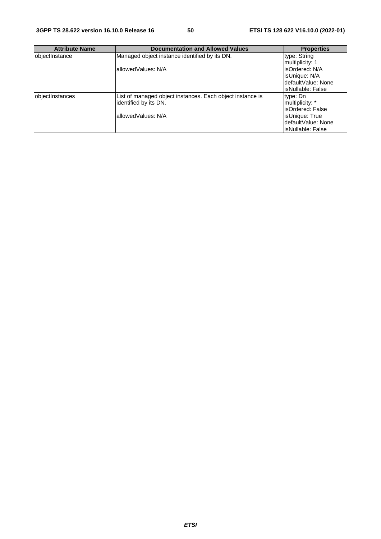| <b>Attribute Name</b> | <b>Documentation and Allowed Values</b>                   | <b>Properties</b>   |
|-----------------------|-----------------------------------------------------------|---------------------|
| objectInstance        | Managed object instance identified by its DN.             | type: String        |
|                       |                                                           | multiplicity: 1     |
|                       | allowedValues: N/A                                        | isOrdered: N/A      |
|                       |                                                           | lisUnique: N/A      |
|                       |                                                           | IdefaultValue: None |
|                       |                                                           | lisNullable: False  |
| objectInstances       | List of managed object instances. Each object instance is | type: Dn            |
|                       | identified by its DN.                                     | multiplicity: *     |
|                       |                                                           | lisOrdered: False   |
|                       | allowedValues: N/A                                        | lisUnique: True     |
|                       |                                                           | IdefaultValue: None |
|                       |                                                           | lisNullable: False  |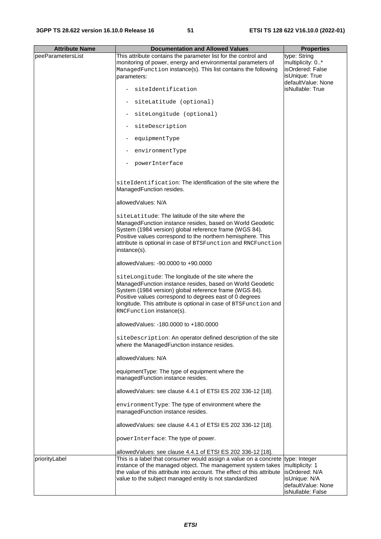| <b>Attribute Name</b> | <b>Documentation and Allowed Values</b>                                                                                                                                                                                                                                                                                              | <b>Properties</b>                                                                             |
|-----------------------|--------------------------------------------------------------------------------------------------------------------------------------------------------------------------------------------------------------------------------------------------------------------------------------------------------------------------------------|-----------------------------------------------------------------------------------------------|
| peeParametersList     | This attribute contains the parameter list for the control and<br>monitoring of power, energy and environmental parameters of<br>ManagedFunction instance(s). This list contains the following<br>parameters:                                                                                                                        | type: String<br>multiplicity: 0*<br>isOrdered: False<br>isUnique: True<br>defaultValue: None  |
|                       | siteIdentification                                                                                                                                                                                                                                                                                                                   | isNullable: True                                                                              |
|                       | siteLatitude (optional)                                                                                                                                                                                                                                                                                                              |                                                                                               |
|                       | siteLongitude (optional)                                                                                                                                                                                                                                                                                                             |                                                                                               |
|                       | siteDescription                                                                                                                                                                                                                                                                                                                      |                                                                                               |
|                       | equipmentType                                                                                                                                                                                                                                                                                                                        |                                                                                               |
|                       | environmentType                                                                                                                                                                                                                                                                                                                      |                                                                                               |
|                       | powerInterface                                                                                                                                                                                                                                                                                                                       |                                                                                               |
|                       | siteIdentification: The identification of the site where the<br>ManagedFunction resides.                                                                                                                                                                                                                                             |                                                                                               |
|                       | allowedValues: N/A                                                                                                                                                                                                                                                                                                                   |                                                                                               |
|                       | siteLatitude: The latitude of the site where the<br>Managed Function instance resides, based on World Geodetic<br>System (1984 version) global reference frame (WGS 84).<br>Positive values correspond to the northern hemisphere. This<br>attribute is optional in case of BTSFunction and RNCFunction<br>instance(s).              |                                                                                               |
|                       | allowedValues: -90,0000 to +90,0000                                                                                                                                                                                                                                                                                                  |                                                                                               |
|                       | siteLongitude: The longitude of the site where the<br>ManagedFunction instance resides, based on World Geodetic<br>System (1984 version) global reference frame (WGS 84).<br>Positive values correspond to degrees east of 0 degrees<br>longitude. This attribute is optional in case of BTSFunction and<br>RNCFunction instance(s). |                                                                                               |
|                       | allowedValues: -180.0000 to +180.0000                                                                                                                                                                                                                                                                                                |                                                                                               |
|                       | siteDescription: An operator defined description of the site<br>where the ManagedFunction instance resides.                                                                                                                                                                                                                          |                                                                                               |
|                       | allowedValues: N/A                                                                                                                                                                                                                                                                                                                   |                                                                                               |
|                       | equipmentType: The type of equipment where the<br>managedFunction instance resides.                                                                                                                                                                                                                                                  |                                                                                               |
|                       | allowedValues: see clause 4.4.1 of ETSI ES 202 336-12 [18].                                                                                                                                                                                                                                                                          |                                                                                               |
|                       | environmentType: The type of environment where the<br>managedFunction instance resides.                                                                                                                                                                                                                                              |                                                                                               |
|                       | allowedValues: see clause 4.4.1 of ETSI ES 202 336-12 [18].                                                                                                                                                                                                                                                                          |                                                                                               |
|                       | powerInterface: The type of power.                                                                                                                                                                                                                                                                                                   |                                                                                               |
|                       | allowedValues: see clause 4.4.1 of ETSI ES 202 336-12 [18].                                                                                                                                                                                                                                                                          |                                                                                               |
| priorityLabel         | This is a label that consumer would assign a value on a concrete type: Integer<br>instance of the managed object. The management system takes<br>the value of this attribute into account. The effect of this attribute<br>value to the subject managed entity is not standardized                                                   | multiplicity: 1<br>isOrdered: N/A<br>isUnique: N/A<br>defaultValue: None<br>isNullable: False |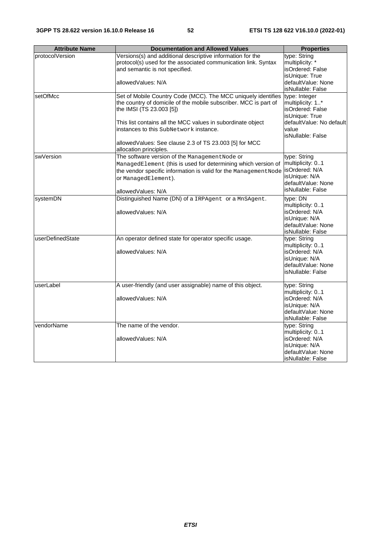| <b>Attribute Name</b> | <b>Documentation and Allowed Values</b>                                                                                                                                                                                          | <b>Properties</b>                                                                                              |
|-----------------------|----------------------------------------------------------------------------------------------------------------------------------------------------------------------------------------------------------------------------------|----------------------------------------------------------------------------------------------------------------|
| protocolVersion       | Versions(s) and additional descriptive information for the<br>protocol(s) used for the associated communication link. Syntax                                                                                                     | type: String<br>multiplicity: *                                                                                |
|                       | and semantic is not specified.                                                                                                                                                                                                   | isOrdered: False<br>isUnique: True                                                                             |
|                       | allowedValues: N/A                                                                                                                                                                                                               | defaultValue: None<br>isNullable: False                                                                        |
| setOfMcc              | Set of Mobile Country Code (MCC). The MCC uniquely identifies<br>the country of domicile of the mobile subscriber. MCC is part of<br>the IMSI (TS 23.003 [5])                                                                    | type: Integer<br>multiplicity: 1*<br>isOrdered: False<br>isUnique: True                                        |
|                       | This list contains all the MCC values in subordinate object<br>instances to this SubNetwork instance.                                                                                                                            | defaultValue: No default<br>value<br>isNullable: False                                                         |
|                       | allowed Values: See clause 2.3 of TS 23.003 [5] for MCC<br>allocation principles.                                                                                                                                                |                                                                                                                |
| swVersion             | The software version of the Management Node or<br>ManagedElement (this is used for determining which version of<br>the vendor specific information is valid for the Management Node<br>or ManagedElement).<br>allowedValues: N/A | type: String<br>multiplicity: 01<br>isOrdered: N/A<br>isUnique: N/A<br>defaultValue: None<br>isNullable: False |
| systemDN              | Distinguished Name (DN) of a IRPAgent or a MnSAgent.<br>allowedValues: N/A                                                                                                                                                       | type: DN<br>multiplicity: 01<br>isOrdered: N/A<br>isUnique: N/A<br>defaultValue: None<br>isNullable: False     |
| userDefinedState      | An operator defined state for operator specific usage.<br>allowedValues: N/A                                                                                                                                                     | type: String<br>multiplicity: 01<br>isOrdered: N/A<br>isUnique: N/A<br>defaultValue: None<br>isNullable: False |
| userLabel             | A user-friendly (and user assignable) name of this object.                                                                                                                                                                       | type: String<br>multiplicity: 01                                                                               |
|                       | allowedValues: N/A                                                                                                                                                                                                               | isOrdered: N/A<br>isUnique: N/A<br>defaultValue: None<br>isNullable: False                                     |
| vendorName            | The name of the vendor.<br>allowedValues: N/A                                                                                                                                                                                    | type: String<br>multiplicity: 01<br>isOrdered: N/A                                                             |
|                       |                                                                                                                                                                                                                                  | isUnique: N/A<br>defaultValue: None<br>isNullable: False                                                       |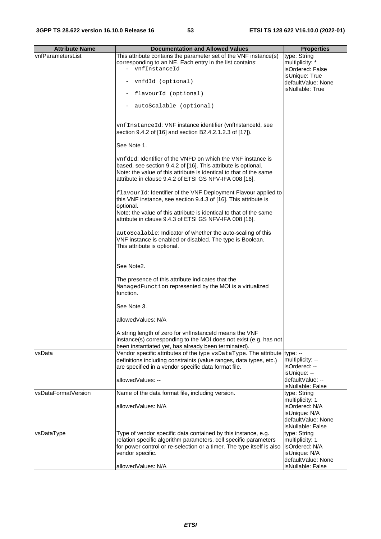| <b>Attribute Name</b> | <b>Documentation and Allowed Values</b>                                                                                                                                                                                                                              | <b>Properties</b>                                                                             |
|-----------------------|----------------------------------------------------------------------------------------------------------------------------------------------------------------------------------------------------------------------------------------------------------------------|-----------------------------------------------------------------------------------------------|
| vnfParametersList     | This attribute contains the parameter set of the VNF instance(s)<br>corresponding to an NE. Each entry in the list contains:<br>- vnfInstanceId                                                                                                                      | type: String<br>multiplicity: *<br>isOrdered: False                                           |
|                       |                                                                                                                                                                                                                                                                      | isUnique: True                                                                                |
|                       | vnfdId (optional)                                                                                                                                                                                                                                                    | defaultValue: None<br>isNullable: True                                                        |
|                       | flavourId (optional)                                                                                                                                                                                                                                                 |                                                                                               |
|                       | autoScalable (optional)                                                                                                                                                                                                                                              |                                                                                               |
|                       | vnfInstanceId: VNF instance identifier (vnfInstanceId, see<br>section 9.4.2 of [16] and section B2.4.2.1.2.3 of [17]).                                                                                                                                               |                                                                                               |
|                       | See Note 1.                                                                                                                                                                                                                                                          |                                                                                               |
|                       | $\rm{vnfdId}$ : Identifier of the VNFD on which the VNF instance is<br>based, see section 9.4.2 of [16]. This attribute is optional.<br>Note: the value of this attribute is identical to that of the same<br>attribute in clause 9.4.2 of ETSI GS NFV-IFA 008 [16]. |                                                                                               |
|                       | flavourId: Identifier of the VNF Deployment Flavour applied to<br>this VNF instance, see section 9.4.3 of [16]. This attribute is<br>optional.<br>Note: the value of this attribute is identical to that of the same                                                 |                                                                                               |
|                       | attribute in clause 9.4.3 of ETSI GS NFV-IFA 008 [16].                                                                                                                                                                                                               |                                                                                               |
|                       | autoScalable: Indicator of whether the auto-scaling of this<br>VNF instance is enabled or disabled. The type is Boolean.<br>This attribute is optional.                                                                                                              |                                                                                               |
|                       | See Note2.                                                                                                                                                                                                                                                           |                                                                                               |
|                       | The presence of this attribute indicates that the<br>ManagedFunction represented by the MOI is a virtualized<br>function.                                                                                                                                            |                                                                                               |
|                       | See Note 3.                                                                                                                                                                                                                                                          |                                                                                               |
|                       | allowedValues: N/A                                                                                                                                                                                                                                                   |                                                                                               |
|                       | A string length of zero for vnflnstanceld means the VNF<br>instance(s) corresponding to the MOI does not exist (e.g. has not<br>been instantiated yet, has already been terminated).                                                                                 |                                                                                               |
| vsData                | Vendor specific attributes of the type vsDataType. The attribute type: --<br>definitions including constraints (value ranges, data types, etc.)<br>are specified in a vendor specific data format file.                                                              | multiplicity: --<br>isOrdered: --                                                             |
|                       | allowedValues: --                                                                                                                                                                                                                                                    | isUnique: --<br>defaultValue: --<br>isNullable: False                                         |
| vsDataFormatVersion   | Name of the data format file, including version.                                                                                                                                                                                                                     | type: String                                                                                  |
|                       | allowedValues: N/A                                                                                                                                                                                                                                                   | multiplicity: 1<br>isOrdered: N/A<br>isUnique: N/A<br>defaultValue: None<br>isNullable: False |
| vsDataType            | Type of vendor specific data contained by this instance, e.g.                                                                                                                                                                                                        | type: String                                                                                  |
|                       | relation specific algorithm parameters, cell specific parameters                                                                                                                                                                                                     | multiplicity: 1                                                                               |
|                       | for power control or re-selection or a timer. The type itself is also<br>vendor specific.                                                                                                                                                                            | isOrdered: N/A<br>isUnique: N/A                                                               |
|                       |                                                                                                                                                                                                                                                                      | defaultValue: None                                                                            |
|                       | allowedValues: N/A                                                                                                                                                                                                                                                   | isNullable: False                                                                             |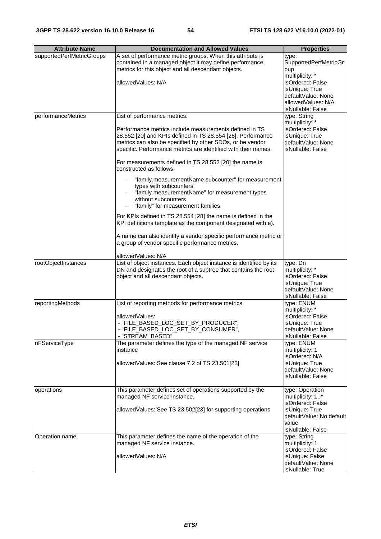| <b>Attribute Name</b>     | <b>Documentation and Allowed Values</b>                             | <b>Properties</b>                     |
|---------------------------|---------------------------------------------------------------------|---------------------------------------|
| supportedPerfMetricGroups | A set of performance metric groups. When this attribute is          |                                       |
|                           | contained in a managed object it may define performance             | type:<br><b>SupportedPerfMetricGr</b> |
|                           | metrics for this object and all descendant objects.                 | oup                                   |
|                           |                                                                     | multiplicity: *                       |
|                           | allowedValues: N/A                                                  | isOrdered: False                      |
|                           |                                                                     | isUnique: True                        |
|                           |                                                                     | defaultValue: None                    |
|                           |                                                                     | allowedValues: N/A                    |
|                           |                                                                     | isNullable: False                     |
| performanceMetrics        | List of performance metrics.                                        | type: String                          |
|                           |                                                                     | multiplicity: *                       |
|                           | Performance metrics include measurements defined in TS              | isOrdered: False                      |
|                           | 28.552 [20] and KPIs defined in TS 28.554 [28]. Performance         | isUnique: True                        |
|                           | metrics can also be specified by other SDOs, or be vendor           | defaultValue: None                    |
|                           | specific. Performance metrics are identified with their names.      | isNullable: False                     |
|                           |                                                                     |                                       |
|                           | For measurements defined in TS 28.552 [20] the name is              |                                       |
|                           | constructed as follows:                                             |                                       |
|                           | "family.measurementName.subcounter" for measurement                 |                                       |
|                           | types with subcounters                                              |                                       |
|                           | "family.measurementName" for measurement types                      |                                       |
|                           | without subcounters                                                 |                                       |
|                           | "family" for measurement families                                   |                                       |
|                           |                                                                     |                                       |
|                           | For KPIs defined in TS 28.554 [28] the name is defined in the       |                                       |
|                           | KPI definitions template as the component designated with e).       |                                       |
|                           |                                                                     |                                       |
|                           | A name can also identify a vendor specific performance metric or    |                                       |
|                           | a group of vendor specific performance metrics.                     |                                       |
|                           | allowedValues: N/A                                                  |                                       |
| rootObjectInstances       | List of object instances. Each object instance is identified by its | type: Dn                              |
|                           | DN and designates the root of a subtree that contains the root      | multiplicity: *                       |
|                           | object and all descendant objects.                                  | isOrdered: False                      |
|                           |                                                                     | isUnique: True                        |
|                           |                                                                     | defaultValue: None                    |
|                           |                                                                     | isNullable: False                     |
| reportingMethods          | List of reporting methods for performance metrics                   | type: ENUM                            |
|                           |                                                                     | multiplicity: *                       |
|                           | allowedValues:                                                      | isOrdered: False                      |
|                           | - "FILE_BASED_LOC_SET_BY_PRODUCER",                                 | isUnique: True                        |
|                           | "FILE_BASED_LOC_SET_BY_CONSUMER",                                   | defaultValue: None                    |
|                           | - "STREAM_BASED"                                                    | isNullable: False                     |
| nFServiceType             | The parameter defines the type of the managed NF service            | type: ENUM                            |
|                           | instance                                                            | multiplicity: 1                       |
|                           |                                                                     | isOrdered: N/A                        |
|                           | allowedValues: See clause 7.2 of TS 23.501[22]                      | isUnique: True                        |
|                           |                                                                     | defaultValue: None                    |
|                           |                                                                     | isNullable: False                     |
| operations                | This parameter defines set of operations supported by the           | type: Operation                       |
|                           | managed NF service instance.                                        | multiplicity: 1*                      |
|                           |                                                                     | isOrdered: False                      |
|                           | allowedValues: See TS 23.502[23] for supporting operations          | isUnique: True                        |
|                           |                                                                     | defaultValue: No default              |
|                           |                                                                     | value                                 |
|                           |                                                                     | isNullable: False                     |
| Operation.name            | This parameter defines the name of the operation of the             | type: String                          |
|                           | managed NF service instance.                                        | multiplicity: 1                       |
|                           |                                                                     | isOrdered: False                      |
|                           | allowedValues: N/A                                                  | isUnique: False                       |
|                           |                                                                     | defaultValue: None                    |
|                           |                                                                     | isNullable: True                      |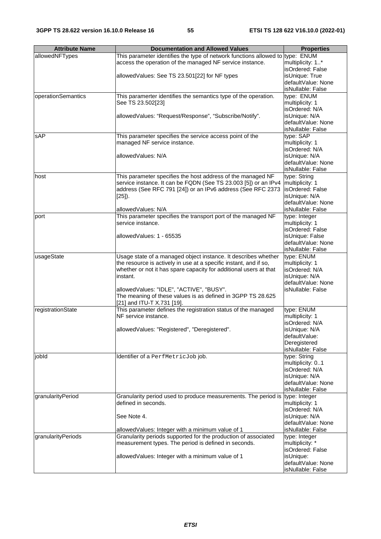| <b>Attribute Name</b> | <b>Documentation and Allowed Values</b>                                         | <b>Properties</b>  |
|-----------------------|---------------------------------------------------------------------------------|--------------------|
| allowedNFTypes        | This parameter identifies the type of network functions allowed to type: $ENUM$ |                    |
|                       | access the operation of the managed NF service instance.                        | multiplicity: 1*   |
|                       |                                                                                 | isOrdered: False   |
|                       | allowedValues: See TS 23.501[22] for NF types                                   | isUnique: True     |
|                       |                                                                                 | defaultValue: None |
|                       |                                                                                 | isNullable: False  |
| operationSemantics    | This paramerter identifies the semantics type of the operation.                 | type: ENUM         |
|                       | See TS 23.502[23]                                                               | multiplicity: 1    |
|                       |                                                                                 | isOrdered: N/A     |
|                       | allowedValues: "Request/Response", "Subscribe/Notify".                          | isUnique: N/A      |
|                       |                                                                                 | defaultValue: None |
|                       |                                                                                 | isNullable: False  |
| sAP                   | This parameter specifies the service access point of the                        | type: SAP          |
|                       |                                                                                 | multiplicity: 1    |
|                       | managed NF service instance.                                                    |                    |
|                       |                                                                                 | isOrdered: N/A     |
|                       | allowedValues: N/A                                                              | isUnique: N/A      |
|                       |                                                                                 | defaultValue: None |
|                       |                                                                                 | isNullable: False  |
| host                  | This parameter specifies the host address of the managed NF                     | type: String       |
|                       | service instance. It can be FQDN (See TS 23.003 [5]) or an IPv4                 | multiplicity: 1    |
|                       | address (See RFC 791 [24]) or an IPv6 address (See RFC 2373                     | isOrdered: False   |
|                       | $[25]$ ).                                                                       | isUnique: N/A      |
|                       |                                                                                 | defaultValue: None |
|                       | allowedValues: N/A                                                              | isNullable: False  |
| port                  | This parameter specifies the transport port of the managed NF                   | type: Integer      |
|                       | service instance.                                                               | multiplicity: 1    |
|                       |                                                                                 | isOrdered: False   |
|                       | allowedValues: 1 - 65535                                                        | isUnique: False    |
|                       |                                                                                 | defaultValue: None |
|                       |                                                                                 |                    |
|                       |                                                                                 | isNullable: False  |
| usageState            | Usage state of a managed object instance. It describes whether                  | type: ENUM         |
|                       | the resource is actively in use at a specific instant, and if so,               | multiplicity: 1    |
|                       | whether or not it has spare capacity for additional users at that               | isOrdered: N/A     |
|                       | instant.                                                                        | isUnique: N/A      |
|                       |                                                                                 | defaultValue: None |
|                       | allowedValues: "IDLE", "ACTIVE", "BUSY".                                        | isNullable: False  |
|                       | The meaning of these values is as defined in 3GPP TS 28.625                     |                    |
|                       | [21] and ITU-T X.731 [19].                                                      |                    |
| registrationState     | This parameter defines the registration status of the managed                   | type: ENUM         |
|                       | NF service instance.                                                            | multiplicity: 1    |
|                       |                                                                                 | isOrdered: N/A     |
|                       | allowedValues: "Registered", "Deregistered".                                    | isUnique: N/A      |
|                       |                                                                                 | defaultValue:      |
|                       |                                                                                 | Deregistered       |
|                       |                                                                                 | isNullable: False  |
| jobld                 | Identifier of a PerfMetricJob job.                                              | type: String       |
|                       |                                                                                 | multiplicity: 01   |
|                       |                                                                                 | isOrdered: N/A     |
|                       |                                                                                 | isUnique: N/A      |
|                       |                                                                                 |                    |
|                       |                                                                                 | defaultValue: None |
|                       |                                                                                 | isNullable: False  |
| granularityPeriod     | Granularity period used to produce measurements. The period is                  | type: Integer      |
|                       | defined in seconds.                                                             | multiplicity: 1    |
|                       |                                                                                 | isOrdered: N/A     |
|                       | See Note 4.                                                                     | isUnique: N/A      |
|                       |                                                                                 | defaultValue: None |
|                       | allowedValues: Integer with a minimum value of 1                                | isNullable: False  |
| granularityPeriods    | Granularity periods supported for the production of associated                  | type: Integer      |
|                       | measurement types. The period is defined in seconds.                            | multiplicity: *    |
|                       |                                                                                 | isOrdered: False   |
|                       | allowedValues: Integer with a minimum value of 1                                | isUnique:          |
|                       |                                                                                 | defaultValue: None |
|                       |                                                                                 | isNullable: False  |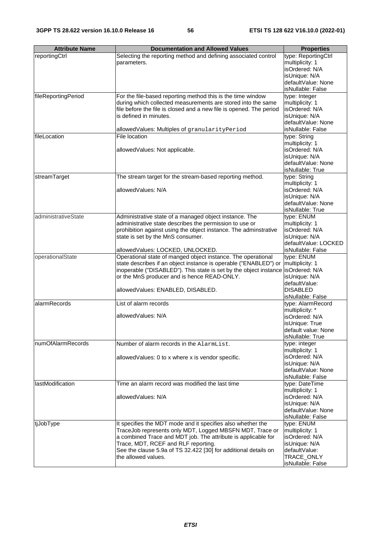| <b>Attribute Name</b> | <b>Documentation and Allowed Values</b>                                          | <b>Properties</b>    |
|-----------------------|----------------------------------------------------------------------------------|----------------------|
| reportingCtrl         | Selecting the reporting method and defining associated control                   | type: ReportingCtrl  |
|                       | parameters.                                                                      | multiplicity: 1      |
|                       |                                                                                  | isOrdered: N/A       |
|                       |                                                                                  | isUnique: N/A        |
|                       |                                                                                  | defaultValue: None   |
|                       |                                                                                  | isNullable: False    |
| fileReportingPeriod   | For the file-based reporting method this is the time window                      | type: Integer        |
|                       | during which collected measurements are stored into the same                     | multiplicity: 1      |
|                       | file before the file is closed and a new file is opened. The period              | isOrdered: N/A       |
|                       | is defined in minutes.                                                           | isUnique: N/A        |
|                       |                                                                                  | defaultValue: None   |
|                       | allowedValues: Multiples of granularityPeriod                                    | isNullable: False    |
|                       |                                                                                  |                      |
| fileLocation          | File location                                                                    | type: String         |
|                       |                                                                                  | multiplicity: 1      |
|                       | allowedValues: Not applicable.                                                   | isOrdered: N/A       |
|                       |                                                                                  | isUnique: N/A        |
|                       |                                                                                  | defaultValue: None   |
|                       |                                                                                  | isNullable: True     |
| streamTarget          | The stream target for the stream-based reporting method.                         | type: String         |
|                       |                                                                                  | multiplicity: 1      |
|                       | allowedValues: N/A                                                               | isOrdered: N/A       |
|                       |                                                                                  | isUnique: N/A        |
|                       |                                                                                  | defaultValue: None   |
|                       |                                                                                  | isNullable: True     |
| administrativeState   | Administrative state of a managed object instance. The                           | type: ENUM           |
|                       | administrative state describes the permission to use or                          | multiplicity: 1      |
|                       | prohibition against using the object instance. The adminstrative                 | isOrdered: N/A       |
|                       | state is set by the MnS consumer.                                                | isUnique: N/A        |
|                       |                                                                                  | defaultValue: LOCKED |
|                       | allowedValues: LOCKED, UNLOCKED.                                                 | isNullable: False    |
| operationalState      | Operational state of manged object instance. The operational                     | type: ENUM           |
|                       | state describes if an object instance is operable ("ENABLED") or                 | multiplicity: 1      |
|                       | inoperable ("DISABLED"). This state is set by the object instance isOrdered: N/A |                      |
|                       | or the MnS producer and is hence READ-ONLY.                                      | isUnique: N/A        |
|                       |                                                                                  | defaultValue:        |
|                       | allowedValues: ENABLED, DISABLED.                                                | <b>DISABLED</b>      |
|                       |                                                                                  | isNullable: False    |
| alarmRecords          | List of alarm records                                                            | type: AlarmRecord    |
|                       |                                                                                  | multiplicity: *      |
|                       | allowedValues: N/A                                                               | isOrdered: N/A       |
|                       |                                                                                  | isUnique: True       |
|                       |                                                                                  | Idefault value: None |
|                       |                                                                                  | isNullable: True     |
| numOfAlarmRecords     | Number of alarm records in the AlarmList.                                        | type: integer        |
|                       |                                                                                  | multiplicity: 1      |
|                       | allowedValues: 0 to x where x is vendor specific.                                | isOrdered: N/A       |
|                       |                                                                                  | isUnique: N/A        |
|                       |                                                                                  | defaultValue: None   |
|                       |                                                                                  | isNullable: False    |
| lastModification      | Time an alarm record was modified the last time                                  | type: DateTime       |
|                       |                                                                                  | multiplicity: 1      |
|                       | allowedValues: N/A                                                               | isOrdered: N/A       |
|                       |                                                                                  | isUnique: N/A        |
|                       |                                                                                  | defaultValue: None   |
|                       |                                                                                  | isNullable: False    |
| tjJobType             | It specifies the MDT mode and it specifies also whether the                      | type: ENUM           |
|                       | TraceJob represents only MDT, Logged MBSFN MDT, Trace or                         | multiplicity: 1      |
|                       | a combined Trace and MDT job. The attribute is applicable for                    | isOrdered: N/A       |
|                       | Trace, MDT, RCEF and RLF reporting.                                              | isUnique: N/A        |
|                       | See the clause 5.9a of TS 32.422 [30] for additional details on                  | defaultValue:        |
|                       | the allowed values.                                                              | TRACE_ONLY           |
|                       |                                                                                  | isNullable: False    |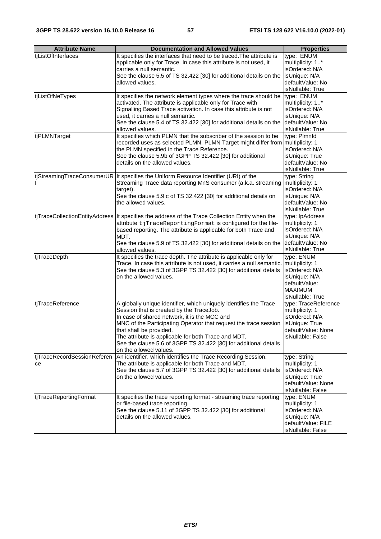| <b>Attribute Name</b>             | <b>Documentation and Allowed Values</b>                                                                                                                                                                                                                                                                                                                                                                           | <b>Properties</b>                                                                                                       |
|-----------------------------------|-------------------------------------------------------------------------------------------------------------------------------------------------------------------------------------------------------------------------------------------------------------------------------------------------------------------------------------------------------------------------------------------------------------------|-------------------------------------------------------------------------------------------------------------------------|
| tjListOfInterfaces                | It specifies the interfaces that need to be traced. The attribute is<br>applicable only for Trace. In case this attribute is not used, it<br>carries a null semantic.<br>See the clause 5.5 of TS 32.422 [30] for additional details on the<br>allowed values.                                                                                                                                                    | type: ENUM<br>multiplicity: 1*<br>isOrdered: N/A<br>isUnique: N/A<br>defaultValue: No<br>isNullable: True               |
| tjListOfNeTypes                   | It specifies the network element types where the trace should be<br>activated. The attribute is applicable only for Trace with<br>Signalling Based Trace activation. In case this attribute is not<br>used, it carries a null semantic.<br>See the clause 5.4 of TS 32.422 [30] for additional details on the<br>allowed values.                                                                                  | type: ENUM<br>multiplicity: 1*<br>isOrdered: N/A<br>isUnique: N/A<br>defaultValue: No<br>isNullable: True               |
| tjPLMNTarget                      | It specifies which PLMN that the subscriber of the session to be<br>recorded uses as selected PLMN. PLMN Target might differ from multiplicity: 1<br>the PLMN specified in the Trace Reference.<br>See the clause 5.9b of 3GPP TS 32.422 [30] for additional<br>details on the allowed values.                                                                                                                    | type: Plmnld<br>isOrdered: N/A<br>isUnique: True<br>defaultValue: No<br>isNullable: True                                |
|                                   | tjStreamingTraceConsumerUR   It specifies the Uniform Resource Identifier (URI) of the<br>Streaming Trace data reporting MnS consumer (a.k.a. streaming<br>target).<br>See the clause 5.9 c of TS 32.422 [30] for additional details on<br>the allowed values.                                                                                                                                                    | type: String<br>multiplicity: 1<br>isOrdered: N/A<br>isUnique: N/A<br>defaultValue: No<br>isNullable: True              |
| tjTraceCollectionEntityAddress    | It specifies the address of the Trace Collection Entity when the<br>attribute tjTraceReportingFormat is configured for the file-<br>based reporting. The attribute is applicable for both Trace and<br>MDT.<br>See the clause 5.9 of TS 32.422 [30] for additional details on the<br>allowed values.                                                                                                              | type: IpAddress<br>multiplicity: 1<br>isOrdered: N/A<br>isUnique: N/A<br>defaultValue: No<br>isNullable: True           |
| tjTraceDepth                      | It specifies the trace depth. The attribute is applicable only for<br>Trace. In case this attribute is not used, it carries a null semantic.<br>See the clause 5.3 of 3GPP TS 32.422 [30] for additional details<br>on the allowed values.                                                                                                                                                                        | type: ENUM<br>multiplicity: 1<br>isOrdered: N/A<br>isUnique: N/A<br>defaultValue:<br><b>MAXIMUM</b><br>isNullable: True |
| tjTraceReference                  | A globally unique identifier, which uniquely identifies the Trace<br>Session that is created by the TraceJob.<br>In case of shared network, it is the MCC and<br>MNC of the Participating Operator that request the trace session<br>that shall be provided.<br>The attribute is applicable for both Trace and MDT.<br>See the clause 5.6 of 3GPP TS 32.422 [30] for additional details<br>on the allowed values. | type: TraceReference<br>multiplicity: 1<br>isOrdered: N/A<br>isUnique: True<br>defaultValue: None<br>isNullable: False  |
| tjTraceRecordSessionReferen<br>ce | An identifier, which identifies the Trace Recording Session.<br>The attribute is applicable for both Trace and MDT.<br>See the clause 5.7 of 3GPP TS 32.422 [30] for additional details<br>on the allowed values.                                                                                                                                                                                                 | type: String<br>multiplicity: 1<br>isOrdered: N/A<br>isUnique: True<br>defaultValue: None<br>isNullable: False          |
| tjTraceReportingFormat            | It specifies the trace reporting format - streaming trace reporting<br>or file-based trace reporting.<br>See the clause 5.11 of 3GPP TS 32.422 [30] for additional<br>details on the allowed values.                                                                                                                                                                                                              | type: ENUM<br>multiplicity: 1<br>isOrdered: N/A<br>isUnique: N/A<br>defaultValue: FILE<br>isNullable: False             |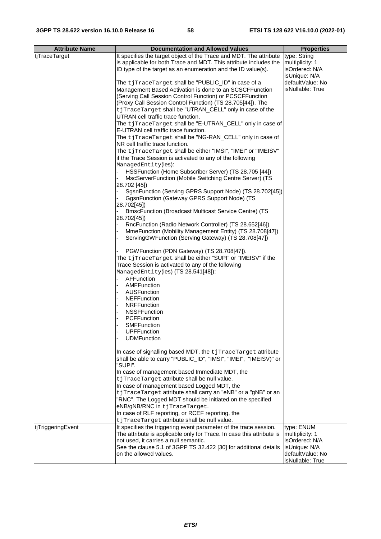| <b>Attribute Name</b> | <b>Documentation and Allowed Values</b>                                                                                                                                                                                                                                                                                                                                                                                                                                                                                                                                                                                                                                                                                                                                                                                                                                                                                                                                                                                                                                                                                                                                                                                     | <b>Properties</b>                                                                                        |
|-----------------------|-----------------------------------------------------------------------------------------------------------------------------------------------------------------------------------------------------------------------------------------------------------------------------------------------------------------------------------------------------------------------------------------------------------------------------------------------------------------------------------------------------------------------------------------------------------------------------------------------------------------------------------------------------------------------------------------------------------------------------------------------------------------------------------------------------------------------------------------------------------------------------------------------------------------------------------------------------------------------------------------------------------------------------------------------------------------------------------------------------------------------------------------------------------------------------------------------------------------------------|----------------------------------------------------------------------------------------------------------|
| tiTraceTarget         | It specifies the target object of the Trace and MDT. The attribute<br>is applicable for both Trace and MDT. This attribute includes the<br>ID type of the target as an enumeration and the ID value(s).                                                                                                                                                                                                                                                                                                                                                                                                                                                                                                                                                                                                                                                                                                                                                                                                                                                                                                                                                                                                                     | type: String<br>multiplicity: 1<br>isOrdered: N/A                                                        |
|                       | The tjTraceTarget shall be "PUBLIC_ID" in case of a<br>Management Based Activation is done to an SCSCFFunction<br>(Serving Call Session Control Function) or PCSCFFunction<br>(Proxy Call Session Control Function) (TS 28.705[44]). The<br>tjTraceTarget shall be "UTRAN_CELL" only in case of the<br>UTRAN cell traffic trace function.<br>The tjTraceTarget shall be "E-UTRAN_CELL" only in case of<br>E-UTRAN cell traffic trace function.<br>The tjTraceTarget shall be "NG-RAN_CELL" only in case of<br>NR cell traffic trace function.<br>The tjTraceTarget shall be either "IMSI", "IMEI" or "IMEISV"<br>if the Trace Session is activated to any of the following<br>ManagedEntity(ies):<br>HSSFunction (Home Subscriber Server) (TS 28.705 [44])<br>MscServerFunction (Mobile Switching Centre Server) (TS<br>28.702 [45])<br>SgsnFunction (Serving GPRS Support Node) (TS 28.702[45])<br>GgsnFunction (Gateway GPRS Support Node) (TS<br>28.702[45])<br><b>BmscFunction (Broadcast Multicast Service Centre) (TS</b><br>28.702[45])<br>RncFunction (Radio Network Controller) (TS 28.652[46])<br>MmeFunction (Mobility Management Entity) (TS 28.708[47])<br>ServingGWFunction (Serving Gateway) (TS 28.708[47]) | isUnique: N/A<br>defaultValue: No<br>isNullable: True                                                    |
|                       | PGWFunction (PDN Gateway) (TS 28.708[47]).<br>The tjTraceTarget shall be either "SUPI" or "IMEISV" if the<br>Trace Session is activated to any of the following<br>ManagedEntity(ies) (TS 28.541[48]):<br>AFFunction<br>AMFFunction<br><b>AUSFunction</b><br><b>NEFFunction</b><br><b>NRFFunction</b><br><b>NSSFFunction</b><br><b>PCFFunction</b><br>SMFFunction<br><b>UPFFunction</b><br><b>UDMFunction</b>                                                                                                                                                                                                                                                                                                                                                                                                                                                                                                                                                                                                                                                                                                                                                                                                               |                                                                                                          |
|                       | In case of signalling based MDT, the tjTraceTarget attribute<br>shall be able to carry "PUBLIC_ID", "IMSI", "IMEI", "IMEISV)" or<br>"SUPI".<br>In case of management based Immediate MDT, the<br>tjTraceTarget attribute shall be null value.<br>In case of management based Logged MDT, the<br>tjTraceTarget attribute shall carry an "eNB" or a "gNB" or an<br>"RNC". The Logged MDT should be initiated on the specified<br>eNB/gNB/RNC in tjTraceTarget.<br>In case of RLF reporting, or RCEF reporting, the<br>tjTraceTarget attribute shall be null value.                                                                                                                                                                                                                                                                                                                                                                                                                                                                                                                                                                                                                                                            |                                                                                                          |
| tjTriggeringEvent     | It specifies the triggering event parameter of the trace session.<br>The attribute is applicable only for Trace. In case this attribute is<br>not used, it carries a null semantic.<br>See the clause 5.1 of 3GPP TS 32.422 [30] for additional details<br>on the allowed values.                                                                                                                                                                                                                                                                                                                                                                                                                                                                                                                                                                                                                                                                                                                                                                                                                                                                                                                                           | type: ENUM<br>multiplicity: 1<br>isOrdered: N/A<br>isUnique: N/A<br>defaultValue: No<br>isNullable: True |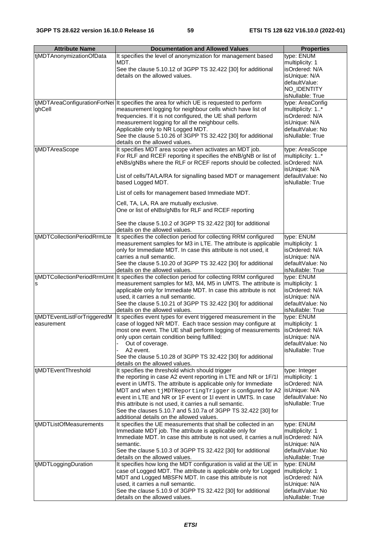| <b>Attribute Name</b>       | <b>Documentation and Allowed Values</b>                                                                                  | <b>Properties</b>                    |
|-----------------------------|--------------------------------------------------------------------------------------------------------------------------|--------------------------------------|
| tjMDTAnonymizationOfData    | It specifies the level of anonymization for management based                                                             | type: ENUM                           |
|                             | MDT.                                                                                                                     | multiplicity: 1                      |
|                             | See the clause 5.10.12 of 3GPP TS 32.422 [30] for additional                                                             | isOrdered: N/A                       |
|                             | details on the allowed values.                                                                                           | isUnique: N/A                        |
|                             |                                                                                                                          | defaultValue:                        |
|                             |                                                                                                                          | NO_IDENTITY                          |
|                             |                                                                                                                          | isNullable: True                     |
|                             | tjMDTAreaConfigurationForNei   It specifies the area for which UE is requested to perform                                | type: AreaConfig                     |
| ghCell                      | measurement logging for neighbour cells which have list of                                                               | multiplicity: 1*                     |
|                             | frequencies. If it is not configured, the UE shall perform                                                               | isOrdered: N/A                       |
|                             | measurement logging for all the neighbour cells.                                                                         | isUnique: N/A                        |
|                             | Applicable only to NR Logged MDT.                                                                                        | defaultValue: No                     |
|                             | See the clause 5.10.26 of 3GPP TS 32.422 [30] for additional                                                             | isNullable: True                     |
|                             | details on the allowed values.                                                                                           |                                      |
| tjMDTAreaScope              | It specifies MDT area scope when activates an MDT job.<br>For RLF and RCEF reporting it specifies the eNB/gNB or list of | type: AreaScope                      |
|                             | eNBs/gNBs where the RLF or RCEF reports should be collected.                                                             | multiplicity: 1*<br>isOrdered: N/A   |
|                             |                                                                                                                          | isUnique: N/A                        |
|                             | List of cells/TA/LA/RA for signalling based MDT or management                                                            | defaultValue: No                     |
|                             | based Logged MDT.                                                                                                        | isNullable: True                     |
|                             |                                                                                                                          |                                      |
|                             | List of cells for management based Immediate MDT.                                                                        |                                      |
|                             | Cell, TA, LA, RA are mutually exclusive.                                                                                 |                                      |
|                             | One or list of eNBs/gNBs for RLF and RCEF reporting                                                                      |                                      |
|                             | See the clause 5.10.2 of 3GPP TS 32.422 [30] for additional                                                              |                                      |
|                             | details on the allowed values.                                                                                           |                                      |
| tjMDTCollectionPeriodRrmLte | It specifies the collection period for collecting RRM configured                                                         | type: ENUM                           |
|                             | measurement samples for M3 in LTE. The attribute is applicable                                                           | multiplicity: 1                      |
|                             | only for Immediate MDT. In case this attribute is not used, it                                                           | isOrdered: N/A                       |
|                             | carries a null semantic.                                                                                                 | isUnique: N/A                        |
|                             | See the clause 5.10.20 of 3GPP TS 32.422 [30] for additional                                                             | defaultValue: No                     |
|                             | details on the allowed values.                                                                                           | isNullable: True                     |
|                             | tiMDTCollectionPeriodRrmUmt  It specifies the collection period for collecting RRM configured                            | type: ENUM                           |
| s                           | measurement samples for M3, M4, M5 in UMTS. The attribute is                                                             | multiplicity: 1                      |
|                             | applicable only for Immediate MDT. In case this attribute is not                                                         | isOrdered: N/A                       |
|                             | used, it carries a null semantic.                                                                                        | isUnique: N/A                        |
|                             | See the clause 5.10.21 of 3GPP TS 32.422 [30] for additional<br>details on the allowed values.                           | defaultValue: No<br>isNullable: True |
| tjMDTEventListForTriggeredM | It specifies event types for event triggered measurement in the                                                          | type: ENUM                           |
| easurement                  | case of logged NR MDT. Each trace session may configure at                                                               | multiplicity: 1                      |
|                             | most one event. The UE shall perform logging of measurements   isOrdered: N/A                                            |                                      |
|                             | only upon certain condition being fulfilled:                                                                             | isUnique: N/A                        |
|                             | Out of coverage.                                                                                                         | defaultValue: No                     |
|                             | A2 event.                                                                                                                | isNullable: True                     |
|                             | See the clause 5.10.28 of 3GPP TS 32.422 [30] for additional                                                             |                                      |
|                             | details on the allowed values.                                                                                           |                                      |
| tjMDTEventThreshold         | It specifies the threshold which should trigger                                                                          | type: Integer                        |
|                             | the reporting in case A2 event reporting in LTE and NR or 1F/1I                                                          | multiplicity: 1                      |
|                             | event in UMTS. The attribute is applicable only for Immediate                                                            | isOrdered: N/A                       |
|                             | MDT and when tjMDTReportingTrigger is configured for A2<br>event in LTE and NR or 1F event or 1I event in UMTS. In case  | isUnique: N/A<br>defaultValue: No    |
|                             | this attribute is not used, it carries a null semantic.                                                                  | isNullable: True                     |
|                             | See the clauses 5.10.7 and 5.10.7a of 3GPP TS 32.422 [30] for                                                            |                                      |
|                             | additional details on the allowed values.                                                                                |                                      |
| tjMDTListOfMeasurements     | It specifies the UE measurements that shall be collected in an                                                           | type: ENUM                           |
|                             | Immediate MDT job. The attribute is applicable only for                                                                  | multiplicity: 1                      |
|                             | Immediate MDT. In case this attribute is not used, it carries a null isOrdered: N/A                                      |                                      |
|                             | semantic.                                                                                                                | isUnique: N/A                        |
|                             | See the clause 5.10.3 of 3GPP TS 32.422 [30] for additional                                                              | defaultValue: No                     |
|                             | details on the allowed values.<br>It specifies how long the MDT configuration is valid at the UE in                      | isNullable: True                     |
| tjMDTLoggingDuration        | case of Logged MDT. The attribute is applicable only for Logged                                                          | type: ENUM<br>multiplicity: 1        |
|                             | MDT and Logged MBSFN MDT. In case this attribute is not                                                                  | isOrdered: N/A                       |
|                             | used, it carries a null semantic.                                                                                        | isUnique: N/A                        |
|                             | See the clause 5.10.9 of 3GPP TS 32.422 [30] for additional                                                              | defaultValue: No                     |
|                             | details on the allowed values.                                                                                           | isNullable: True                     |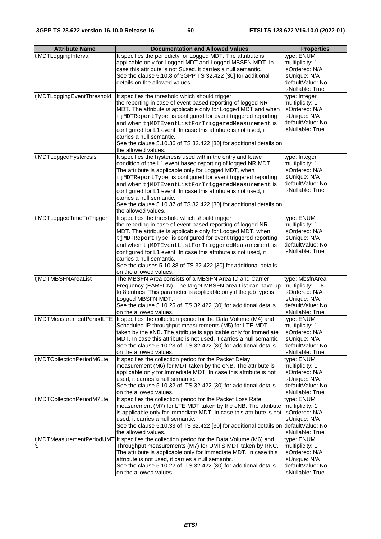| <b>Attribute Name</b>      | <b>Documentation and Allowed Values</b>                                                                                                              | <b>Properties</b>                    |
|----------------------------|------------------------------------------------------------------------------------------------------------------------------------------------------|--------------------------------------|
|                            |                                                                                                                                                      |                                      |
| tjMDTLoggingInterval       | It specifies the periodicty for Logged MDT. The attribute is                                                                                         | type: ENUM                           |
|                            | applicable only for Logged MDT and Logged MBSFN MDT. In                                                                                              | multiplicity: 1                      |
|                            | case this attribute is not Sused, it carries a null semantic.                                                                                        | isOrdered: N/A                       |
|                            | See the clause 5.10.8 of 3GPP TS 32.422 [30] for additional                                                                                          | isUnique: N/A                        |
|                            | details on the allowed values.                                                                                                                       | defaultValue: No                     |
|                            |                                                                                                                                                      | isNullable: True                     |
| tjMDTLoggingEventThreshold | It specifies the threshold which should trigger                                                                                                      | type: Integer                        |
|                            | the reporting in case of event based reporting of logged NR                                                                                          | multiplicity: 1                      |
|                            | MDT. The attribute is applicable only for Logged MDT and when                                                                                        | isOrdered: N/A                       |
|                            | t jMDTReportType is configured for event triggered reporting                                                                                         | isUnique: N/A                        |
|                            | and when tjMDTEventListForTriggeredMeasurement is                                                                                                    | defaultValue: No<br>isNullable: True |
|                            | configured for L1 event. In case this attribute is not used, it                                                                                      |                                      |
|                            | carries a null semantic.                                                                                                                             |                                      |
|                            | See the clause 5.10.36 of TS 32.422 [30] for additional details on                                                                                   |                                      |
|                            | the allowed values.                                                                                                                                  |                                      |
| tjMDTLoggedHysteresis      | It specifies the hysteresis used within the entry and leave                                                                                          | type: Integer                        |
|                            | condition of the L1 event based reporting of logged NR MDT.                                                                                          | multiplicity: 1                      |
|                            | The attribute is applicable only for Logged MDT, when                                                                                                | isOrdered: N/A                       |
|                            | t jMDTReportType is configured for event triggered reporting                                                                                         | isUnique: N/A                        |
|                            | and when tjMDTEventListForTriggeredMeasurement is                                                                                                    | defaultValue: No                     |
|                            | configured for L1 event. In case this attribute is not used, it                                                                                      | isNullable: True                     |
|                            | carries a null semantic.                                                                                                                             |                                      |
|                            | See the clause 5.10.37 of TS 32.422 [30] for additional details on                                                                                   |                                      |
|                            | the allowed values.                                                                                                                                  |                                      |
| tjMDTLoggedTimeToTrigger   | It specifies the threshold which should trigger                                                                                                      | type: ENUM                           |
|                            | the reporting in case of event based reporting of logged NR                                                                                          | multiplicity: 1                      |
|                            | MDT. The attribute is applicable only for Logged MDT, when                                                                                           | isOrdered: N/A                       |
|                            | t jMDTReportType is configured for event triggered reporting                                                                                         | isUnique: N/A                        |
|                            | and when tjMDTEventListForTriggeredMeasurement is                                                                                                    | defaultValue: No                     |
|                            | configured for L1 event. In case this attribute is not used, it                                                                                      | isNullable: True                     |
|                            | carries a null semantic.                                                                                                                             |                                      |
|                            | See the clauses 5.10.38 of TS 32.422 [30] for additional details                                                                                     |                                      |
|                            | on the allowed values.                                                                                                                               |                                      |
| tjMDTMBSFNAreaList         | The MBSFN Area consists of a MBSFN Area ID and Carrier                                                                                               | type: MbsfnArea                      |
|                            | Frequency (EARFCN). The target MBSFN area List can have up                                                                                           | multiplicity: 18                     |
|                            | to 8 entries. This parameter is applicable only if the job type is                                                                                   | isOrdered: N/A                       |
|                            | Logged MBSFN MDT.                                                                                                                                    | isUnique: N/A                        |
|                            | See the clause 5.10.25 of TS 32.422 [30] for additional details                                                                                      | defaultValue: No                     |
|                            | on the allowed values.                                                                                                                               | isNullable: True                     |
|                            | tiMDTMeasurementPeriodLTE   It specifies the collection period for the Data Volume (M4) and<br>Scheduled IP throughput measurements (M5) for LTE MDT | type: ENUM<br>multiplicity: 1        |
|                            | taken by the eNB. The attribute is applicable only for Immediate                                                                                     | isOrdered: N/A                       |
|                            | MDT. In case this attribute is not used, it carries a null semantic.                                                                                 |                                      |
|                            | See the clause 5.10.23 of TS 32.422 [30] for additional details                                                                                      | isUnique: N/A<br>defaultValue: No    |
|                            | on the allowed values.                                                                                                                               | isNullable: True                     |
| tjMDTCollectionPeriodM6Lte | It specifies the collection period for the Packet Delay                                                                                              | type: ENUM                           |
|                            | measurement (M6) for MDT taken by the eNB. The attribute is                                                                                          | multiplicity: 1                      |
|                            | applicable only for Immediate MDT. In case this attribute is not                                                                                     | isOrdered: N/A                       |
|                            | used, it carries a null semantic.                                                                                                                    | isUnique: N/A                        |
|                            | See the clause 5.10.32 of TS 32.422 [30] for additional details                                                                                      | defaultValue: No                     |
|                            | on the allowed values.                                                                                                                               | isNullable: True                     |
| tjMDTCollectionPeriodM7Lte | It specifies the collection period for the Packet Loss Rate                                                                                          | type: ENUM                           |
|                            | measurement (M7) for LTE MDT taken by the eNB. The attribute                                                                                         | multiplicity: 1                      |
|                            | is applicable only for Immediate MDT. In case this attribute is not                                                                                  | isOrdered: N/A                       |
|                            | used, it carries a null semantic.                                                                                                                    | isUnique: N/A                        |
|                            | See the clause 5.10.33 of TS 32.422 [30] for additional details on defaultValue: No                                                                  |                                      |
|                            | the allowed values.                                                                                                                                  | isNullable: True                     |
| tjMDTMeasurementPeriodUMT  | It specifies the collection period for the Data Volume (M6) and                                                                                      | type: ENUM                           |
| S                          | Throughput measurements (M7) for UMTS MDT taken by RNC.                                                                                              | multiplicity: 1                      |
|                            | The attribute is applicable only for Immediate MDT. In case this                                                                                     | isOrdered: N/A                       |
|                            | attribute is not used, it carries a null semantic.                                                                                                   | isUnique: N/A                        |
|                            | See the clause 5.10.22 of TS 32.422 [30] for additional details                                                                                      | defaultValue: No                     |
|                            | on the allowed values.                                                                                                                               | isNullable: True                     |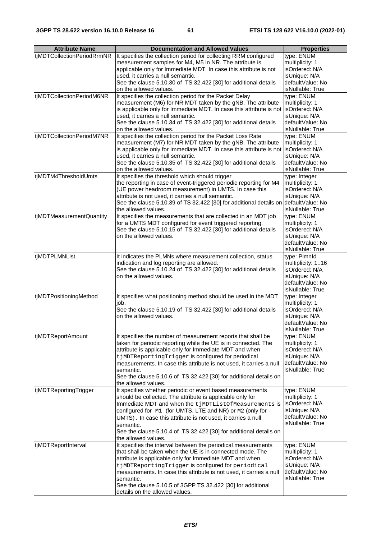| <b>Attribute Name</b>      | <b>Documentation and Allowed Values</b>                                                                                                   | <b>Properties</b>                 |
|----------------------------|-------------------------------------------------------------------------------------------------------------------------------------------|-----------------------------------|
| tjMDTCollectionPeriodRrmNR | It specifies the collection period for collecting RRM configured                                                                          |                                   |
|                            | measurement samples for M4, M5 in NR. The attribute is                                                                                    | type: ENUM<br>multiplicity: 1     |
|                            | applicable only for Immediate MDT. In case this attribute is not                                                                          | isOrdered: N/A                    |
|                            | used, it carries a null semantic.                                                                                                         | isUnique: N/A                     |
|                            | See the clause 5.10.30 of TS 32.422 [30] for additional details                                                                           | defaultValue: No                  |
|                            | on the allowed values.                                                                                                                    | isNullable: True                  |
| tjMDTCollectionPeriodM6NR  | It specifies the collection period for the Packet Delay                                                                                   | type: ENUM                        |
|                            | measurement (M6) for NR MDT taken by the gNB. The attribute                                                                               | multiplicity: 1                   |
|                            | is applicable only for Immediate MDT. In case this attribute is not                                                                       | isOrdered: N/A                    |
|                            | used, it carries a null semantic.                                                                                                         | isUnique: N/A                     |
|                            | See the clause 5.10.34 of TS 32.422 [30] for additional details                                                                           | defaultValue: No                  |
|                            | on the allowed values.                                                                                                                    | isNullable: True                  |
| tjMDTCollectionPeriodM7NR  | It specifies the collection period for the Packet Loss Rate                                                                               | type: ENUM                        |
|                            | measurement (M7) for NR MDT taken by the gNB. The attribute                                                                               | multiplicity: 1                   |
|                            | is applicable only for Immediate MDT. In case this attribute is not isOrdered: N/A                                                        |                                   |
|                            | used, it carries a null semantic.                                                                                                         | isUnique: N/A                     |
|                            | See the clause 5.10.35 of TS 32.422 [30] for additional details                                                                           | defaultValue: No                  |
|                            | on the allowed values.                                                                                                                    | isNullable: True                  |
| tjMDTM4ThresholdUmts       | It specifies the threshold which should trigger                                                                                           | type: Integer                     |
|                            | the reporting in case of event-triggered periodic reporting for M4                                                                        | multiplicity: 1                   |
|                            | (UE power headroom measurement) in UMTS. In case this                                                                                     | isOrdered: N/A                    |
|                            | attribute is not used, it carries a null semantic.<br>See the clause 5.10.39 of TS 32.422 [30] for additional details on defaultValue: No | isUnique: N/A                     |
|                            | the allowed values.                                                                                                                       | isNullable: True                  |
| tjMDTMeasurementQuantity   | It specifies the measurements that are collected in an MDT job                                                                            | type: ENUM                        |
|                            | for a UMTS MDT configured for event triggered reporting.                                                                                  | multiplicity: 1                   |
|                            | See the clause 5.10.15 of TS 32.422 [30] for additional details                                                                           | isOrdered: N/A                    |
|                            | on the allowed values.                                                                                                                    | isUnique: N/A                     |
|                            |                                                                                                                                           | defaultValue: No                  |
|                            |                                                                                                                                           | isNullable: True                  |
| tjMDTPLMNList              | It indicates the PLMNs where measurement collection, status                                                                               | type: Plmnld                      |
|                            | indication and log reporting are allowed.                                                                                                 | multiplicity: 116                 |
|                            | See the clause 5.10.24 of TS 32.422 [30] for additional details                                                                           | isOrdered: N/A                    |
|                            | on the allowed values.                                                                                                                    | isUnique: N/A                     |
|                            |                                                                                                                                           | defaultValue: No                  |
|                            |                                                                                                                                           | isNullable: True                  |
| tjMDTPositioningMethod     | It specifies what positioning method should be used in the MDT                                                                            | type: Integer                     |
|                            | job.                                                                                                                                      | multiplicity: 1                   |
|                            | See the clause 5.10.19 of TS 32.422 [30] for additional details<br>on the allowed values.                                                 | isOrdered: N/A<br>isUnique: N/A   |
|                            |                                                                                                                                           | defaultValue: No                  |
|                            |                                                                                                                                           | isNullable: True                  |
| tjMDTReportAmount          | It specifies the number of measurement reports that shall be                                                                              | type: ENUM                        |
|                            | taken for periodic reporting while the UE is in connected. The                                                                            | multiplicity: 1                   |
|                            | attribute is applicable only for Immediate MDT and when                                                                                   | isOrdered: N/A                    |
|                            | tjMDTReportingTrigger is configured for periodical                                                                                        | isUnique: N/A                     |
|                            | measurements. In case this attribute is not used, it carries a null                                                                       | defaultValue: No                  |
|                            | semantic.                                                                                                                                 | isNullable: True                  |
|                            | See the clause 5.10.6 of TS 32.422 [30] for additional details on                                                                         |                                   |
|                            | the allowed values.                                                                                                                       |                                   |
| tjMDTReportingTrigger      | It specifies whether periodic or event based measurements                                                                                 | type: ENUM                        |
|                            | should be collected. The attribute is applicable only for                                                                                 | multiplicity: 1                   |
|                            | Immediate MDT and when the tjMDTListOfMeasurements is                                                                                     | isOrdered: N/A                    |
|                            | configured for M1 (for UMTS, LTE and NR) or M2 (only for                                                                                  | isUnique: N/A                     |
|                            | UMTS). In case this attribute is not used, it carries a null                                                                              | defaultValue: No                  |
|                            | semantic.                                                                                                                                 | isNullable: True                  |
|                            | See the clause 5.10.4 of TS 32.422 [30] for additional details on                                                                         |                                   |
|                            | the allowed values.                                                                                                                       |                                   |
| tjMDTReportInterval        | It specifies the interval between the periodical measurements                                                                             | type: ENUM                        |
|                            | that shall be taken when the UE is in connected mode. The                                                                                 | multiplicity: 1                   |
|                            | attribute is applicable only for Immediate MDT and when                                                                                   | isOrdered: N/A                    |
|                            | tjMDTReportingTrigger is configured for periodical                                                                                        | isUnique: N/A<br>defaultValue: No |
|                            | measurements. In case this attribute is not used, it carries a null<br>semantic.                                                          | isNullable: True                  |
|                            | See the clause 5.10.5 of 3GPP TS 32.422 [30] for additional                                                                               |                                   |
|                            | details on the allowed values.                                                                                                            |                                   |
|                            |                                                                                                                                           |                                   |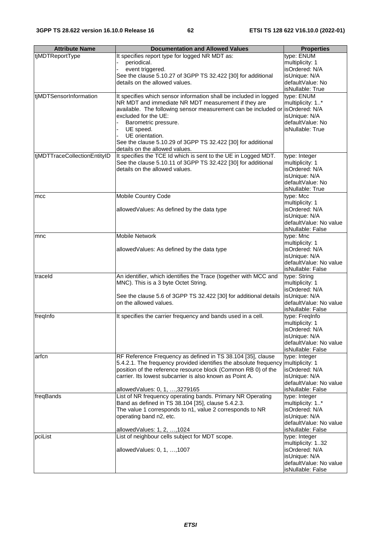| <b>Attribute Name</b>        | <b>Documentation and Allowed Values</b>                                                                                   | <b>Properties</b>                 |
|------------------------------|---------------------------------------------------------------------------------------------------------------------------|-----------------------------------|
| tjMDTReportType              | It specifies report type for logged NR MDT as:                                                                            | type: ENUM                        |
|                              | periodical.                                                                                                               | multiplicity: 1                   |
|                              | event triggered.                                                                                                          | isOrdered: N/A                    |
|                              | See the clause 5.10.27 of 3GPP TS 32.422 [30] for additional                                                              | isUnique: N/A                     |
|                              | details on the allowed values.                                                                                            | defaultValue: No                  |
|                              |                                                                                                                           | isNullable: True                  |
| tjMDTSensorInformation       | It specifies which sensor information shall be included in logged                                                         | type: ENUM                        |
|                              | NR MDT and immediate NR MDT measurement if they are                                                                       | multiplicity: 1*                  |
|                              | available. The following sensor measurement can be included or isOrdered: N/A                                             |                                   |
|                              | excluded for the UE:                                                                                                      | isUnique: N/A                     |
|                              | Barometric pressure.                                                                                                      | defaultValue: No                  |
|                              | UE speed.                                                                                                                 | isNullable: True                  |
|                              | UE orientation.                                                                                                           |                                   |
|                              | See the clause 5.10.29 of 3GPP TS 32.422 [30] for additional                                                              |                                   |
|                              | details on the allowed values.                                                                                            |                                   |
| tjMDTTraceCollectionEntityID | It specifies the TCE Id which is sent to the UE in Logged MDT.                                                            | type: Integer                     |
|                              | See the clause 5.10.11 of 3GPP TS 32.422 [30] for additional                                                              | multiplicity: 1                   |
|                              | details on the allowed values.                                                                                            | isOrdered: N/A                    |
|                              |                                                                                                                           | isUnique: N/A                     |
|                              |                                                                                                                           | defaultValue: No                  |
|                              |                                                                                                                           | isNullable: True                  |
| mcc                          | <b>Mobile Country Code</b>                                                                                                | type: Mcc                         |
|                              | allowedValues: As defined by the data type                                                                                | multiplicity: 1<br>isOrdered: N/A |
|                              |                                                                                                                           | isUnique: N/A                     |
|                              |                                                                                                                           | defaultValue: No value            |
|                              |                                                                                                                           | isNullable: False                 |
| mnc                          | <b>Mobile Network</b>                                                                                                     | type: Mnc                         |
|                              |                                                                                                                           | multiplicity: 1                   |
|                              | allowedValues: As defined by the data type                                                                                | isOrdered: N/A                    |
|                              |                                                                                                                           | isUnique: N/A                     |
|                              |                                                                                                                           | defaultValue: No value            |
|                              |                                                                                                                           | isNullable: False                 |
| traceld                      | An identifier, which identifies the Trace (together with MCC and                                                          | type: String                      |
|                              | MNC). This is a 3 byte Octet String.                                                                                      | multiplicity: 1                   |
|                              |                                                                                                                           | isOrdered: N/A                    |
|                              | See the clause 5.6 of 3GPP TS 32.422 [30] for additional details                                                          | isUnique: N/A                     |
|                              | on the allowed values.                                                                                                    | defaultValue: No value            |
|                              |                                                                                                                           | isNullable: False                 |
| freginfo                     | It specifies the carrier frequency and bands used in a cell.                                                              | type: FreqInfo                    |
|                              |                                                                                                                           | multiplicity: 1                   |
|                              |                                                                                                                           | isOrdered: N/A                    |
|                              |                                                                                                                           | isUnique: N/A                     |
|                              |                                                                                                                           | defaultValue: No value            |
|                              |                                                                                                                           | isNullable: False                 |
| arfcn                        | RF Reference Frequency as defined in TS 38.104 [35], clause                                                               | type: Integer                     |
|                              | 5.4.2.1. The frequency provided identifies the absolute frequency                                                         | multiplicity: 1                   |
|                              | position of the reference resource block (Common RB 0) of the<br>carrier. Its lowest subcarrier is also known as Point A. | isOrdered: N/A<br>isUnique: N/A   |
|                              |                                                                                                                           | defaultValue: No value            |
|                              | allowedValues: 0, 1, , 3279165                                                                                            | isNullable: False                 |
| freqBands                    | List of NR frequency operating bands. Primary NR Operating                                                                | type: Integer                     |
|                              | Band as defined in TS 38.104 [35], clause 5.4.2.3.                                                                        | multiplicity: 1*                  |
|                              | The value 1 corresponds to n1, value 2 corresponds to NR                                                                  | isOrdered: N/A                    |
|                              | operating band n2, etc.                                                                                                   | isUnique: N/A                     |
|                              |                                                                                                                           | defaultValue: No value            |
|                              | allowedValues: 1, 2, , 1024                                                                                               | isNullable: False                 |
| pciList                      | List of neighbour cells subject for MDT scope.                                                                            | type: Integer                     |
|                              |                                                                                                                           | multiplicity: 132                 |
|                              | allowedValues: 0, 1, , 1007                                                                                               | isOrdered: N/A                    |
|                              |                                                                                                                           | isUnique: N/A                     |
|                              |                                                                                                                           | defaultValue: No value            |
|                              |                                                                                                                           | isNullable: False                 |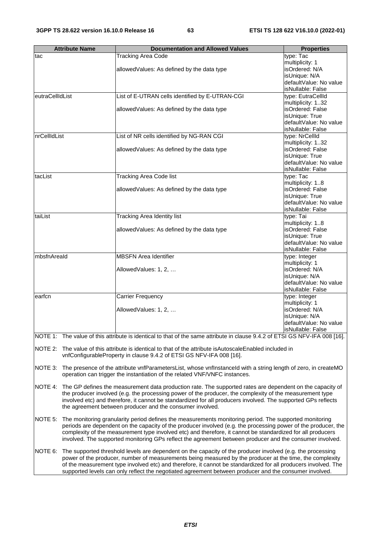|                 | <b>Documentation and Allowed Values</b><br><b>Attribute Name</b><br><b>Properties</b> |                                                                                                                                                                                              |                                          |  |  |  |  |  |
|-----------------|---------------------------------------------------------------------------------------|----------------------------------------------------------------------------------------------------------------------------------------------------------------------------------------------|------------------------------------------|--|--|--|--|--|
| tac             |                                                                                       | <b>Tracking Area Code</b>                                                                                                                                                                    | type: Tac                                |  |  |  |  |  |
|                 |                                                                                       |                                                                                                                                                                                              | multiplicity: 1<br>isOrdered: N/A        |  |  |  |  |  |
|                 |                                                                                       | allowedValues: As defined by the data type                                                                                                                                                   | isUnique: N/A                            |  |  |  |  |  |
|                 |                                                                                       |                                                                                                                                                                                              | defaultValue: No value                   |  |  |  |  |  |
|                 |                                                                                       |                                                                                                                                                                                              | isNullable: False                        |  |  |  |  |  |
| eutraCellIdList |                                                                                       | List of E-UTRAN cells identified by E-UTRAN-CGI                                                                                                                                              | type: EutraCellId                        |  |  |  |  |  |
|                 |                                                                                       |                                                                                                                                                                                              | multiplicity: 132                        |  |  |  |  |  |
|                 |                                                                                       | allowedValues: As defined by the data type                                                                                                                                                   | isOrdered: False<br>isUnique: True       |  |  |  |  |  |
|                 |                                                                                       |                                                                                                                                                                                              | defaultValue: No value                   |  |  |  |  |  |
|                 |                                                                                       |                                                                                                                                                                                              | isNullable: False                        |  |  |  |  |  |
| nrCellIdList    |                                                                                       | List of NR cells identified by NG-RAN CGI                                                                                                                                                    | type: NrCellId                           |  |  |  |  |  |
|                 |                                                                                       |                                                                                                                                                                                              | multiplicity: 132                        |  |  |  |  |  |
|                 |                                                                                       | allowed Values: As defined by the data type                                                                                                                                                  | isOrdered: False                         |  |  |  |  |  |
|                 |                                                                                       |                                                                                                                                                                                              | isUnique: True<br>defaultValue: No value |  |  |  |  |  |
|                 |                                                                                       |                                                                                                                                                                                              | isNullable: False                        |  |  |  |  |  |
| tacList         |                                                                                       | <b>Tracking Area Code list</b>                                                                                                                                                               | type: Tac                                |  |  |  |  |  |
|                 |                                                                                       |                                                                                                                                                                                              | multiplicity: 18                         |  |  |  |  |  |
|                 |                                                                                       | allowedValues: As defined by the data type                                                                                                                                                   | isOrdered: False                         |  |  |  |  |  |
|                 |                                                                                       |                                                                                                                                                                                              | isUnique: True<br>defaultValue: No value |  |  |  |  |  |
|                 |                                                                                       |                                                                                                                                                                                              | isNullable: False                        |  |  |  |  |  |
| taiList         |                                                                                       | Tracking Area Identity list                                                                                                                                                                  | type: Tai                                |  |  |  |  |  |
|                 |                                                                                       |                                                                                                                                                                                              | multiplicity: 18                         |  |  |  |  |  |
|                 |                                                                                       | allowedValues: As defined by the data type                                                                                                                                                   | isOrdered: False                         |  |  |  |  |  |
|                 |                                                                                       |                                                                                                                                                                                              | isUnique: True<br>defaultValue: No value |  |  |  |  |  |
|                 |                                                                                       |                                                                                                                                                                                              | isNullable: False                        |  |  |  |  |  |
| mbsfnAreald     |                                                                                       | <b>MBSFN Area Identifier</b>                                                                                                                                                                 | type: Integer                            |  |  |  |  |  |
|                 |                                                                                       |                                                                                                                                                                                              | multiplicity: 1                          |  |  |  |  |  |
|                 |                                                                                       | AllowedValues: 1, 2,                                                                                                                                                                         | isOrdered: N/A                           |  |  |  |  |  |
|                 |                                                                                       |                                                                                                                                                                                              | isUnique: N/A<br>defaultValue: No value  |  |  |  |  |  |
|                 |                                                                                       |                                                                                                                                                                                              | isNullable: False                        |  |  |  |  |  |
| earfcn          |                                                                                       | <b>Carrier Frequency</b>                                                                                                                                                                     | type: Integer                            |  |  |  |  |  |
|                 |                                                                                       |                                                                                                                                                                                              | multiplicity: 1                          |  |  |  |  |  |
|                 |                                                                                       | AllowedValues: 1, 2,                                                                                                                                                                         | isOrdered: N/A<br>isUnique: N/A          |  |  |  |  |  |
|                 |                                                                                       |                                                                                                                                                                                              | defaultValue: No value                   |  |  |  |  |  |
|                 |                                                                                       |                                                                                                                                                                                              | isNullable: False                        |  |  |  |  |  |
|                 |                                                                                       | NOTE 1: The value of this attribute is identical to that of the same attribute in clause 9.4.2 of ETSI GS NFV-IFA 008 [16].                                                                  |                                          |  |  |  |  |  |
|                 |                                                                                       |                                                                                                                                                                                              |                                          |  |  |  |  |  |
| NOTE 2:         |                                                                                       | The value of this attribute is identical to that of the attribute is Autoscale Enabled included in<br>vnfConfigurableProperty in clause 9.4.2 of ETSI GS NFV-IFA 008 [16].                   |                                          |  |  |  |  |  |
| NOTE 3:         |                                                                                       | The presence of the attribute vnfParametersList, whose vnfInstanceId with a string length of zero, in createMO<br>operation can trigger the instantiation of the related VNF/VNFC instances. |                                          |  |  |  |  |  |
| NOTE 4:         |                                                                                       | The GP defines the measurement data production rate. The supported rates are dependent on the capacity of                                                                                    |                                          |  |  |  |  |  |
|                 |                                                                                       | the producer involved (e.g. the processing power of the producer, the complexity of the measurement type                                                                                     |                                          |  |  |  |  |  |
|                 |                                                                                       | involved etc) and therefore, it cannot be standardized for all producers involved. The supported GPs reflects                                                                                |                                          |  |  |  |  |  |
|                 |                                                                                       | the agreement between producer and the consumer involved.                                                                                                                                    |                                          |  |  |  |  |  |
| NOTE 5:         |                                                                                       | The monitoring granularity period defines the measurements monitoring period. The supported monitoring                                                                                       |                                          |  |  |  |  |  |
|                 |                                                                                       | periods are dependent on the capacity of the producer involved (e.g. the processing power of the producer, the                                                                               |                                          |  |  |  |  |  |
|                 |                                                                                       | complexity of the measurement type involved etc) and therefore, it cannot be standardized for all producers                                                                                  |                                          |  |  |  |  |  |
|                 |                                                                                       | involved. The supported monitoring GPs reflect the agreement between producer and the consumer involved.                                                                                     |                                          |  |  |  |  |  |
| NOTE 6:         |                                                                                       | The supported threshold levels are dependent on the capacity of the producer involved (e.g. the processing                                                                                   |                                          |  |  |  |  |  |
|                 |                                                                                       | power of the producer, number of measurements being measured by the producer at the time, the complexity                                                                                     |                                          |  |  |  |  |  |
|                 |                                                                                       | of the measurement type involved etc) and therefore, it cannot be standardized for all producers involved. The                                                                               |                                          |  |  |  |  |  |
|                 |                                                                                       | supported levels can only reflect the negotiated agreement between producer and the consumer involved.                                                                                       |                                          |  |  |  |  |  |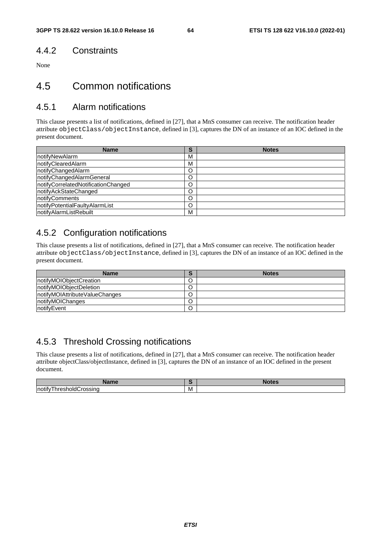## 4.4.2 Constraints

None

## 4.5 Common notifications

## 4.5.1 Alarm notifications

This clause presents a list of notifications, defined in [27], that a MnS consumer can receive. The notification header attribute objectClass/objectInstance, defined in [3], captures the DN of an instance of an IOC defined in the present document.

| <b>Name</b>                         | с<br>C | <b>Notes</b> |
|-------------------------------------|--------|--------------|
| notifyNewAlarm                      | M      |              |
| notifyClearedAlarm                  | М      |              |
| notifyChangedAlarm                  | O      |              |
| notifyChangedAlarmGeneral           | O      |              |
| notifyCorrelatedNotificationChanged | O      |              |
| notifyAckStateChanged               | O      |              |
| notifyComments                      | O      |              |
| notifyPotentialFaultyAlarmList      | O      |              |
| notifyAlarmListRebuilt              | M      |              |

## 4.5.2 Configuration notifications

This clause presents a list of notifications, defined in [27], that a MnS consumer can receive. The notification header attribute objectClass/objectInstance, defined in [3], captures the DN of an instance of an IOC defined in the present document.

| Name                            | ኈ | <b>Notes</b> |
|---------------------------------|---|--------------|
| notifyMOIObjectCreation         | ີ |              |
| notifyMOIObjectDeletion         |   |              |
| InotifyMOIAttributeValueChanges |   |              |
| notifyMOIChanges                |   |              |
| notifyEvent                     |   |              |

## 4.5.3 Threshold Crossing notifications

This clause presents a list of notifications, defined in [27], that a MnS consumer can receive. The notification header attribute objectClass/objectInstance, defined in [3], captures the DN of an instance of an IOC defined in the present document.

| ----<br>זוווסי                                 |   | --- |
|------------------------------------------------|---|-----|
| <br>Inotity<br>hold(<br>∴rossinc<br>.<br>∣nres | M |     |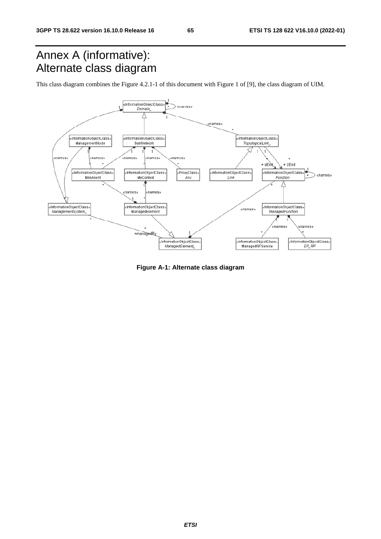## Annex A (informative): Alternate class diagram

This class diagram combines the Figure 4.2.1-1 of this document with Figure 1 of [9], the class diagram of UIM.



**Figure A-1: Alternate class diagram**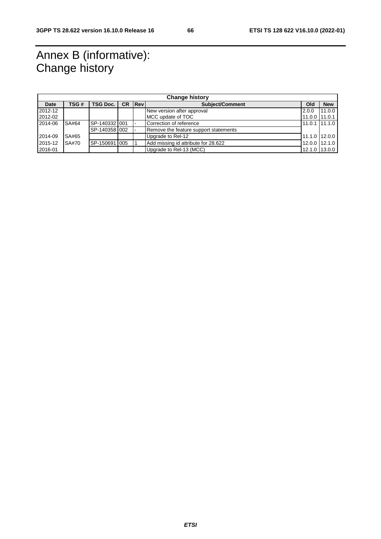## Annex B (informative): Change history

| <b>Change history</b> |              |               |           |             |                                       |                |               |  |  |
|-----------------------|--------------|---------------|-----------|-------------|---------------------------------------|----------------|---------------|--|--|
| <b>Date</b>           | TSG #        | TSG Doc.      | <b>CR</b> | <b>IRev</b> | <b>Subiect/Comment</b><br>Old         |                |               |  |  |
| 2012-12               |              |               |           |             | New version after approval            | 2.0.0          | 11.0.0        |  |  |
| 2012-02               |              |               |           |             | MCC update of TOC                     | 11.0.0 111.0.1 |               |  |  |
| 2014-06               | SA#64        | SP-140332 001 |           |             | Correction of reference               |                | 11.0.1 11.1.0 |  |  |
|                       |              | SP-140358 002 |           |             | Remove the feature support statements |                |               |  |  |
| 2014-09               | SA#65        |               |           |             | Upgrade to Rel-12                     |                | 11.1.0 12.0.0 |  |  |
| 2015-12               | <b>SA#70</b> | SP-150691 005 |           |             | Add missing id attribute for 28.622   |                | 12.0.0 12.1.0 |  |  |
| 2016-01               |              |               |           |             | Upgrade to Rel-13 (MCC)               |                | 12.1.0 13.0.0 |  |  |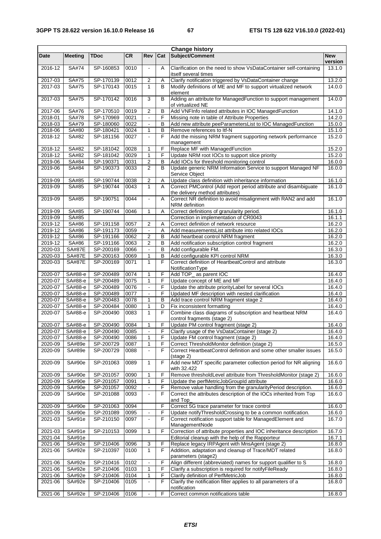|                        |                    |                        |              |                                  |                | <b>Change history</b>                                                                                     |                       |
|------------------------|--------------------|------------------------|--------------|----------------------------------|----------------|-----------------------------------------------------------------------------------------------------------|-----------------------|
| Date                   | <b>Meeting</b>     | <b>TDoc</b>            | <b>CR</b>    | Rev                              | Cat            | Subject/Comment                                                                                           | <b>New</b><br>version |
| $2016 - 12$            | SA#74              | SP-160853              | 0010         | $\blacksquare$                   | A              | Clarification on the need to show VsDataContainer self-containing<br>itself several times                 | 13.1.0                |
| 2017-03                | SA#75              | SP-170139              | 0012         | 2                                | Α              | Clarify notification triggered by VsDataContainer change                                                  | 13.2.0                |
| 2017-03                | SA#75              | SP-170143              | 0015         | 1                                | B              | Modify definitions of ME and MF to support virtualized network<br>element                                 | 14.0.0                |
| 2017-03                | SA#75              | SP-170142              | 0016         | 3                                | B              | Adding an attribute for ManagedFunction to support management<br>of virtualized NE                        | 14.0.0                |
| 2017-06                | SA#76              | SP-170510              | 0019         | $\overline{2}$                   | B              | Add VNFInfo related attributes in IOC ManagedFunction                                                     | 14.1.0                |
| 2018-01                | SA#78              | SP-170969              | 0021         | $\frac{1}{2}$                    | F              | Missing note in table of Attribute Properties                                                             | 14.2.0                |
| 2018-03                | SA#79              | SP-180060              | 0022         | $\overline{\phantom{a}}$         | В              | Add new attribute peeParametersList to IOC ManagedFunction                                                | 15.0.0                |
| 2018-06                | SA#80              | SP-180421              | 0024         | 1                                | B              | Remove references to Itf-N                                                                                | 15.1.0                |
| 2018-12                | SA#82              | SP-181156              | 0027         | $\overline{a}$                   | F              | Add the missing NRM fragment supporting network performance<br>management                                 | 15.2.0                |
| 2018-12                | SA#82              | SP-181042              | 0028         | 1                                | F              | Replace MF with ManagedFunction                                                                           | 15.2.0                |
| 2018-12                | SA#82              | SP-181042              | 0029         | 1                                | F              | Update NRM root IOCs to support slice priority                                                            | 15.2.0                |
| 2019-06                | SA#84<br>SA#84     | SP-190371<br>SP-190373 | 0031         | $\overline{c}$<br>$\overline{2}$ | B<br>B         | Add IOCs for threshold monitoring control<br>Update generic NRM Information Service to support Managed NF | 16.0.0<br>16.0.0      |
| 2019-06                |                    |                        | 0033         |                                  |                | Service Object                                                                                            |                       |
| 2019-09                | SA#85              | SP-190744              | 0038         | 2                                | Α              | Update class definition with inheritance information                                                      | 16.1.0                |
| 2019-09                | SA#85              | SP-190744              | 0043         | $\mathbf{1}$                     | A              | Correct PMControl (Add report period attribute and disambiguate<br>the delivery method attributes)        | 16.1.0                |
| 2019-09                | SA#85              | SP-190751              | 0044         | $\blacksquare$                   | A              | Correct NR definition to avoid misalignment with RAN2 and add<br>NRM definition                           | 16.1.0                |
| 2019-09                | SA#85              | SP-190744              | 0046         | 1                                | A              | Correct definitions of granularity period.                                                                | 16.1.0                |
| 2019-09                | SA#85              |                        |              |                                  |                | Correction in implementation of CR0043                                                                    | 16.1.1                |
| 2019-12                | SA#86              | SP-191158              | 0057         | 2                                | Α              | Correct definition of network resource                                                                    | 16.2.0                |
| 2019-12                | SA#86              | SP-191173              | 0059         | $\overline{2}$                   | Α              | Add measurementsList attribute into related IOCs                                                          | 16.2.0                |
| 2019-12<br>2019-12     | SA#86<br>SA#86     | SP-191166<br>SP-191166 | 0062<br>0063 | 2                                | B<br>в         | Add heartbeat control NRM fragment<br>Add notification subscription control fragment                      | 16.2.0<br>16.2.0      |
| 2020-03                | <b>SA#87E</b>      | SP-200169              | 0066         |                                  | B              | Add configurable FM.                                                                                      | 16.3.0                |
| 2020-03                | <b>SA#87E</b>      | SP-200163              | 0069         | $\mathbf{1}$                     | $\mathsf B$    | Add configurable KPI control NRM                                                                          | 16.3.0                |
| 2020-03                | <b>SA#87E</b>      | SP-200169              | 0071         | $\mathbf{1}$                     | F              | Correct definition of HeartbeatControl and attribute<br>NotificationType                                  | 16.3.0                |
| 2020-07                | SA#88-e            | SP-200489              | 0074         | 1                                | F              | Add TOP_ as parent IOC                                                                                    | 16.4.0                |
| 2020-07                | SA#88-e            | SP-200489              | 0075         | $\mathbf{1}$                     | F              | Update concept of ME and MF                                                                               | 16.4.0                |
| 2020-07                | SA#88-e            | SP-200489              | 0076         | $\overline{\phantom{a}}$         | F              | Update the attribute priorityLabel for several IOCs                                                       | 16.4.0                |
| 2020-07                | SA#88-e            | SP-200489              | 0077         | $\blacksquare$                   | F              | Updated MF description with nested clarification                                                          | 16.4.0                |
| 2020-07                | SA#88-e            | SP-200483              | 0078         | 1                                | B              | Add trace control NRM fragment stage 2                                                                    | 16.4.0                |
| 2020-07<br>2020-07     | SA#88-e<br>SA#88-e | SP-200484<br>SP-200490 | 0080<br>0083 | $\mathbf{1}$<br>$\mathbf{1}$     | D<br>F         | Fix inconsistent formatting<br>Combine class diagrams of subscription and heartbeat NRM                   | 16.4.0<br>16.4.0      |
|                        |                    |                        |              |                                  |                | control fragments (stage 2)                                                                               |                       |
| 2020-07<br>2020-07     | SA#88-e<br>SA#88-e | SP-200490<br>SP-200490 | 0084<br>0085 | 1<br>$\overline{a}$              | F<br>F         | Update PM control fragment (stage 2)<br>Clarify usage of the VsDataContainer (stage 2)                    | 16.4.0<br>16.4.0      |
| 2020-07                | SA#88-e            | SP-200490              | 0086         | 1                                | F              | Update FM control fragment (stage 2)                                                                      | 16.4.0                |
| 2020-09                | SA#89e             | SP-200729              | 0087         | 1                                | F              | Correct ThresholdMonitor definition (stage 2)                                                             | 16.5.0                |
| 2020-09                | SA#89e             | SP-200729              | 0088         | $\blacksquare$                   | F              | Correct HeartbeatControl definition and some other smaller issues<br>$(s \text{tage 2})$                  | 16.5.0                |
| 2020-09                | SA#90e             | SP-201063              | 0089         | 1                                | F              | Add new MDT specific parameter collection period for NR aligning<br>with 32.422                           | 16.6.0                |
| $2020 - 09$            | SA#90e             | SP-201057              | 0090         | 1                                | F              | Remove thresholdLevel attribute from ThresholdMonitor (stage 2)                                           | 16.6.0                |
| 2020-09                | SA#90e             | SP-201057              | 0091         | 1                                | F              | Update the perfMetricJobGroupId attribute                                                                 | 16.6.0                |
| 2020-09                | SA#90e             | SP-201057              | 0092         | $\blacksquare$                   | F              | Remove value handling from the granularityPeriod description.                                             | 16.6.0                |
| 2020-09                | SA#90e             | SP-201088              | 0093         | $\overline{a}$                   | F              | Correct the attributes description of the IOCs inherited from Top<br>and Top                              | 16.6.0                |
| 2020-09                | SA#90e             | SP-201063              | 0094         |                                  | F              | Correct 5G trace parameter for trace control                                                              | 16.6.0                |
| 2020-09                | SA#90e             | SP-201089              | 0095         | $\qquad \qquad \blacksquare$     | F              | Update notifyThresholdCrossing to be a common notification.                                               | 16.6.0                |
| 2021-03                | SA#91e             | SP-210150              | 0097         | $\blacksquare$                   | F              | Correct notification support table for ManagedElement and<br>ManagementNode                               | 16.7.0                |
| 2021-03                | SA#91e             | SP-210153              | 0099         | 1                                | F              | Correction of attribute properties and IOC inheritance description                                        | 16.7.0                |
| 2021-04                | SA#91e             |                        |              |                                  |                | Editorial cleanup with the help of the Rapporteur                                                         | 16.7.1                |
| $2021 - 06$<br>2021-06 | SA#92e<br>SA#92e   | SP-210406<br>SP-210397 | 0096<br>0100 | 3<br>1                           | F<br>F         | Replace legacy IRPAgent with MnsAgent (stage 2)<br>Addition, adaptation and cleanup of Trace/MDT related  | 16.8.0<br>16.8.0      |
| 2021-06                | SA#92e             | SP-210416              | 0102         | $\frac{1}{2}$                    | F              | parameters (stage2)<br>Align different (abbreviated) names for support qualifier to S                     | 16.8.0                |
| 2021-06                | SA#92e             | SP-210406              | 0103         | 1                                | F              | Clarify a subscription is required for notifyFileReady                                                    | 16.8.0                |
| 2021-06                | SA#92e             | SP-210406              | 0104         | 1                                | F              | Clarify definition of PerfMetricJob                                                                       | 16.8.0                |
| 2021-06                | SA#92e             | SP-210406              | 0105         | $\frac{1}{2}$                    | F              | Clarify the notification filter applies to all parameters of a<br>notification                            | 16.8.0                |
| 2021-06                | SA#92e             | SP-210406              | 0106         | ä,                               | $\overline{F}$ | Correct common notifications table                                                                        | 16.8.0                |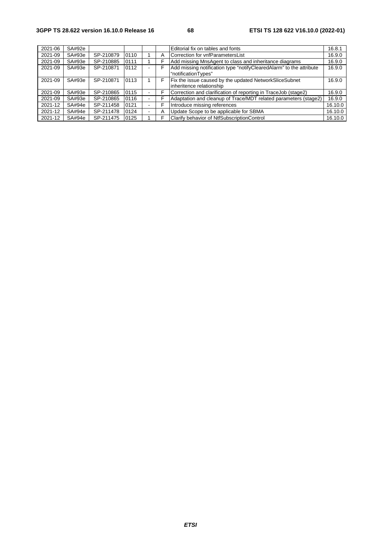| 2021-06 | SA#92e |           |      |   | Editorial fix on tables and fonts                                                          | 16.8.1  |
|---------|--------|-----------|------|---|--------------------------------------------------------------------------------------------|---------|
| 2021-09 | SA#93e | SP-210879 | 0110 | Α | Correction for vnfParametersList                                                           | 16.9.0  |
| 2021-09 | SA#93e | SP-210885 | 0111 | F | Add missing MnsAgent to class and inheritance diagrams                                     | 16.9.0  |
| 2021-09 | SA#93e | SP-210871 | 0112 | F | Add missing notification type "notifyClearedAlarm" to the attribute<br>"notificationTypes" | 16.9.0  |
| 2021-09 | SA#93e | SP-210871 | 0113 | F | Fix the issue caused by the updated NetworkSliceSubnet<br>inheritence relationship         | 16.9.0  |
| 2021-09 | SA#93e | SP-210865 | 0115 | F | Correction and clarification of reporting in TraceJob (stage2)                             | 16.9.0  |
| 2021-09 | SA#93e | SP-210865 | 0116 | c | Adaptation and cleanup of Trace/MDT related parameters (stage2)                            | 16.9.0  |
| 2021-12 | SA#94e | SP-211458 | 0121 | F | Introduce missing references                                                               | 16.10.0 |
| 2021-12 | SA#94e | SP-211478 | 0124 | Α | Update Scope to be applicable for SBMA                                                     | 16.10.0 |
| 2021-12 | SA#94e | SP-211475 | 0125 | F | Clarify behavior of NtfSubscriptionControl                                                 | 16.10.0 |